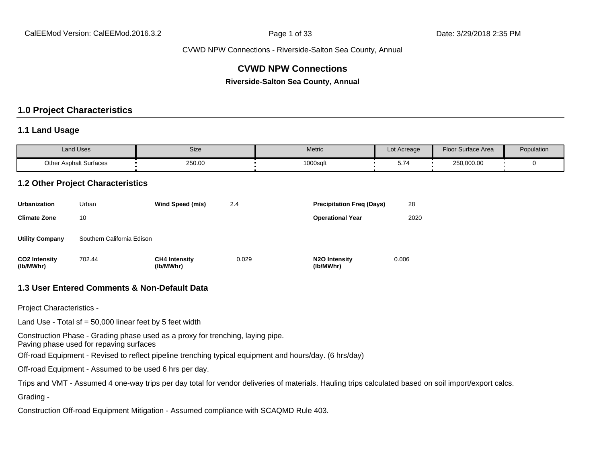## **CVWD NPW Connections**

**Riverside-Salton Sea County, Annual**

## **1.0 Project Characteristics**

#### **1.1 Land Usage**

| <b>Land Uses</b>              | Size   | Metric   | Lot Acreage | <b>Floor Surface Area</b> | Population |
|-------------------------------|--------|----------|-------------|---------------------------|------------|
| <b>Other Asphalt Surfaces</b> | 250.00 | 1000sqft | ◡.≀         | 250,000.00                |            |

#### **1.2 Other Project Characteristics**

| <b>Urbanization</b>               | Urban                      | Wind Speed (m/s)                  | 2.4   | <b>Precipitation Freg (Days)</b>        | 28    |
|-----------------------------------|----------------------------|-----------------------------------|-------|-----------------------------------------|-------|
| <b>Climate Zone</b>               | 10                         |                                   |       | <b>Operational Year</b>                 | 2020  |
| <b>Utility Company</b>            | Southern California Edison |                                   |       |                                         |       |
| <b>CO2 Intensity</b><br>(lb/MWhr) | 702.44                     | <b>CH4 Intensity</b><br>(lb/MWhr) | 0.029 | N <sub>2</sub> O Intensity<br>(lb/MWhr) | 0.006 |

#### **1.3 User Entered Comments & Non-Default Data**

Project Characteristics -

Land Use - Total sf =  $50,000$  linear feet by 5 feet width

Construction Phase - Grading phase used as a proxy for trenching, laying pipe.

Paving phase used for repaving surfaces

Off-road Equipment - Revised to reflect pipeline trenching typical equipment and hours/day. (6 hrs/day)

Off-road Equipment - Assumed to be used 6 hrs per day.

Trips and VMT - Assumed 4 one-way trips per day total for vendor deliveries of materials. Hauling trips calculated based on soil import/export calcs.

Grading -

Construction Off-road Equipment Mitigation - Assumed compliance with SCAQMD Rule 403.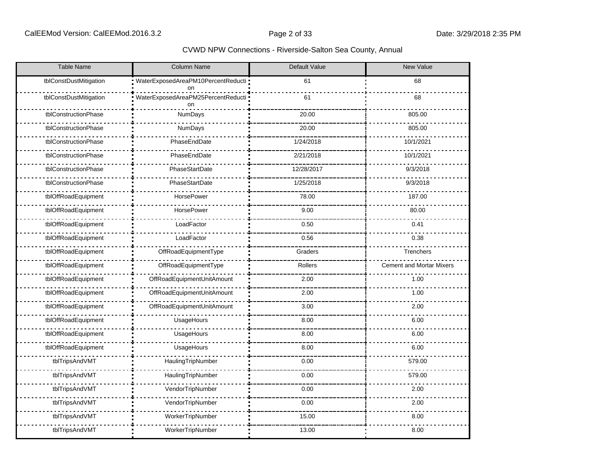| <b>Table Name</b>      | <b>Column Name</b>                         | Default Value | New Value                       |
|------------------------|--------------------------------------------|---------------|---------------------------------|
| tblConstDustMitigation | WaterExposedAreaPM10PercentReducti =<br>on | 61            | 68                              |
| tblConstDustMitigation | WaterExposedAreaPM25PercentReducti ·<br>on | 61            | 68                              |
| tblConstructionPhase   | NumDays                                    | 20.00         | 805.00                          |
| tblConstructionPhase   | NumDays                                    | 20.00         | 805.00                          |
| tblConstructionPhase   | PhaseEndDate                               | 1/24/2018     | 10/1/2021                       |
| tblConstructionPhase   | PhaseEndDate                               | 2/21/2018     | 10/1/2021                       |
| tblConstructionPhase   | PhaseStartDate                             | 12/28/2017    | 9/3/2018                        |
| tblConstructionPhase   | PhaseStartDate                             | 1/25/2018     | 9/3/2018                        |
| tblOffRoadEquipment    | HorsePower                                 | 78.00         | 187.00                          |
| tblOffRoadEquipment    | HorsePower                                 | 9.00          | 80.00                           |
| tblOffRoadEquipment    | LoadFactor                                 | 0.50          | 0.41                            |
| tblOffRoadEquipment    | LoadFactor                                 | 0.56          | 0.38                            |
| tblOffRoadEquipment    | OffRoadEquipmentType                       | Graders       | Trenchers                       |
| tblOffRoadEquipment    | OffRoadEquipmentType                       | Rollers       | <b>Cement and Mortar Mixers</b> |
| tblOffRoadEquipment    | OffRoadEquipmentUnitAmount                 | 2.00          | 1.00                            |
| tblOffRoadEquipment    | OffRoadEquipmentUnitAmount                 | 2.00          | 1.00                            |
| tblOffRoadEquipment    | OffRoadEquipmentUnitAmount                 | 3.00          | 2.00                            |
| tblOffRoadEquipment    | UsageHours                                 | 8.00          | 6.00                            |
| tblOffRoadEquipment    | UsageHours                                 | 8.00          | 6.00                            |
| tblOffRoadEquipment    | UsageHours                                 | 8.00          | 6.00                            |
| tblTripsAndVMT         | HaulingTripNumber                          | 0.00          | 579.00                          |
| tblTripsAndVMT         | HaulingTripNumber                          | 0.00          | 579.00                          |
| tblTripsAndVMT         | VendorTripNumber                           | 0.00          | 2.00                            |
| tblTripsAndVMT         | VendorTripNumber                           | 0.00          | 2.00                            |
| tblTripsAndVMT         | WorkerTripNumber                           | 15.00         | 8.00                            |
| tblTripsAndVMT         | WorkerTripNumber                           | 13.00         | 8.00                            |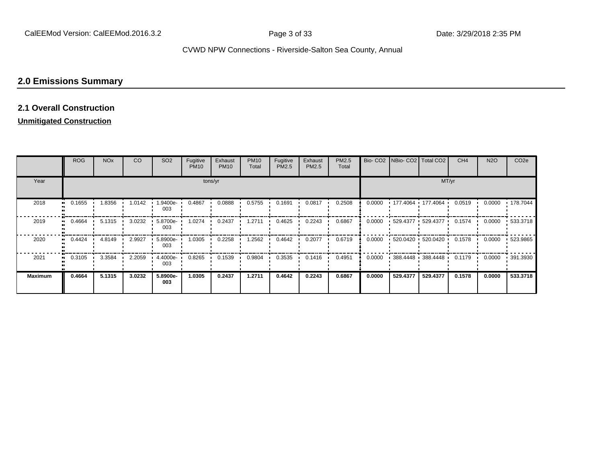# **2.0 Emissions Summary**

#### **2.1 Overall Construction**

## **Unmitigated Construction**

|                | <b>ROG</b> | <b>NO<sub>x</sub></b> | CO     | SO <sub>2</sub> | Fugitive<br><b>PM10</b> | Exhaust<br><b>PM10</b> | <b>PM10</b><br>Total | Fugitive<br>PM2.5 | Exhaust<br>PM2.5 | PM2.5<br>Total |        | Bio- CO2   NBio- CO2   Total CO2 |                         | CH <sub>4</sub> | <b>N2O</b> | CO <sub>2</sub> e |
|----------------|------------|-----------------------|--------|-----------------|-------------------------|------------------------|----------------------|-------------------|------------------|----------------|--------|----------------------------------|-------------------------|-----------------|------------|-------------------|
| Year           |            |                       |        |                 |                         | tons/yr                |                      |                   |                  |                |        |                                  | MT/yr                   |                 |            |                   |
| 2018           | 0.1655     | 1.8356                | 1.0142 | .9400e-<br>003  | 0.4867                  | 0.0888                 | 0.5755               | 0.1691            | 0.0817           | 0.2508         | 0.0000 |                                  | • 177.4064 • 177.4064 • | 0.0519          | 0.0000     | ■ 178.7044        |
| 2019           | 0.4664     | 5.1315                | 3.0232 | 5.8700e-<br>003 | 1.0274                  | 0.2437                 | 1.2711               | 0.4625            | 0.2243           | 0.6867         | 0.0000 |                                  | $-529.4377 - 529.4377$  | 0.1574          | 0.0000     | $-533.3718$       |
| 2020           | 0.4424     | 4.8149                | 2.9927 | 5.8900e-<br>003 | 1.0305                  | 0.2258                 | .2562                | 0.4642            | 0.2077           | 0.6719         | 0.0000 |                                  | $-520.0420 - 520.0420$  | 0.1578          | 0.0000     | $-523.9865$       |
| 2021           | 0.3105     | 3.3584                | 2.2059 | 4.4000e-<br>003 | 0.8265                  | 0.1539                 | 0.9804               | 0.3535            | 0.1416           | 0.4951         | 0.0000 |                                  | $-388.4448 - 388.4448$  | 0.1179          | 0.0000     | .391.3930         |
| <b>Maximum</b> | 0.4664     | 5.1315                | 3.0232 | 5.8900e-<br>003 | 1.0305                  | 0.2437                 | 1.2711               | 0.4642            | 0.2243           | 0.6867         | 0.0000 | 529.4377                         | 529.4377                | 0.1578          | 0.0000     | 533,3718          |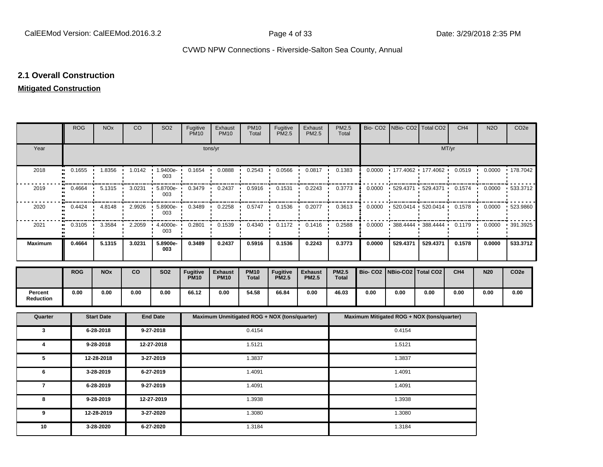#### **2.1 Overall Construction**

## **Mitigated Construction**

|                      | <b>ROG</b>                              | <b>NO<sub>x</sub></b> | CO     | SO <sub>2</sub> | Fugitive<br><b>PM10</b>        | Exhaust<br><b>PM10</b>        | <b>PM10</b><br>Total | Fugitive<br><b>PM2.5</b>                     | Exhaust<br>PM2.5               | PM2.5<br>Total        |                     |                      | Bio- CO2   NBio- CO2   Total CO2           | CH <sub>4</sub>          | <b>N2O</b> | CO <sub>2e</sub> |
|----------------------|-----------------------------------------|-----------------------|--------|-----------------|--------------------------------|-------------------------------|----------------------|----------------------------------------------|--------------------------------|-----------------------|---------------------|----------------------|--------------------------------------------|--------------------------|------------|------------------|
| Year                 |                                         |                       |        |                 |                                | tons/yr                       |                      |                                              |                                |                       |                     |                      |                                            | MT/yr                    |            |                  |
| 2018                 | 0.1655<br>$\bullet\bullet$              | 1.8356                | 1.0142 | 1.9400e-<br>003 | 0.1654                         | 0.0888                        | 0.2543               | 0.0566                                       | 0.0817                         | 0.1383                | 0.0000              |                      | 177.4062 177.4062                          | 0.0519<br>$\blacksquare$ | 0.0000     | 178.7042         |
| 2019                 | 0.4664                                  | 5.1315                | 3.0231 | 5.8700e-<br>003 | 0.3479                         | 0.2437                        | 0.5916               | 0.1531                                       | 0.2243                         | 0.3773                | 0.0000              | 529.4371             | 529.4371                                   | 0.1574                   | 0.0000     | 533.3712         |
| 2020                 | 0.4424                                  | 4.8148                | 2.9926 | 5.8900e-<br>003 | 0.3489                         | 0.2258                        | 0.5747               | 0.1536                                       | 0.2077                         | 0.3613                | 0.0000              | 520.0414             | 520.0414                                   | 0.1578                   | 0.0000     | 523.9860         |
| 2021                 | 0.3105<br>$\bullet$<br>$\bullet\bullet$ | 3.3584                | 2.2059 | 4.4000e-<br>003 | 0.2801                         | 0.1539                        | 0.4340               | 0.1172                                       | 0.1416                         | 0.2588                | 0.0000              |                      | 388.4444 388.4444                          | 0.1179<br>- 11           | 0.0000     | 391.3925         |
| <b>Maximum</b>       | 0.4664                                  | 5.1315                | 3.0231 | 5.8900e-<br>003 | 0.3489                         | 0.2437                        | 0.5916               | 0.1536                                       | 0.2243                         | 0.3773                | 0.0000              | 529.4371             | 529.4371                                   | 0.1578                   | 0.0000     | 533.3712         |
|                      | <b>ROG</b>                              | <b>NOx</b>            | co     | <b>SO2</b>      | <b>Fugitive</b><br><b>PM10</b> | <b>Exhaust</b><br><b>PM10</b> | <b>PM10</b><br>Total | <b>Fugitive</b><br><b>PM2.5</b>              | <b>Exhaust</b><br><b>PM2.5</b> | <b>PM2.5</b><br>Total | Bio-CO <sub>2</sub> | NBio-CO2   Total CO2 |                                            | CH <sub>4</sub>          | <b>N20</b> | CO <sub>2e</sub> |
| Percent<br>Reduction | 0.00                                    | 0.00                  | 0.00   | 0.00            | 66.12                          | 0.00                          | 54.58                | 66.84                                        | 0.00                           | 46.03                 | 0.00                | 0.00                 | 0.00                                       | 0.00                     | 0.00       | 0.00             |
| Quarter              |                                         | <b>Start Date</b>     |        | <b>End Date</b> |                                |                               |                      | Maximum Unmitigated ROG + NOX (tons/quarter) |                                |                       |                     |                      | Maximum Mitigated ROG + NOX (tons/quarter) |                          |            |                  |
| $\mathbf{3}$         |                                         | 6-28-2018             |        | 9-27-2018       |                                |                               | 0.4154               |                                              |                                |                       |                     | 0.4154               |                                            |                          |            |                  |
| 4                    |                                         | 9-28-2018             |        | 12-27-2018      |                                |                               | 1.5121               |                                              |                                |                       |                     | 1.5121               |                                            |                          |            |                  |
| 5                    |                                         | 12-28-2018            |        | 3-27-2019       |                                |                               | 1.3837               |                                              |                                |                       |                     | 1.3837               |                                            |                          |            |                  |
| 6                    |                                         | 3-28-2019             |        | 6-27-2019       |                                |                               | 1.4091               |                                              |                                |                       |                     | 1.4091               |                                            |                          |            |                  |
| $\overline{7}$       |                                         | 6-28-2019             |        | 9-27-2019       |                                |                               | 1.4091               |                                              |                                |                       |                     | 1.4091               |                                            |                          |            |                  |
| 8                    |                                         | 9-28-2019             |        | 12-27-2019      |                                |                               | 1.3938               |                                              |                                |                       |                     | 1.3938               |                                            |                          |            |                  |
| 9                    |                                         | 12-28-2019            |        | 3-27-2020       |                                |                               | 1.3080               |                                              |                                |                       |                     | 1.3080               |                                            |                          |            |                  |
| 10                   |                                         | 3-28-2020             |        | 6-27-2020       |                                | 1.3184                        |                      |                                              |                                | 1.3184                |                     |                      |                                            |                          |            |                  |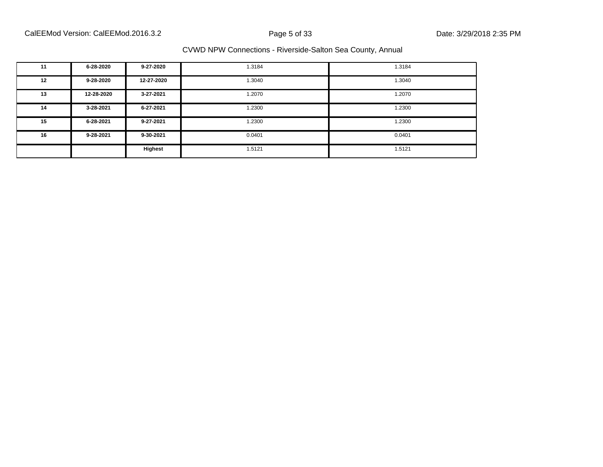| 11 | 6-28-2020  | 9-27-2020  | 1.3184 | 1.3184 |
|----|------------|------------|--------|--------|
| 12 | 9-28-2020  | 12-27-2020 | 1.3040 | 1.3040 |
| 13 | 12-28-2020 | 3-27-2021  | 1.2070 | 1.2070 |
| 14 | 3-28-2021  | 6-27-2021  | 1.2300 | 1.2300 |
| 15 | 6-28-2021  | 9-27-2021  | 1.2300 | 1.2300 |
| 16 | 9-28-2021  | 9-30-2021  | 0.0401 | 0.0401 |
|    |            | Highest    | 1.5121 | 1.5121 |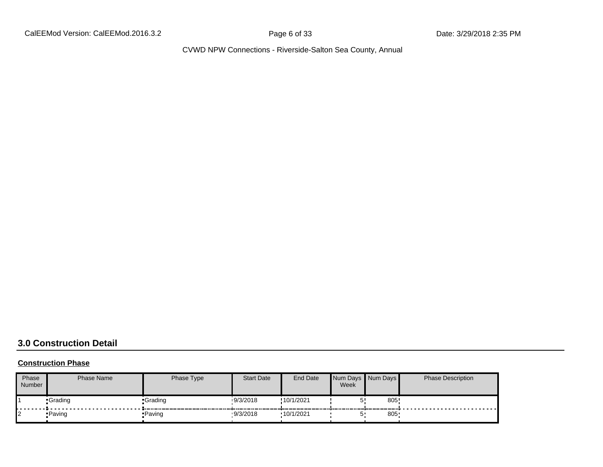CalEEMod Version: CalEEMod.2016.3.2 **Page 6 of 33** Date: 3/29/2018 2:35 PM

CVWD NPW Connections - Riverside-Salton Sea County, Annual

# **3.0 Construction Detail**

#### **Construction Phase**

| Phase<br>Number | <b>Phase Name</b> | Phase Type | <b>Start Date</b> | End Date   | Week | Num Days Num Days | <b>Phase Description</b> |
|-----------------|-------------------|------------|-------------------|------------|------|-------------------|--------------------------|
|                 | •Grading          | •Grading   | 19/3/2018         | !10/1/2021 |      | 805               |                          |
| 12              | •Paving           | •Paving    | 9/3/2018          | .10/1/2021 |      | 805               |                          |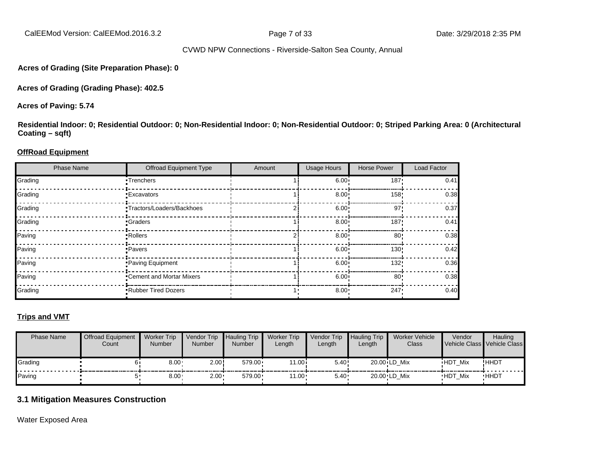CalEEMod Version: CalEEMod.2016.3.2 **Page 7 of 33** Date: 3/29/2018 2:35 PM

#### CVWD NPW Connections - Riverside-Salton Sea County, Annual

**Acres of Grading (Site Preparation Phase): 0**

**Acres of Grading (Grading Phase): 402.5**

**Acres of Paving: 5.74**

**Residential Indoor: 0; Residential Outdoor: 0; Non-Residential Indoor: 0; Non-Residential Outdoor: 0; Striped Parking Area: 0 (Architectural Coating – sqft)**

#### **OffRoad Equipment**

| <b>Phase Name</b> | <b>Offroad Equipment Type</b> | Amount | <b>Usage Hours</b> | <b>Horse Power</b> | Load Factor |
|-------------------|-------------------------------|--------|--------------------|--------------------|-------------|
| Grading           | •Trenchers                    |        | 6.00 <sup>1</sup>  | 187'               | 0.41        |
| Grading           | <b>Excavators</b>             |        | 8.00 <sub>1</sub>  | 158!               | 0.38        |
| Grading           | •Tractors/Loaders/Backhoes    |        | 6.00 <sup>1</sup>  | 97'                | 0.37        |
| Grading           | •Graders                      |        | $8.00 \cdot$       | 187'               | 0.41        |
| Paving            | •Rollers                      |        | 8.00 <sub>1</sub>  | 80'                | 0.38        |
| Paving            | •Pavers                       |        | 6.00 <sup>1</sup>  | 130!               | 0.42        |
| Paving            | Paving Equipment              |        | 6.00 <sup>1</sup>  | 132!               | 0.36        |
| Paving            | •Cement and Mortar Mixers     |        | 6.00 <sup>1</sup>  | 80                 | 0.38        |
| Grading           | .Rubber Tired Dozers          |        | 8.00               | 247                | 0.40        |

#### **Trips and VMT**

| <b>Phase Name</b> | <b>Offroad Equipment</b><br>Count | <b>Worker Trip</b><br><b>Number</b> | Vendor Trip<br><b>Number</b> | <b>Hauling Trip</b><br><b>Number</b> | <b>Worker Trip</b><br>Length | <b>Vendor Trip</b><br>Length | <b>Hauling Trip</b><br>Length | Worker Vehicle<br>Class | Vendor         | Hauling<br>Vehicle Class Vehicle Class |
|-------------------|-----------------------------------|-------------------------------------|------------------------------|--------------------------------------|------------------------------|------------------------------|-------------------------------|-------------------------|----------------|----------------------------------------|
| Grading           |                                   | $8.00 -$                            | 2.00!                        | $579.00 \cdot$                       | 11.00i                       | 5.40!                        |                               | 20.00 LD Mix            | <b>HDT Mix</b> | !HHDT                                  |
| Paving            |                                   | $8.00 -$                            | $2.00 \cdot$                 | 579.00                               | $11.00 -$                    | 5.40                         |                               | 20.00 LD Mix            | <b>HDT Mix</b> | <b>HHDT</b>                            |

#### **3.1 Mitigation Measures Construction**

Water Exposed Area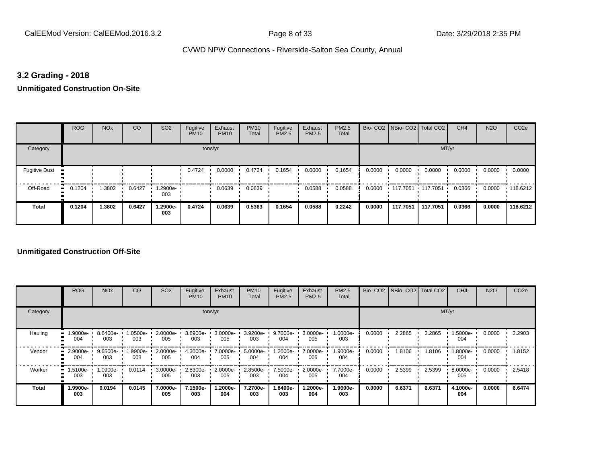## **3.2 Grading - 2018**

**Unmitigated Construction On-Site**

|                      | <b>ROG</b>   | <b>NO<sub>x</sub></b> | CO     | SO <sub>2</sub> | Fugitive<br><b>PM10</b> | Exhaust<br><b>PM10</b> | <b>PM10</b><br>Total | Fugitive<br><b>PM2.5</b> | Exhaust<br>PM2.5 | PM2.5<br>Total |        | Bio- CO2   NBio- CO2   Total CO2 |          | CH <sub>4</sub> | <b>N2O</b> | CO <sub>2e</sub> |
|----------------------|--------------|-----------------------|--------|-----------------|-------------------------|------------------------|----------------------|--------------------------|------------------|----------------|--------|----------------------------------|----------|-----------------|------------|------------------|
| Category             |              |                       |        |                 | tons/yr                 |                        |                      |                          |                  |                |        |                                  | MT/yr    |                 |            |                  |
| <b>Fugitive Dust</b> |              |                       |        |                 | 0.4724                  | 0.0000                 | 0.4724               | 0.1654                   | 0.0000           | 0.1654         | 0.0000 | 0.0000                           | 0.0000   | 0.0000          | 0.0000     | 0.0000           |
| Off-Road             | 0.1204<br>ш. | .3802                 | 0.6427 | -2900e.<br>003  |                         | 0.0639                 | 0.0639               |                          | 0.0588           | 0.0588         | 0.0000 | 117.7051 117.7051                |          | 0.0366          | 0.0000     | .118.6212        |
| <b>Total</b>         | 0.1204       | 1.3802                | 0.6427 | 1.2900e-<br>003 | 0.4724                  | 0.0639                 | 0.5363               | 0.1654                   | 0.0588           | 0.2242         | 0.0000 | 117.7051                         | 117.7051 | 0.0366          | 0.0000     | 118.6212         |

|              | <b>ROG</b>                   | <b>NO<sub>x</sub></b> | CO             | SO <sub>2</sub>    | Fugitive<br><b>PM10</b> | Exhaust<br><b>PM10</b> | <b>PM10</b><br>Total | Fugitive<br><b>PM2.5</b> | Exhaust<br>PM2.5 | <b>PM2.5</b><br>Total |        | Bio- CO2 NBio- CO2 Total CO2 |        | CH <sub>4</sub> | <b>N2O</b> | CO <sub>2e</sub> |
|--------------|------------------------------|-----------------------|----------------|--------------------|-------------------------|------------------------|----------------------|--------------------------|------------------|-----------------------|--------|------------------------------|--------|-----------------|------------|------------------|
| Category     |                              |                       |                |                    |                         | tons/yr                |                      |                          |                  |                       |        |                              |        | MT/yr           |            |                  |
| Hauling      | 1.9000e-<br>004              | 8.6400e<br>003        | .0500e-<br>003 | $2.0000e -$<br>005 | 3.8900e-<br>003         | 3.0000e-<br>005        | 3.9200e-<br>003      | 9.7000e-<br>004          | 3.0000e-<br>005  | 1.0000e-<br>003       | 0.0000 | 2.2865                       | 2.2865 | 1.5000e-<br>004 | 0.0000     | 2.2903           |
| Vendor       | 2.9000e-<br>004              | 9.6500e-<br>003       | .9900e-<br>003 | 2.0000e-<br>005    | 4.3000e-<br>004         | 7.0000e-<br>005        | 5.0000e-<br>004      | 1.2000e-<br>004          | 7.0000e-<br>005  | 1.9000e-<br>004       | 0.0000 | 1.8106                       | 1.8106 | 1.8000e-<br>004 | 0.0000     | 1.8152           |
| Worker       | 1.5100e-<br>$\bullet$<br>003 | 1.0900e-<br>003       | 0.0114         | 3.0000e-<br>005    | 2.8300e-<br>003         | 2.0000e-<br>005        | 2.8500e-<br>003      | 7.5000e-<br>004          | 2.0000e-<br>005  | 7.7000e-<br>004       | 0.0000 | 2.5399                       | 2.5399 | 8.0000e-<br>005 | 0.0000     | 2.5418           |
| <b>Total</b> | 1.9900e-<br>003              | 0.0194                | 0.0145         | 7.0000e-<br>005    | 7.1500e-<br>003         | 1.2000e-<br>004        | 7.2700e-<br>003      | 1.8400e-<br>003          | -2000e.<br>004   | 1.9600e-<br>003       | 0.0000 | 6.6371                       | 6.6371 | 4.1000e-<br>004 | 0.0000     | 6.6474           |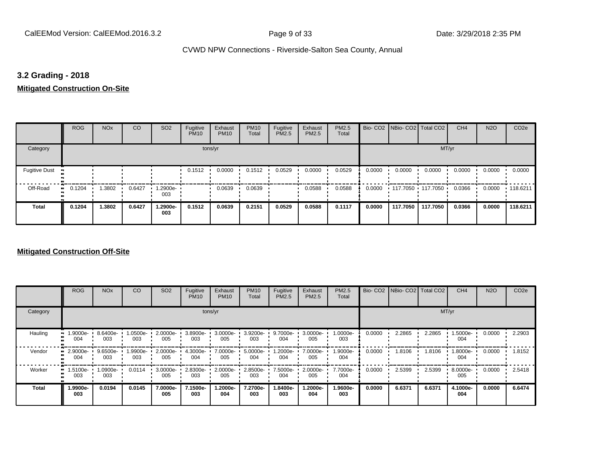## **3.2 Grading - 2018**

**Mitigated Construction On-Site**

|                      | <b>ROG</b>                 | <b>NO<sub>x</sub></b> | CO     | SO <sub>2</sub> | Fugitive<br><b>PM10</b> | Exhaust<br><b>PM10</b> | <b>PM10</b><br>Total | Fugitive<br>PM2.5 | Exhaust<br>PM2.5 | PM2.5<br>Total |        | Bio- CO2   NBio- CO2   Total CO2 |          | CH <sub>4</sub> | <b>N2O</b> | CO <sub>2e</sub> |
|----------------------|----------------------------|-----------------------|--------|-----------------|-------------------------|------------------------|----------------------|-------------------|------------------|----------------|--------|----------------------------------|----------|-----------------|------------|------------------|
| Category             |                            |                       |        |                 | tons/yr                 |                        |                      |                   |                  |                |        |                                  | MT/yr    |                 |            |                  |
| <b>Fugitive Dust</b> |                            |                       |        |                 | 0.1512                  | 0.0000                 | 0.1512               | 0.0529            | 0.0000           | 0.0529         | 0.0000 | 0.0000                           | 0.0000   | 0.0000          | 0.0000     | 0.0000           |
| Off-Road             | 0.1204<br>$\bullet\bullet$ | 1.3802                | 0.6427 | 1.2900e-<br>003 |                         | 0.0639                 | 0.0639               |                   | 0.0588           | 0.0588         | 0.0000 | 117.7050 117.7050 '              |          | 0.0366          | 0.0000     | $+118.6211$      |
| <b>Total</b>         | 0.1204                     | 1.3802                | 0.6427 | 1.2900e-<br>003 | 0.1512                  | 0.0639                 | 0.2151               | 0.0529            | 0.0588           | 0.1117         | 0.0000 | 117.7050                         | 117.7050 | 0.0366          | 0.0000     | 118.6211         |

|                     | <b>ROG</b>      | <b>NO<sub>x</sub></b> | CO              | SO <sub>2</sub>    | Fugitive<br><b>PM10</b> | Exhaust<br><b>PM10</b> | <b>PM10</b><br>Total | Fugitive<br><b>PM2.5</b> | Exhaust<br>PM2.5 | <b>PM2.5</b><br>Total |        | Bio- CO2 NBio- CO2 Total CO2 |        | CH <sub>4</sub> | <b>N2O</b> | CO <sub>2e</sub> |
|---------------------|-----------------|-----------------------|-----------------|--------------------|-------------------------|------------------------|----------------------|--------------------------|------------------|-----------------------|--------|------------------------------|--------|-----------------|------------|------------------|
| Category            |                 |                       |                 |                    | tons/yr                 |                        |                      |                          |                  |                       |        |                              | MT/yr  |                 |            |                  |
| Hauling             | 1.9000e-<br>004 | 8.6400e-<br>003       | 1.0500e-<br>003 | $2.0000e -$<br>005 | 3.8900e-<br>003         | 3.0000e-<br>005        | 3.9200e<br>003       | 9.7000e-<br>004          | 3.0000e-<br>005  | 1.0000e-<br>003       | 0.0000 | 2.2865                       | 2.2865 | 1.5000e-<br>004 | 0.0000     | 2.2903           |
| Vendor<br>$\bullet$ | 2.9000e-<br>004 | 9.6500e-<br>003       | 1.9900e-<br>003 | 2.0000e-<br>005    | 4.3000e-<br>004         | 7.0000e-<br>005        | 5.0000e-<br>004      | 1.2000e-<br>004          | 7.0000e-<br>005  | 1.9000e-<br>004       | 0.0000 | 1.8106                       | 1.8106 | 1.8000e-<br>004 | 0.0000     | 1.8152           |
| Worker<br>$\bullet$ | 1.5100e-<br>003 | 1.0900e-<br>003       | 0.0114          | 3.0000e-<br>005    | 2.8300e-<br>003         | 2.0000e-<br>005        | 2.8500e-<br>003      | 7.5000e-<br>004          | 2.0000e-<br>005  | 7.7000e-<br>004       | 0.0000 | 2.5399                       | 2.5399 | 8.0000e-<br>005 | 0.0000     | 2.5418           |
| <b>Total</b>        | 1.9900e-<br>003 | 0.0194                | 0.0145          | 7.0000e-<br>005    | 7.1500e-<br>003         | 1.2000e-<br>004        | 7.2700e-<br>003      | 1.8400e-<br>003          | -2000e.<br>004   | 1.9600e-<br>003       | 0.0000 | 6.6371                       | 6.6371 | 4.1000e-<br>004 | 0.0000     | 6.6474           |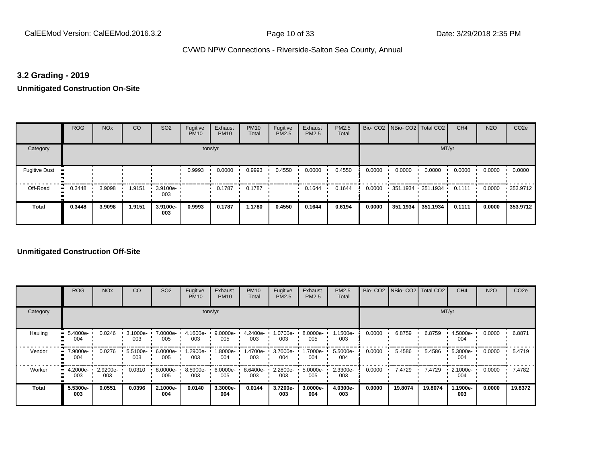## **3.2 Grading - 2019**

**Unmitigated Construction On-Site**

|                      | <b>ROG</b>   | <b>NO<sub>x</sub></b> | CO     | SO <sub>2</sub>    | Fugitive<br><b>PM10</b> | Exhaust<br><b>PM10</b> | <b>PM10</b><br>Total | Fugitive<br><b>PM2.5</b> | Exhaust<br>PM2.5 | PM2.5<br>Total |        | Bio- CO2   NBio- CO2   Total CO2 |          | CH <sub>4</sub> | <b>N2O</b> | CO <sub>2e</sub> |
|----------------------|--------------|-----------------------|--------|--------------------|-------------------------|------------------------|----------------------|--------------------------|------------------|----------------|--------|----------------------------------|----------|-----------------|------------|------------------|
| Category             |              |                       |        |                    | tons/yr                 |                        |                      |                          |                  |                |        |                                  | MT/yr    |                 |            |                  |
| <b>Fugitive Dust</b> |              |                       |        |                    | 0.9993                  | 0.0000                 | 0.9993               | 0.4550                   | 0.0000           | 0.4550         | 0.0000 | 0.0000                           | 0.0000   | 0.0000          | 0.0000     | 0.0000           |
| Off-Road             | 0.3448<br>ш. | 3.9098                | 1.9151 | $-3.9100e-$<br>003 |                         | 0.1787                 | 0.1787               |                          | 0.1644           | 0.1644         | 0.0000 | 351.1934 351.1934 '              |          | 0.1111          | 0.0000     | .353.9712        |
| Total                | 0.3448       | 3.9098                | 1.9151 | 3.9100e-<br>003    | 0.9993                  | 0.1787                 | 1.1780               | 0.4550                   | 0.1644           | 0.6194         | 0.0000 | 351.1934                         | 351.1934 | 0.1111          | 0.0000     | 353.9712         |

|                     | <b>ROG</b>      | <b>NO<sub>x</sub></b> | CO              | SO <sub>2</sub> | Fugitive<br><b>PM10</b> | Exhaust<br><b>PM10</b> | <b>PM10</b><br>Total | Fugitive<br><b>PM2.5</b> | Exhaust<br>PM2.5 | <b>PM2.5</b><br>Total |        | Bio- CO2   NBio- CO2   Total CO2 |         | CH <sub>4</sub> | <b>N2O</b> | CO <sub>2e</sub> |
|---------------------|-----------------|-----------------------|-----------------|-----------------|-------------------------|------------------------|----------------------|--------------------------|------------------|-----------------------|--------|----------------------------------|---------|-----------------|------------|------------------|
| Category            |                 |                       |                 |                 |                         | tons/yr                |                      |                          |                  |                       |        |                                  |         | MT/yr           |            |                  |
| Hauling             | 5.4000e-<br>004 | 0.0246                | 3.1000e-<br>003 | 7.0000e-<br>005 | 4.1600e-<br>003         | 9.0000e-<br>005        | 4.2400e-<br>003      | 1.0700e-<br>003          | 8.0000e-<br>005  | 1.1500e-<br>003       | 0.0000 | 6.8759                           | 6.8759  | 4.5000e-<br>004 | 0.0000     | 6.8871           |
| Vendor<br>$\bullet$ | 7.9000e-<br>004 | 0.0276                | 5.5100e-<br>003 | 6.0000e-<br>005 | .2900e-<br>003          | 1.8000e-<br>004        | 1.4700e-<br>003      | 3.7000e-<br>004          | 1.7000e-<br>004  | 5.5000e-<br>004       | 0.0000 | 5.4586                           | 5.4586  | 5.3000e-<br>004 | 0.0000     | 5.4719           |
| Worker<br>œ         | 4.2000e-<br>003 | 2.9200e-<br>003       | 0.0310          | 8.0000e-<br>005 | 8.5900e-<br>003         | 6.0000e-<br>005        | 8.6400e-<br>003      | 2.2800e-<br>003          | 5.0000e-<br>005  | 2.3300e-<br>003       | 0.0000 | 7.4729                           | 7.4729  | 2.1000e-<br>004 | 0.0000     | 7.4782           |
| <b>Total</b>        | 5.5300e-<br>003 | 0.0551                | 0.0396          | 2.1000e-<br>004 | 0.0140                  | 3.3000e-<br>004        | 0.0144               | 3.7200e-<br>003          | 3.0000e-<br>004  | 4.0300e-<br>003       | 0.0000 | 19.8074                          | 19.8074 | 1.1900e-<br>003 | 0.0000     | 19.8372          |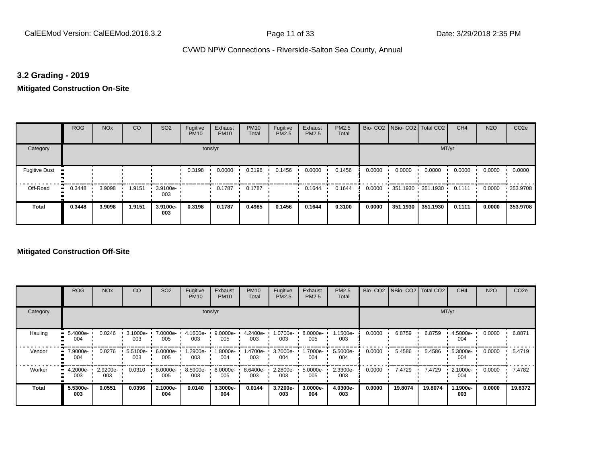## **3.2 Grading - 2019**

## **Mitigated Construction On-Site**

|                      | <b>ROG</b>   | <b>NO<sub>x</sub></b> | CO     | SO <sub>2</sub> | Fugitive<br><b>PM10</b> | Exhaust<br><b>PM10</b> | <b>PM10</b><br>Total | Fugitive<br>PM2.5 | Exhaust<br>PM2.5 | PM2.5<br>Total |        | Bio- CO2   NBio- CO2   Total CO2 |          | CH <sub>4</sub> | <b>N2O</b> | CO <sub>2e</sub> |
|----------------------|--------------|-----------------------|--------|-----------------|-------------------------|------------------------|----------------------|-------------------|------------------|----------------|--------|----------------------------------|----------|-----------------|------------|------------------|
| Category             |              |                       |        |                 | tons/yr                 |                        |                      |                   |                  |                |        |                                  | MT/yr    |                 |            |                  |
| <b>Fugitive Dust</b> |              |                       |        |                 | 0.3198                  | 0.0000                 | 0.3198               | 0.1456            | 0.0000           | 0.1456         | 0.0000 | 0.0000                           | 0.0000   | 0.0000          | 0.0000     | 0.0000           |
| Off-Road             | 0.3448<br>ш. | 3.9098                | 1.9151 | 3.9100e-<br>003 |                         | 0.1787                 | 0.1787               |                   | 0.1644           | 0.1644         | 0.0000 | 351.1930 351.1930 '              |          | 0.1111          | 0.0000     | .353.9708        |
| <b>Total</b>         | 0.3448       | 3.9098                | 1.9151 | 3.9100e-<br>003 | 0.3198                  | 0.1787                 | 0.4985               | 0.1456            | 0.1644           | 0.3100         | 0.0000 | 351.1930                         | 351.1930 | 0.1111          | 0.0000     | 353.9708         |

|          | <b>ROG</b>      | <b>NO<sub>x</sub></b> | CO              | SO <sub>2</sub> | Fugitive<br><b>PM10</b> | Exhaust<br><b>PM10</b> | <b>PM10</b><br>Total | Fugitive<br><b>PM2.5</b> | Exhaust<br>PM2.5 | <b>PM2.5</b><br>Total |        | Bio- CO2   NBio- CO2   Total CO2 |         | CH <sub>4</sub> | <b>N2O</b> | CO <sub>2e</sub> |
|----------|-----------------|-----------------------|-----------------|-----------------|-------------------------|------------------------|----------------------|--------------------------|------------------|-----------------------|--------|----------------------------------|---------|-----------------|------------|------------------|
| Category |                 |                       |                 |                 |                         | tons/yr                |                      |                          |                  |                       |        |                                  |         | MT/yr           |            |                  |
| Hauling  | 5.4000e-<br>004 | 0.0246                | 3.1000e-<br>003 | 7.0000e-<br>005 | 4.1600e-<br>003         | 9.0000e-<br>005        | 4.2400e-<br>003      | 1.0700e-<br>003          | 8.0000e-<br>005  | 1.1500e-<br>003       | 0.0000 | 6.8759                           | 6.8759  | 4.5000e-<br>004 | 0.0000     | 6.8871           |
| Vendor   | 7.9000e-<br>004 | 0.0276                | 5.5100e-<br>003 | 6.0000e-<br>005 | -2900e.<br>003          | 1.8000e-<br>004        | 1.4700e-<br>003      | 3.7000e-<br>004          | 1.7000e-<br>004  | 5.5000e-<br>004       | 0.0000 | 5.4586                           | 5.4586  | 5.3000e-<br>004 | 0.0000     | 5.4719           |
| Worker   | 4.2000e-<br>003 | 2.9200e-<br>003       | 0.0310          | 8.0000e-<br>005 | 8.5900e-<br>003         | 6.0000e-<br>005        | 8.6400e-<br>003      | 2.2800e-<br>003          | 5.0000e-<br>005  | 2.3300e-<br>003       | 0.0000 | 7.4729                           | 7.4729  | 2.1000e-<br>004 | 0.0000     | 7.4782           |
| Total    | 5.5300e-<br>003 | 0.0551                | 0.0396          | 2.1000e-<br>004 | 0.0140                  | 3.3000e-<br>004        | 0.0144               | 3.7200e-<br>003          | 3.0000e-<br>004  | 4.0300e-<br>003       | 0.0000 | 19.8074                          | 19.8074 | 1.1900e-<br>003 | 0.0000     | 19,8372          |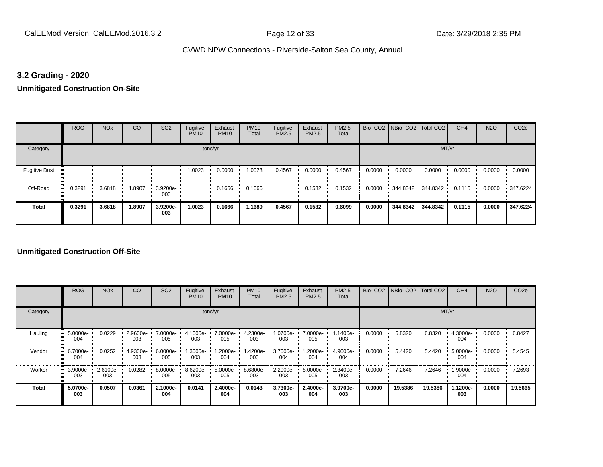## **3.2 Grading - 2020**

**Unmitigated Construction On-Site**

|                           | <b>ROG</b>   | <b>NO<sub>x</sub></b> | CO     | SO <sub>2</sub>    | Fugitive<br><b>PM10</b> | Exhaust<br><b>PM10</b> | <b>PM10</b><br>Total | Fugitive<br>PM2.5 | Exhaust<br>PM2.5 | PM2.5<br>Total |        | Bio- CO2   NBio- CO2   Total CO2 |          | CH <sub>4</sub> | <b>N2O</b> | CO <sub>2e</sub> |
|---------------------------|--------------|-----------------------|--------|--------------------|-------------------------|------------------------|----------------------|-------------------|------------------|----------------|--------|----------------------------------|----------|-----------------|------------|------------------|
| Category                  |              |                       |        |                    | tons/yr                 |                        |                      |                   |                  |                |        |                                  | MT/yr    |                 |            |                  |
| <b>Fugitive Dust</b><br>Ð |              |                       |        |                    | 1.0023                  | 0.0000                 | 1.0023               | 0.4567            | 0.0000           | 0.4567         | 0.0000 | 0.0000                           | 0.0000   | 0.0000          | 0.0000     | 0.0000           |
| Off-Road                  | 0.3291<br>ш. | 3.6818                | 1.8907 | $-3.9200e-$<br>003 |                         | 0.1666                 | 0.1666               |                   | 0.1532           | 0.1532         | 0.0000 | 344.8342 344.8342                |          | 0.1115          | 0.0000     | $\cdot$ 347.6224 |
| <b>Total</b>              | 0.3291       | 3.6818                | 1.8907 | 3.9200e-<br>003    | 1.0023                  | 0.1666                 | 1.1689               | 0.4567            | 0.1532           | 0.6099         | 0.0000 | 344.8342                         | 344.8342 | 0.1115          | 0.0000     | 347.6224         |

|              | <b>ROG</b>           | <b>NO<sub>x</sub></b> | CO                 | SO <sub>2</sub> | Fugitive<br><b>PM10</b> | Exhaust<br><b>PM10</b> | <b>PM10</b><br>Total | Fugitive<br><b>PM2.5</b> | Exhaust<br>PM2.5 | PM2.5<br>Total  |        | Bio- CO2   NBio- CO2   Total CO2 |         | CH <sub>4</sub> | <b>N2O</b> | CO <sub>2e</sub> |
|--------------|----------------------|-----------------------|--------------------|-----------------|-------------------------|------------------------|----------------------|--------------------------|------------------|-----------------|--------|----------------------------------|---------|-----------------|------------|------------------|
| Category     |                      |                       |                    |                 |                         | tons/yr                |                      |                          |                  |                 |        |                                  |         | MT/yr           |            |                  |
| Hauling      | 5.0000e-<br>œ<br>004 | 0.0229                | $2.9600e -$<br>003 | 7.0000e-<br>005 | 4.1600e-<br>003         | 7.0000e-<br>005        | 4.2300e-<br>003      | -0700e-<br>003           | 7.0000e-<br>005  | 1.1400e-<br>003 | 0.0000 | 6.8320                           | 6.8320  | 4.3000e-<br>004 | 0.0000     | 6.8427           |
| Vendor       | 6.7000e-<br>œ<br>004 | 0.0252                | 4.9300e-<br>003    | 6.0000e-<br>005 | .3000e-<br>003          | 1.2000e-<br>004        | 1.4200e-<br>003      | 3.7000e-<br>004          | .2000e-<br>004   | 4.9000e-<br>004 | 0.0000 | 5.4420                           | 5.4420  | 5.0000e-<br>004 | 0.0000     | 5.4545           |
| Worker       | 3.9000e-<br>m<br>003 | 2.6100e-<br>003       | 0.0282             | 8.0000e-<br>005 | 8.6200e-<br>003         | 5.0000e-<br>005        | 8.6800e-<br>003      | 2.2900e-<br>003          | 5.0000e-<br>005  | 2.3400e-<br>003 | 0.0000 | 7.2646                           | 7.2646  | 1.9000e-<br>004 | 0.0000     | 7.2693           |
| <b>Total</b> | 5.0700e-<br>003      | 0.0507                | 0.0361             | 2.1000e-<br>004 | 0.0141                  | 2.4000e-<br>004        | 0.0143               | 3.7300e-<br>003          | 2.4000e-<br>004  | 3.9700e-<br>003 | 0.0000 | 19.5386                          | 19.5386 | 1.1200e-<br>003 | 0.0000     | 19.5665          |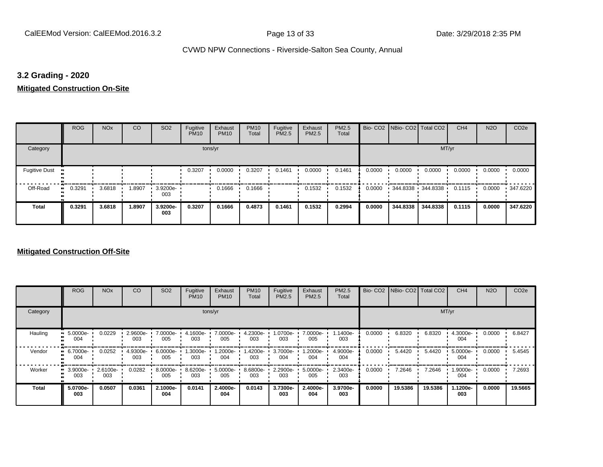## **3.2 Grading - 2020**

**Mitigated Construction On-Site**

|                      | <b>ROG</b>          | <b>NO<sub>x</sub></b> | CO     | SO <sub>2</sub> | Fugitive<br><b>PM10</b> | Exhaust<br><b>PM10</b> | <b>PM10</b><br>Total | Fugitive<br>PM2.5 | Exhaust<br>PM2.5 | PM2.5<br>Total |        | Bio- CO2   NBio- CO2   Total CO2 |          | CH <sub>4</sub> | <b>N2O</b> | CO <sub>2e</sub> |
|----------------------|---------------------|-----------------------|--------|-----------------|-------------------------|------------------------|----------------------|-------------------|------------------|----------------|--------|----------------------------------|----------|-----------------|------------|------------------|
| Category             |                     |                       |        |                 | tons/yr                 |                        |                      |                   |                  |                |        |                                  | MT/yr    |                 |            |                  |
| <b>Fugitive Dust</b> |                     |                       |        |                 | 0.3207                  | 0.0000                 | 0.3207               | 0.1461            | 0.0000           | 0.1461         | 0.0000 | 0.0000                           | 0.0000   | 0.0000          | 0.0000     | 0.0000           |
| Off-Road             | 0.3291<br>$\bullet$ | 3.6818                | .8907  | 3.9200e-<br>003 |                         | 0.1666                 | 0.1666               |                   | 0.1532           | 0.1532         | 0.0000 | $-344.8338 - 344.8338$           |          | 0.1115          | 0.0000     | $\cdot$ 347.6220 |
| <b>Total</b>         | 0.3291              | 3.6818                | 1.8907 | 3.9200e-<br>003 | 0.3207                  | 0.1666                 | 0.4873               | 0.1461            | 0.1532           | 0.2994         | 0.0000 | 344.8338                         | 344.8338 | 0.1115          | 0.0000     | 347.6220         |

|              | <b>ROG</b>                   | <b>NO<sub>x</sub></b> | CO              | SO <sub>2</sub> | Fugitive<br><b>PM10</b> | Exhaust<br><b>PM10</b> | <b>PM10</b><br>Total | Fugitive<br><b>PM2.5</b> | Exhaust<br>PM2.5 | <b>PM2.5</b><br>Total |        | Bio- CO2   NBio- CO2   Total CO2 |         | CH <sub>4</sub> | <b>N2O</b> | CO <sub>2e</sub> |
|--------------|------------------------------|-----------------------|-----------------|-----------------|-------------------------|------------------------|----------------------|--------------------------|------------------|-----------------------|--------|----------------------------------|---------|-----------------|------------|------------------|
| Category     |                              |                       |                 |                 |                         | tons/yr                |                      |                          |                  |                       |        |                                  |         | MT/yr           |            |                  |
| Hauling      | 5.0000e-<br>004              | 0.0229                | 2.9600e-<br>003 | 7.0000e-<br>005 | 4.1600e-<br>003         | 7.0000e-<br>005        | 4.2300e-<br>003      | 1.0700e-<br>003          | 7.0000e-<br>005  | 1.1400e-<br>003       | 0.0000 | 6.8320                           | 6.8320  | 4.3000e-<br>004 | 0.0000     | 6.8427           |
| Vendor       | 6.7000e-<br>œ<br>004         | 0.0252                | 4.9300e-<br>003 | 6.0000e-<br>005 | .3000e-<br>003          | 1.2000e-<br>004        | 1.4200e-<br>003      | 3.7000e-<br>004          | .2000e-<br>004   | 4.9000e-<br>004       | 0.0000 | 5.4420                           | 5.4420  | 5.0000e-<br>004 | 0.0000     | 5.4545           |
| Worker       | 3.9000e-<br>$\bullet$<br>003 | 2.6100e-<br>003       | 0.0282          | 8.0000e-<br>005 | 8.6200e-<br>003         | 5.0000e-<br>005        | 8.6800e-<br>003      | 2.2900e-<br>003          | 5.0000e-<br>005  | 2.3400e-<br>003       | 0.0000 | 7.2646                           | 7.2646  | 1.9000e-<br>004 | 0.0000     | 7.2693           |
| <b>Total</b> | 5.0700e-<br>003              | 0.0507                | 0.0361          | 2.1000e-<br>004 | 0.0141                  | 2.4000e-<br>004        | 0.0143               | 3.7300e-<br>003          | 2.4000e-<br>004  | 3.9700e-<br>003       | 0.0000 | 19.5386                          | 19.5386 | 1.1200e-<br>003 | 0.0000     | 19.5665          |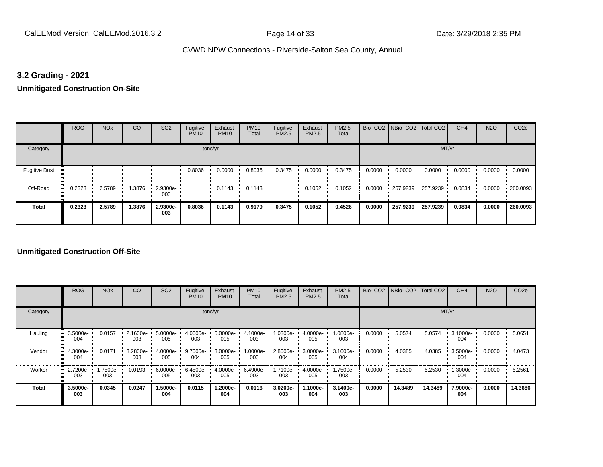## **3.2 Grading - 2021**

**Unmitigated Construction On-Site**

|                      | <b>ROG</b>          | <b>NO<sub>x</sub></b> | CO     | SO <sub>2</sub>    | Fugitive<br><b>PM10</b> | Exhaust<br><b>PM10</b> | <b>PM10</b><br>Total | Fugitive<br>PM2.5 | Exhaust<br>PM2.5 | PM2.5<br>Total |        | Bio- CO2   NBio- CO2   Total CO2 |          | CH <sub>4</sub> | <b>N2O</b> | CO <sub>2e</sub> |
|----------------------|---------------------|-----------------------|--------|--------------------|-------------------------|------------------------|----------------------|-------------------|------------------|----------------|--------|----------------------------------|----------|-----------------|------------|------------------|
| Category             |                     |                       |        |                    | tons/yr                 |                        |                      |                   |                  |                |        |                                  | MT/yr    |                 |            |                  |
| <b>Fugitive Dust</b> |                     |                       |        |                    | 0.8036                  | 0.0000                 | 0.8036               | 0.3475            | 0.0000           | 0.3475         | 0.0000 | 0.0000                           | 0.0000   | 0.0000          | 0.0000     | 0.0000           |
| Off-Road             | 0.2323<br>$\bullet$ | 2.5789                | 1.3876 | $-2.9300e-$<br>003 |                         | 0.1143                 | 0.1143               |                   | 0.1052           | 0.1052         | 0.0000 | 257.9239 257.9239                |          | 0.0834          | 0.0000     | .260.0093        |
| <b>Total</b>         | 0.2323              | 2.5789                | 1.3876 | 2.9300e-<br>003    | 0.8036                  | 0.1143                 | 0.9179               | 0.3475            | 0.1052           | 0.4526         | 0.0000 | 257.9239                         | 257.9239 | 0.0834          | 0.0000     | 260.0093         |

|              | <b>ROG</b>            | <b>NO<sub>x</sub></b> | CO              | SO <sub>2</sub> | Fugitive<br><b>PM10</b> | Exhaust<br><b>PM10</b> | <b>PM10</b><br>Total | Fugitive<br><b>PM2.5</b> | Exhaust<br>PM2.5 | PM2.5<br>Total  |        | Bio- CO2   NBio- CO2   Total CO2 |         | CH <sub>4</sub> | <b>N2O</b> | CO <sub>2e</sub> |
|--------------|-----------------------|-----------------------|-----------------|-----------------|-------------------------|------------------------|----------------------|--------------------------|------------------|-----------------|--------|----------------------------------|---------|-----------------|------------|------------------|
| Category     |                       |                       |                 |                 | tons/yr                 |                        |                      |                          |                  |                 |        |                                  | MT/yr   |                 |            |                  |
| Hauling      | 3.5000e-<br>œ<br>004  | 0.0157                | 2.1600e-<br>003 | 5.0000e-<br>005 | 4.0600e-<br>003         | 5.0000e-<br>005        | 4.1000e-<br>003      | 1.0300e-<br>003          | 4.0000e-<br>005  | 1.0800e-<br>003 | 0.0000 | 5.0574                           | 5.0574  | 3.1000e-<br>004 | 0.0000     | 5.0651           |
| Vendor       | 4.3000e-<br>œ<br>004  | 0.0171                | 3.2800e-<br>003 | 4.0000e-<br>005 | 9.7000e-<br>004         | 3.0000e-<br>005        | 1.0000e-<br>003      | 2.8000e-<br>004          | 3.0000e-<br>005  | 3.1000e-<br>004 | 0.0000 | 4.0385                           | 4.0385  | 3.5000e-<br>004 | 0.0000     | 4.0473           |
| Worker       | 2.7200e-<br>п.<br>003 | 1.7500e-<br>003       | 0.0193          | 6.0000e-<br>005 | 6.4500e-<br>003         | 4.0000e-<br>005        | 6.4900e-<br>003      | 1.7100e-<br>003          | 4.0000e-<br>005  | 1.7500e-<br>003 | 0.0000 | 5.2530                           | 5.2530  | 1.3000e-<br>004 | 0.0000     | 5.2561           |
| <b>Total</b> | 3.5000e-<br>003       | 0.0345                | 0.0247          | 1.5000e-<br>004 | 0.0115                  | 1.2000e-<br>004        | 0.0116               | 3.0200e-<br>003          | -1000e-<br>004   | 3.1400e-<br>003 | 0.0000 | 14.3489                          | 14.3489 | 7.9000e-<br>004 | 0.0000     | 14.3686          |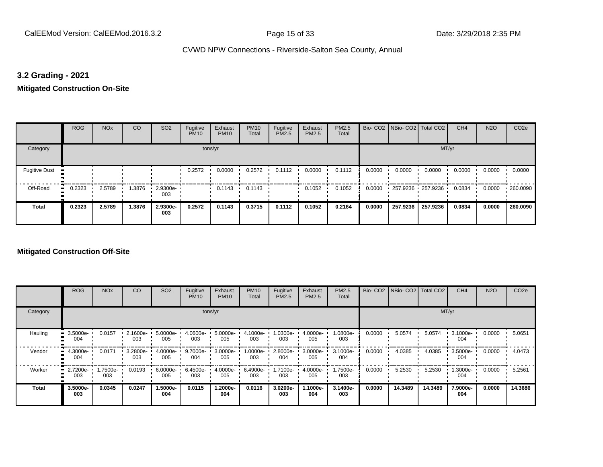## **3.2 Grading - 2021**

**Mitigated Construction On-Site**

|                       | <b>ROG</b> | <b>NO<sub>x</sub></b> | CO     | SO <sub>2</sub> | Fugitive<br><b>PM10</b> | Exhaust<br><b>PM10</b> | <b>PM10</b><br>Total | Fugitive<br>PM2.5 | Exhaust<br>PM2.5 | PM2.5<br>Total |        | Bio- CO2   NBio- CO2   Total CO2 |          | CH <sub>4</sub> | <b>N2O</b> | CO <sub>2e</sub> |
|-----------------------|------------|-----------------------|--------|-----------------|-------------------------|------------------------|----------------------|-------------------|------------------|----------------|--------|----------------------------------|----------|-----------------|------------|------------------|
| Category              |            |                       |        |                 | tons/yr                 |                        |                      |                   |                  |                |        |                                  | MT/yr    |                 |            |                  |
| <b>Fugitive Dust</b>  |            |                       |        |                 | 0.2572                  | 0.0000                 | 0.2572               | 0.1112            | 0.0000           | 0.1112         | 0.0000 | 0.0000                           | 0.0000   | 0.0000          | 0.0000     | 0.0000           |
| Off-Road<br>$\bullet$ | 0.2323     | 2.5789                | .3876  | 2.9300e-<br>003 |                         | 0.1143                 | 0.1143               |                   | 0.1052           | 0.1052         | 0.0000 | 257.9236 257.9236                |          | 0.0834          | 0.0000     | .260.0090        |
| <b>Total</b>          | 0.2323     | 2.5789                | 1.3876 | 2.9300e-<br>003 | 0.2572                  | 0.1143                 | 0.3715               | 0.1112            | 0.1052           | 0.2164         | 0.0000 | 257.9236                         | 257.9236 | 0.0834          | 0.0000     | 260.0090         |

|              | <b>ROG</b>                   | <b>NO<sub>x</sub></b> | CO              | SO <sub>2</sub> | Fugitive<br><b>PM10</b> | Exhaust<br><b>PM10</b> | <b>PM10</b><br>Total | Fugitive<br><b>PM2.5</b> | Exhaust<br>PM2.5 | PM2.5<br>Total  |        | Bio- CO2   NBio- CO2   Total CO2 |         | CH <sub>4</sub> | <b>N2O</b> | CO <sub>2e</sub> |
|--------------|------------------------------|-----------------------|-----------------|-----------------|-------------------------|------------------------|----------------------|--------------------------|------------------|-----------------|--------|----------------------------------|---------|-----------------|------------|------------------|
| Category     |                              |                       |                 |                 |                         | tons/yr                |                      |                          |                  |                 |        |                                  | MT/yr   |                 |            |                  |
| Hauling      | 3.5000e-<br>ш<br>004         | 0.0157                | 2.1600e-<br>003 | 5.0000e-<br>005 | 4.0600e-<br>003         | 5.0000e-<br>005        | 4.1000e-<br>003      | .0300e-<br>003           | 4.0000e-<br>005  | 1.0800e-<br>003 | 0.0000 | 5.0574                           | 5.0574  | 3.1000e-<br>004 | 0.0000     | 5.0651           |
| Vendor       | 4.3000e-<br>$\bullet$<br>004 | 0.0171                | 3.2800e-<br>003 | 4.0000e-<br>005 | 9.7000e-<br>004         | 3.0000e-<br>005        | 1.0000e-<br>003      | 2.8000e-<br>004          | 3.0000e-<br>005  | 3.1000e-<br>004 | 0.0000 | 4.0385                           | 4.0385  | 3.5000e-<br>004 | 0.0000     | 4.0473           |
| Worker       | 2.7200e-<br>ш<br>003         | 1.7500e-<br>003       | 0.0193          | 6.0000e-<br>005 | 6.4500e-<br>003         | 4.0000e-<br>005        | 6.4900e-<br>003      | 1.7100e-<br>003          | 4.0000e-<br>005  | 1.7500e-<br>003 | 0.0000 | 5.2530                           | 5.2530  | 1.3000e-<br>004 | 0.0000     | 5.2561           |
| <b>Total</b> | 3.5000e-<br>003              | 0.0345                | 0.0247          | -.5000e<br>004  | 0.0115                  | 1.2000e-<br>004        | 0.0116               | 3.0200e-<br>003          | -1000e-<br>004   | 3.1400e-<br>003 | 0.0000 | 14.3489                          | 14.3489 | 7.9000e-<br>004 | 0.0000     | 14.3686          |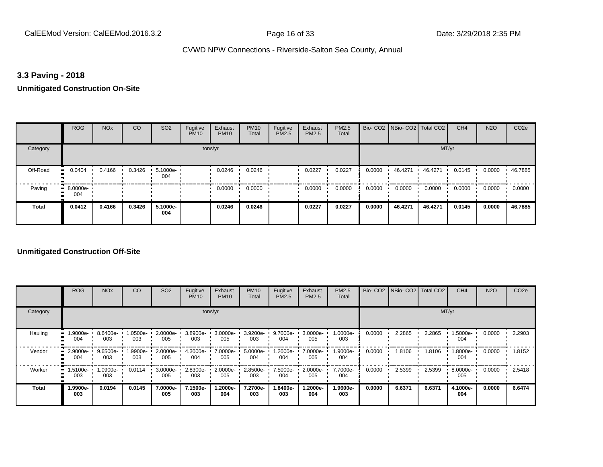## **3.3 Paving - 2018**

#### **Unmitigated Construction On-Site**

|              | <b>ROG</b>          | <b>NO<sub>x</sub></b> | CO     | SO <sub>2</sub> | Fugitive<br><b>PM10</b> | Exhaust<br><b>PM10</b> | <b>PM10</b><br>Total | Fugitive<br>PM2.5 | Exhaust<br>PM2.5 | PM2.5<br>Total |        | Bio- CO2   NBio- CO2   Total CO2 |         | CH <sub>4</sub> | <b>N2O</b> | CO <sub>2e</sub> |
|--------------|---------------------|-----------------------|--------|-----------------|-------------------------|------------------------|----------------------|-------------------|------------------|----------------|--------|----------------------------------|---------|-----------------|------------|------------------|
| Category     |                     |                       |        |                 |                         | tons/yr                |                      |                   |                  |                |        |                                  | MT/yr   |                 |            |                  |
| Off-Road     | 0.0404<br>$\bullet$ | 0.4166                | 0.3426 | 5.1000e-<br>004 |                         | 0.0246                 | 0.0246               |                   | 0.0227           | 0.0227         | 0.0000 | 46.4271                          | 46.4271 | 0.0145          | 0.0000     | 46.7885          |
| Paving       | $-8.0000e-$<br>004  |                       |        |                 |                         | 0.0000                 | 0.0000               |                   | 0.0000           | 0.0000         | 0.0000 | 0.0000                           | 0.0000  | 0.0000          | 0.0000     | 0.0000           |
| <b>Total</b> | 0.0412              | 0.4166                | 0.3426 | 5.1000e-<br>004 |                         | 0.0246                 | 0.0246               |                   | 0.0227           | 0.0227         | 0.0000 | 46.4271                          | 46.4271 | 0.0145          | 0.0000     | 46.7885          |

|              | <b>ROG</b>      | <b>NO<sub>x</sub></b> | CO             | SO <sub>2</sub>    | Fugitive<br><b>PM10</b> | Exhaust<br><b>PM10</b> | <b>PM10</b><br>Total | Fugitive<br><b>PM2.5</b> | Exhaust<br><b>PM2.5</b> | PM2.5<br>Total  | Bio-CO <sub>2</sub> | NBio-CO2 Total CO2 |        | CH <sub>4</sub> | <b>N2O</b> | CO <sub>2e</sub> |
|--------------|-----------------|-----------------------|----------------|--------------------|-------------------------|------------------------|----------------------|--------------------------|-------------------------|-----------------|---------------------|--------------------|--------|-----------------|------------|------------------|
| Category     |                 |                       |                |                    |                         | tons/yr                |                      |                          |                         |                 |                     |                    | MT/yr  |                 |            |                  |
| Hauling      | 1.9000e-<br>004 | 8.6400e-<br>003       | .0500e-<br>003 | $2.0000e -$<br>005 | 3.8900e-<br>003         | 3.0000e-<br>005        | 3.9200e-<br>003      | 9.7000e-<br>004          | 3.0000e-<br>005         | 1.0000e-<br>003 | 0.0000              | 2.2865             | 2.2865 | 1.5000e-<br>004 | 0.0000     | 2.2903           |
| Vendor       | 2.9000e-<br>004 | 9.6500e-<br>003       | .9900e-<br>003 | 2.0000e-<br>005    | 4.3000e-<br>004         | 7.0000e-<br>005        | 5.0000e-<br>004      | 1.2000e-<br>004          | 7.0000e-<br>005         | 1.9000e-<br>004 | 0.0000              | 1.8106             | 1.8106 | -9000e-<br>004  | 0.0000     | 1.8152           |
| Worker       | 1.5100e-<br>003 | 1.0900e-<br>003       | 0.0114         | 3.0000e-<br>005    | 2.8300e-<br>003         | 2.0000e-<br>005        | 2.8500e-<br>003      | 7.5000e-<br>004          | 2.0000e-<br>005         | 7.7000e-<br>004 | 0.0000              | 2.5399             | 2.5399 | 8.0000e-<br>005 | 0.0000     | 2.5418           |
| <b>Total</b> | 1.9900e-<br>003 | 0.0194                | 0.0145         | 7.0000e-<br>005    | 7.1500e-<br>003         | 1.2000e-<br>004        | 7.2700e-<br>003      | -8400e.<br>003           | -2000e.<br>004          | 1.9600e-<br>003 | 0.0000              | 6.6371             | 6.6371 | 4.1000e-<br>004 | 0.0000     | 6.6474           |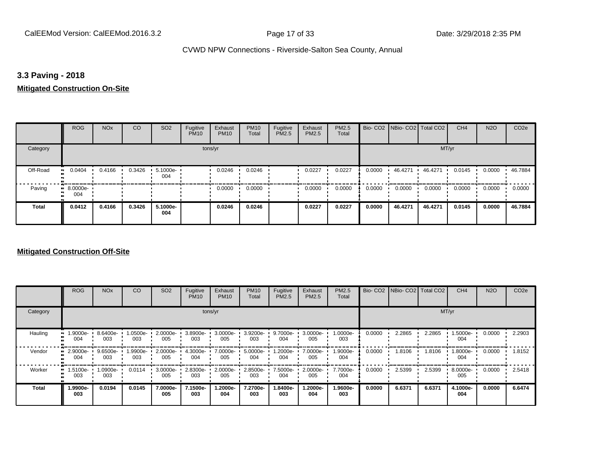## **3.3 Paving - 2018**

## **Mitigated Construction On-Site**

|          | ROG             | <b>NO<sub>x</sub></b> | CO     | SO <sub>2</sub>         | Fugitive<br><b>PM10</b> | Exhaust<br><b>PM10</b> | <b>PM10</b><br>Total | Fugitive<br>PM2.5 | Exhaust<br>PM2.5 | PM2.5<br>Total |        | Bio- CO2   NBio- CO2   Total CO2 |         | CH <sub>4</sub> | <b>N2O</b> | CO <sub>2e</sub> |
|----------|-----------------|-----------------------|--------|-------------------------|-------------------------|------------------------|----------------------|-------------------|------------------|----------------|--------|----------------------------------|---------|-----------------|------------|------------------|
| Category |                 |                       |        |                         |                         | tons/yr                |                      |                   |                  |                |        |                                  | MT/yr   |                 |            |                  |
| Off-Road | 0.0404          | 0.4166                | 0.3426 | $\cdot$ 5.1000e-<br>004 |                         | 0.0246                 | 0.0246               |                   | 0.0227           | 0.0227         | 0.0000 | 46.4271                          | 46.4271 | 0.0145          | 0.0000     | 46.7884          |
| Paving   | 8.0000e-<br>004 |                       |        |                         |                         | 0.0000                 | 0.0000               |                   | 0.0000           | 0.0000         | 0.0000 | 0.0000                           | 0.0000  | 0.0000          | 0.0000     | 0.0000           |
| Total    | 0.0412          | 0.4166                | 0.3426 | 5.1000e-<br>004         |                         | 0.0246                 | 0.0246               |                   | 0.0227           | 0.0227         | 0.0000 | 46.4271                          | 46.4271 | 0.0145          | 0.0000     | 46.7884          |

|              | <b>ROG</b>      | <b>NO<sub>x</sub></b> | CO             | SO <sub>2</sub>    | Fugitive<br><b>PM10</b> | Exhaust<br><b>PM10</b> | <b>PM10</b><br>Total | Fugitive<br><b>PM2.5</b> | Exhaust<br><b>PM2.5</b> | PM2.5<br>Total  | Bio-CO <sub>2</sub> | NBio-CO2 Total CO2 |        | CH <sub>4</sub> | <b>N2O</b> | CO <sub>2e</sub> |
|--------------|-----------------|-----------------------|----------------|--------------------|-------------------------|------------------------|----------------------|--------------------------|-------------------------|-----------------|---------------------|--------------------|--------|-----------------|------------|------------------|
| Category     |                 |                       |                |                    |                         | tons/yr                |                      |                          |                         |                 |                     |                    | MT/yr  |                 |            |                  |
| Hauling      | 1.9000e-<br>004 | 8.6400e-<br>003       | .0500e-<br>003 | $2.0000e -$<br>005 | 3.8900e-<br>003         | 3.0000e-<br>005        | 3.9200e-<br>003      | 9.7000e-<br>004          | 3.0000e-<br>005         | 1.0000e-<br>003 | 0.0000              | 2.2865             | 2.2865 | 1.5000e-<br>004 | 0.0000     | 2.2903           |
| Vendor       | 2.9000e-<br>004 | 9.6500e-<br>003       | .9900e-<br>003 | 2.0000e-<br>005    | 4.3000e-<br>004         | 7.0000e-<br>005        | 5.0000e-<br>004      | 1.2000e-<br>004          | 7.0000e-<br>005         | 1.9000e-<br>004 | 0.0000              | 1.8106             | 1.8106 | -9000e-<br>004  | 0.0000     | 1.8152           |
| Worker       | 1.5100e-<br>003 | 1.0900e-<br>003       | 0.0114         | 3.0000e-<br>005    | 2.8300e-<br>003         | 2.0000e-<br>005        | 2.8500e-<br>003      | 7.5000e-<br>004          | 2.0000e-<br>005         | 7.7000e-<br>004 | 0.0000              | 2.5399             | 2.5399 | 8.0000e-<br>005 | 0.0000     | 2.5418           |
| <b>Total</b> | 1.9900e-<br>003 | 0.0194                | 0.0145         | 7.0000e-<br>005    | 7.1500e-<br>003         | 1.2000e-<br>004        | 7.2700e-<br>003      | -8400e.<br>003           | -2000e.<br>004          | 1.9600e-<br>003 | 0.0000              | 6.6371             | 6.6371 | 4.1000e-<br>004 | 0.0000     | 6.6474           |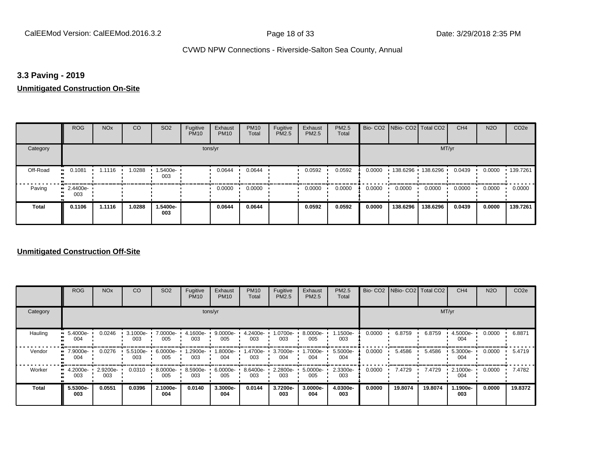## **3.3 Paving - 2019**

#### **Unmitigated Construction On-Site**

|              | <b>ROG</b>              | <b>NO<sub>x</sub></b> | CO     | SO <sub>2</sub> | Fugitive<br><b>PM10</b> | Exhaust<br><b>PM10</b> | <b>PM10</b><br>Total | Fugitive<br><b>PM2.5</b> | Exhaust<br>PM2.5 | PM2.5<br>Total |        | Bio- CO2   NBio- CO2   Total CO2 |          | CH <sub>4</sub> | <b>N2O</b> | CO <sub>2e</sub> |
|--------------|-------------------------|-----------------------|--------|-----------------|-------------------------|------------------------|----------------------|--------------------------|------------------|----------------|--------|----------------------------------|----------|-----------------|------------|------------------|
| Category     |                         |                       |        |                 | tons/yr                 |                        |                      |                          |                  |                |        |                                  | MT/yr    |                 |            |                  |
| Off-Road     | 0.1081<br>ш.            | 1.1116                | 1.0288 | -5400e-<br>003  |                         | 0.0644                 | 0.0644               |                          | 0.0592           | 0.0592         | 0.0000 | $138.6296$ 138.6296              |          | 0.0439          | 0.0000     | 139.7261         |
| Paving       | $\cdot$ 2.4400e-<br>003 |                       |        |                 |                         | 0.0000                 | 0.0000               |                          | 0.0000           | 0.0000         | 0.0000 | 0.0000                           | 0.0000   | 0.0000          | 0.0000     | 0.0000           |
| <b>Total</b> | 0.1106                  | 1.1116                | 1.0288 | 1.5400e-<br>003 |                         | 0.0644                 | 0.0644               |                          | 0.0592           | 0.0592         | 0.0000 | 138.6296                         | 138.6296 | 0.0439          | 0.0000     | 139.7261         |

|              | <b>ROG</b>           | <b>NO<sub>x</sub></b> | CO                 | SO <sub>2</sub> | Fugitive<br><b>PM10</b> | Exhaust<br><b>PM10</b> | <b>PM10</b><br>Total | Fugitive<br><b>PM2.5</b> | Exhaust<br>PM2.5 | <b>PM2.5</b><br>Total |        | Bio- CO2 NBio- CO2 Total CO2 |         | CH <sub>4</sub> | <b>N2O</b> | CO <sub>2e</sub> |
|--------------|----------------------|-----------------------|--------------------|-----------------|-------------------------|------------------------|----------------------|--------------------------|------------------|-----------------------|--------|------------------------------|---------|-----------------|------------|------------------|
| Category     |                      |                       |                    |                 |                         | tons/yr                |                      |                          |                  |                       |        |                              |         | MT/yr           |            |                  |
| Hauling      | 5.4000e-<br>004      | 0.0246                | $3.1000e -$<br>003 | 7.0000e-<br>005 | 4.1600e-<br>003         | $9.0000e-$<br>005      | 4.2400e-<br>003      | 1.0700e-<br>003          | 8.0000e-<br>005  | 1.1500e-<br>003       | 0.0000 | 6.8759                       | 6.8759  | 4.5000e-<br>004 | 0.0000     | 6.8871           |
| Vendor       | 7.9000e-<br>œ<br>004 | 0.0276                | 5.5100e-<br>003    | 6.0000e-<br>005 | .2900e-<br>003          | 1.8000e-<br>004        | 1.4700e-<br>003      | 3.7000e-<br>004          | 1.7000e-<br>004  | 5.5000e-<br>004       | 0.0000 | 5.4586                       | 5.4586  | 5.3000e-<br>004 | 0.0000     | 5.4719           |
| Worker       | 4.2000e-<br>003      | 2.9200e-<br>003       | 0.0310             | 8.0000e-<br>005 | 8.5900e-<br>003         | 6.0000e-<br>005        | 8.6400e-<br>003      | 2.2800e-<br>003          | 5.0000e-<br>005  | 2.3300e-<br>003       | 0.0000 | 7.4729                       | 7.4729  | 2.1000e-<br>004 | 0.0000     | 7.4782           |
| <b>Total</b> | 5.5300e-<br>003      | 0.0551                | 0.0396             | 2.1000e-<br>004 | 0.0140                  | 3.3000e-<br>004        | 0.0144               | 3.7200e-<br>003          | 3.0000e-<br>004  | 4.0300e-<br>003       | 0.0000 | 19.8074                      | 19.8074 | 1.1900e-<br>003 | 0.0000     | 19.8372          |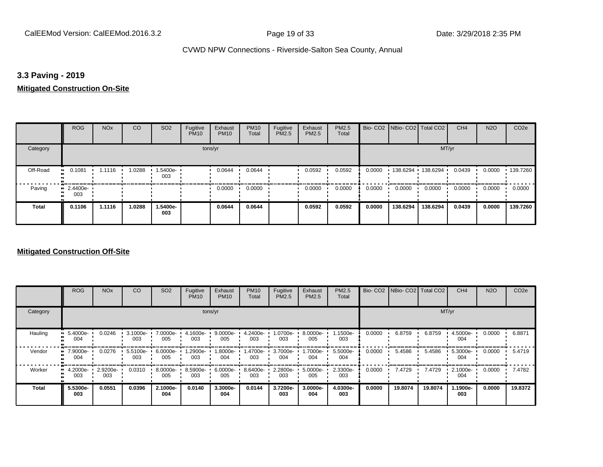## **3.3 Paving - 2019**

## **Mitigated Construction On-Site**

|              | <b>ROG</b>                     | <b>NO<sub>x</sub></b> | CO     | SO <sub>2</sub> | Fugitive<br><b>PM10</b> | Exhaust<br><b>PM10</b> | <b>PM10</b><br>Total | Fugitive<br>PM2.5 | Exhaust<br><b>PM2.5</b> | <b>PM2.5</b><br>Total |        |          | Bio- CO2   NBio- CO2   Total CO2 | CH <sub>4</sub> | <b>N2O</b> | CO <sub>2e</sub> |
|--------------|--------------------------------|-----------------------|--------|-----------------|-------------------------|------------------------|----------------------|-------------------|-------------------------|-----------------------|--------|----------|----------------------------------|-----------------|------------|------------------|
| Category     |                                |                       |        |                 | tons/yr                 |                        |                      |                   |                         |                       |        |          | MT/yr                            |                 |            |                  |
| Off-Road<br> | 0.1081                         | 1.1116                | 1.0288 | 1.5400e-<br>003 |                         | 0.0644                 | 0.0644               |                   | 0.0592                  | 0.0592                | 0.0000 | 138.6294 | 138.6294                         | 0.0439          | 0.0000     | $\cdot$ 139.7260 |
| Paving       | $\blacksquare$ 2.4400e-<br>003 |                       |        |                 |                         | 0.0000                 | 0.0000               |                   | 0.0000                  | 0.0000                | 0.0000 | 0.0000   | 0.0000                           | 0.0000          | 0.0000     | 0.0000           |
| Total        | 0.1106                         | 1.1116                | 1.0288 | 1.5400e-<br>003 |                         | 0.0644                 | 0.0644               |                   | 0.0592                  | 0.0592                | 0.0000 | 138.6294 | 138.6294                         | 0.0439          | 0.0000     | 139.7260         |

|              | <b>ROG</b>           | <b>NO<sub>x</sub></b> | CO                 | SO <sub>2</sub> | Fugitive<br><b>PM10</b> | Exhaust<br><b>PM10</b> | <b>PM10</b><br>Total | Fugitive<br><b>PM2.5</b> | Exhaust<br>PM2.5 | <b>PM2.5</b><br>Total |        | Bio- CO2   NBio- CO2   Total CO2 |         | CH <sub>4</sub> | <b>N2O</b> | CO <sub>2e</sub> |
|--------------|----------------------|-----------------------|--------------------|-----------------|-------------------------|------------------------|----------------------|--------------------------|------------------|-----------------------|--------|----------------------------------|---------|-----------------|------------|------------------|
| Category     |                      |                       |                    |                 |                         | tons/yr                |                      |                          |                  |                       |        |                                  |         | MT/yr           |            |                  |
| Hauling      | 5.4000e-<br>004      | 0.0246                | $3.1000e -$<br>003 | 7.0000e-<br>005 | 4.1600e-<br>003         | $9.0000e-$<br>005      | 4.2400e-<br>003      | 1.0700e-<br>003          | 8.0000e-<br>005  | 1.1500e-<br>003       | 0.0000 | 6.8759                           | 6.8759  | 4.5000e-<br>004 | 0.0000     | 6.8871           |
| Vendor       | 7.9000e-<br>œ<br>004 | 0.0276                | 5.5100e-<br>003    | 6.0000e-<br>005 | -2900e-<br>003          | 1.8000e-<br>004        | 1.4700e-<br>003      | 3.7000e-<br>004          | 1.7000e-<br>004  | 5.5000e-<br>004       | 0.0000 | 5.4586                           | 5.4586  | 5.3000e-<br>004 | 0.0000     | 5.4719           |
| Worker       | 4.2000e-<br>003      | 2.9200e-<br>003       | 0.0310             | 8.0000e-<br>005 | 8.5900e-<br>003         | 6.0000e-<br>005        | 8.6400e-<br>003      | 2.2800e-<br>003          | 5.0000e-<br>005  | 2.3300e-<br>003       | 0.0000 | 7.4729                           | 7.4729  | 2.1000e-<br>004 | 0.0000     | 7.4782           |
| <b>Total</b> | 5.5300e-<br>003      | 0.0551                | 0.0396             | 2.1000e-<br>004 | 0.0140                  | 3.3000e-<br>004        | 0.0144               | 3.7200e-<br>003          | 3.0000e-<br>004  | 4.0300e-<br>003       | 0.0000 | 19.8074                          | 19.8074 | 1.1900e-<br>003 | 0.0000     | 19.8372          |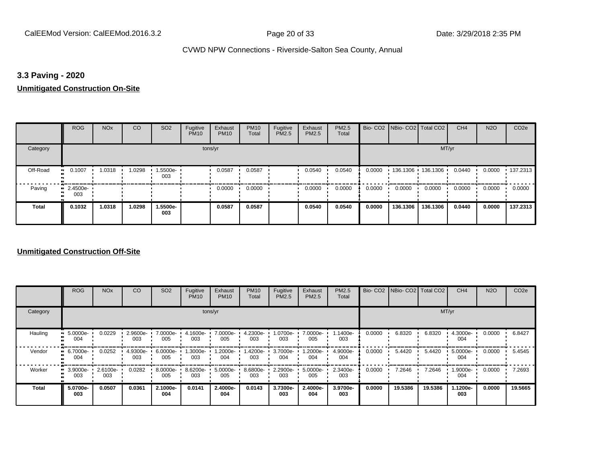## **3.3 Paving - 2020**

#### **Unmitigated Construction On-Site**

|              | <b>ROG</b>                     | <b>NO<sub>x</sub></b> | CO     | SO <sub>2</sub> | Fugitive<br><b>PM10</b> | Exhaust<br><b>PM10</b> | <b>PM10</b><br>Total | Fugitive<br>PM2.5 | Exhaust<br>PM2.5 | PM2.5<br>Total |        | Bio- CO2   NBio- CO2   Total CO2 |          | CH <sub>4</sub> | <b>N2O</b> | CO <sub>2e</sub> |
|--------------|--------------------------------|-----------------------|--------|-----------------|-------------------------|------------------------|----------------------|-------------------|------------------|----------------|--------|----------------------------------|----------|-----------------|------------|------------------|
| Category     |                                |                       |        |                 | tons/yr                 |                        |                      |                   |                  |                |        |                                  | MT/yr    |                 |            |                  |
| Off-Road     | 0.1007<br>$\bullet\bullet$     | 1.0318                | 1.0298 | 1.5500e-<br>003 |                         | 0.0587                 | 0.0587               |                   | 0.0540           | 0.0540         | 0.0000 | $136.1306$ 136.1306 ·            |          | 0.0440          | 0.0000     | $\cdot$ 137.2313 |
| Paving       | $\blacksquare$ 2.4500e-<br>003 |                       |        |                 |                         | 0.0000                 | 0.0000               |                   | 0.0000           | 0.0000         | 0.0000 | 0.0000                           | 0.0000   | 0.0000          | 0.0000     | 0.0000           |
| <b>Total</b> | 0.1032                         | 1.0318                | 1.0298 | 1.5500e-<br>003 |                         | 0.0587                 | 0.0587               |                   | 0.0540           | 0.0540         | 0.0000 | 136.1306                         | 136.1306 | 0.0440          | 0.0000     | 137.2313         |

|              | <b>ROG</b>      | <b>NO<sub>x</sub></b> | CO              | SO <sub>2</sub> | Fugitive<br><b>PM10</b> | Exhaust<br><b>PM10</b> | <b>PM10</b><br>Total | Fugitive<br><b>PM2.5</b> | Exhaust<br><b>PM2.5</b> | PM2.5<br>Total  | Bio-CO <sub>2</sub> | NBio-CO2 Total CO2 |         | CH <sub>4</sub> | <b>N2O</b> | CO <sub>2e</sub> |
|--------------|-----------------|-----------------------|-----------------|-----------------|-------------------------|------------------------|----------------------|--------------------------|-------------------------|-----------------|---------------------|--------------------|---------|-----------------|------------|------------------|
| Category     |                 |                       |                 |                 |                         | tons/yr                |                      |                          |                         |                 |                     |                    |         | MT/yr           |            |                  |
| Hauling      | 5.0000e-<br>004 | 0.0229                | 2.9600e-<br>003 | 7.0000e-<br>005 | 4.1600e-<br>003         | 7.0000e-<br>005        | 4.2300e-<br>003      | 1.0700e-<br>003          | 7.0000e-<br>005         | 1.1400e-<br>003 | 0.0000              | 6.8320             | 6.8320  | 4.3000e-<br>004 | 0.0000     | 6.8427           |
| Vendor       | 6.7000e-<br>004 | 0.0252                | 4.9300e-<br>003 | 6.0000e-<br>005 | -3000e.<br>003          | 1.2000e-<br>004        | 1.4200e-<br>003      | 3.7000e-<br>004          | -2000e.<br>004          | 4.9000e-<br>004 | 0.0000              | 5.4420             | 5.4420  | 5.0000e-<br>004 | 0.0000     | 5.4545           |
| Worker       | 3.9000e-<br>003 | 2.6100e-<br>003       | 0.0282          | 8.0000e-<br>005 | 8.6200e-<br>003         | 5.0000e-<br>005        | 8.6800e-<br>003      | 2.2900e-<br>003          | 5.0000e-<br>005         | 2.3400e-<br>003 | 0.0000              | 7.2646             | 7.2646  | 1.9000e-<br>004 | 0.0000     | 7.2693           |
| <b>Total</b> | 5.0700e-<br>003 | 0.0507                | 0.0361          | 2.1000e-<br>004 | 0.0141                  | 2.4000e-<br>004        | 0.0143               | 3.7300e-<br>003          | 2.4000e-<br>004         | 3.9700e-<br>003 | 0.0000              | 19.5386            | 19.5386 | 1.1200e-<br>003 | 0.0000     | 19.5665          |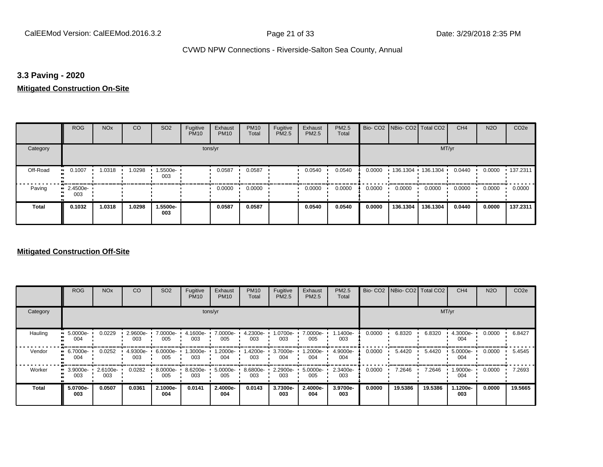## **3.3 Paving - 2020**

## **Mitigated Construction On-Site**

|          | <b>ROG</b>              | <b>NO<sub>x</sub></b> | CO    | SO <sub>2</sub> | Fugitive<br><b>PM10</b> | Exhaust<br><b>PM10</b> | <b>PM10</b><br>Total | Fugitive<br>PM2.5 | Exhaust<br><b>PM2.5</b> | PM2.5<br>Total |        | Bio- CO2 NBio- CO2 Total CO2 |                     | CH <sub>4</sub> | <b>N2O</b> | CO <sub>2e</sub> |
|----------|-------------------------|-----------------------|-------|-----------------|-------------------------|------------------------|----------------------|-------------------|-------------------------|----------------|--------|------------------------------|---------------------|-----------------|------------|------------------|
| Category |                         |                       |       |                 | tons/yr                 |                        |                      |                   |                         |                |        |                              | MT/yr               |                 |            |                  |
| Off-Road | 0.1007<br>$\bullet$     | 1.0318                | .0298 | 1.5500e-<br>003 |                         | 0.0587                 | 0.0587               |                   | 0.0540                  | 0.0540         | 0.0000 |                              | 136.1304 136.1304 1 | 0.0440          | 0.0000     | $+137.2311$      |
| Paving   | $\cdot$ 2.4500e-<br>003 |                       |       |                 |                         | 0.0000                 | 0.0000               |                   | 0.0000                  | 0.0000         | 0.0000 | 0.0000                       | 0.0000              | 0.0000          | 0.0000     | 0.0000           |
| Total    | 0.1032                  | 1.0318                | .0298 | 1.5500e-<br>003 |                         | 0.0587                 | 0.0587               |                   | 0.0540                  | 0.0540         | 0.0000 | 136.1304                     | 136.1304            | 0.0440          | 0.0000     | 137.2311         |

|              | <b>ROG</b>           | <b>NO<sub>x</sub></b> | CO                 | SO <sub>2</sub> | Fugitive<br><b>PM10</b> | Exhaust<br><b>PM10</b> | <b>PM10</b><br>Total | Fugitive<br><b>PM2.5</b> | Exhaust<br>PM2.5 | <b>PM2.5</b><br>Total |        | Bio- CO2 NBio- CO2 Total CO2 |         | CH <sub>4</sub> | <b>N2O</b> | CO <sub>2e</sub> |
|--------------|----------------------|-----------------------|--------------------|-----------------|-------------------------|------------------------|----------------------|--------------------------|------------------|-----------------------|--------|------------------------------|---------|-----------------|------------|------------------|
| Category     |                      |                       |                    |                 |                         | tons/yr                |                      |                          |                  |                       | MT/yr  |                              |         |                 |            |                  |
| Hauling      | 5.0000e-<br>004      | 0.0229                | $2.9600e -$<br>003 | 7.0000e-<br>005 | 4.1600e-<br>003         | 7.0000e-<br>005        | 4.2300e-<br>003      | 1.0700e-<br>003          | 7.0000e-<br>005  | 1.1400e-<br>003       | 0.0000 | 6.8320                       | 6.8320  | 4.3000e-<br>004 | 0.0000     | 6.8427           |
| Vendor       | 6.7000e-<br>œ<br>004 | 0.0252                | 4.9300e-<br>003    | 6.0000e-<br>005 | .3000e-<br>003          | 1.2000e-<br>004        | 1.4200e-<br>003      | 3.7000e-<br>004          | -2000e.<br>004   | 4.9000e-<br>004       | 0.0000 | 5.4420                       | 5.4420  | 5.0000e-<br>004 | 0.0000     | 5.4545           |
| Worker       | 3.9000e-<br>œ<br>003 | 2.6100e-<br>003       | 0.0282             | 8.0000e-<br>005 | 8.6200e-<br>003         | 5.0000e-<br>005        | 8.6800e-<br>003      | 2.2900e-<br>003          | 5.0000e-<br>005  | 2.3400e-<br>003       | 0.0000 | 7.2646                       | 7.2646  | 1.9000e-<br>004 | 0.0000     | 7.2693           |
| <b>Total</b> | 5.0700e-<br>003      | 0.0507                | 0.0361             | 2.1000e-<br>004 | 0.0141                  | 2.4000e-<br>004        | 0.0143               | 3.7300e-<br>003          | 2.4000e-<br>004  | 3.9700e-<br>003       | 0.0000 | 19.5386                      | 19.5386 | 1.1200e-<br>003 | 0.0000     | 19.5665          |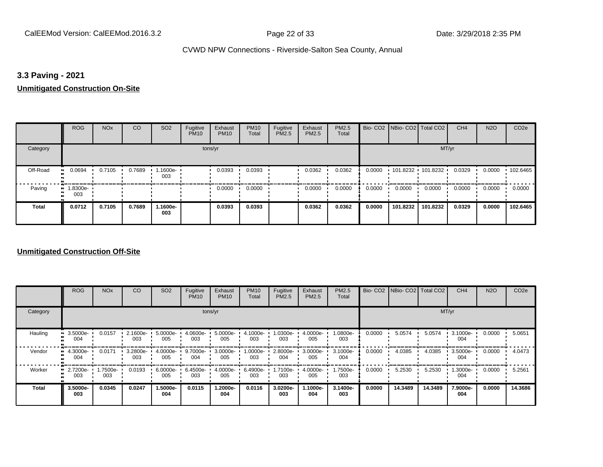## **3.3 Paving - 2021**

#### **Unmitigated Construction On-Site**

|                       | <b>ROG</b>         | <b>NO<sub>x</sub></b> | CO     | SO <sub>2</sub> | Fugitive<br><b>PM10</b> | Exhaust<br><b>PM10</b> | <b>PM10</b><br>Total | Fugitive<br>PM2.5 | Exhaust<br>PM2.5 | PM2.5<br>Total |        | Bio- CO2   NBio- CO2   Total CO2 |          | CH <sub>4</sub> | <b>N2O</b> | CO <sub>2e</sub> |
|-----------------------|--------------------|-----------------------|--------|-----------------|-------------------------|------------------------|----------------------|-------------------|------------------|----------------|--------|----------------------------------|----------|-----------------|------------|------------------|
| Category              |                    |                       |        |                 | tons/yr                 |                        |                      |                   |                  |                |        |                                  | MT/yr    |                 |            |                  |
| Off-Road<br>$\bullet$ | 0.0694             | 0.7105                | 0.7689 | 1.1600e-<br>003 |                         | 0.0393                 | 0.0393               |                   | 0.0362           | 0.0362         | 0.0000 | $101.8232$ 101.8232              |          | 0.0329          | 0.0000     | 102.6465         |
| Paving                | $-1.8300e-$<br>003 |                       |        |                 |                         | 0.0000                 | 0.0000               |                   | 0.0000           | 0.0000         | 0.0000 | 0.0000                           | 0.0000   | 0.0000          | 0.0000     | 0.0000           |
| <b>Total</b>          | 0.0712             | 0.7105                | 0.7689 | 1.1600e-<br>003 |                         | 0.0393                 | 0.0393               |                   | 0.0362           | 0.0362         | 0.0000 | 101.8232                         | 101.8232 | 0.0329          | 0.0000     | 102.6465         |

|              | <b>ROG</b>           | <b>NO<sub>x</sub></b> | CO                 | SO <sub>2</sub> | Fugitive<br><b>PM10</b> | Exhaust<br><b>PM10</b> | <b>PM10</b><br>Total | Fugitive<br><b>PM2.5</b> | Exhaust<br><b>PM2.5</b> | <b>PM2.5</b><br>Total |        | Bio- CO2 NBio- CO2 Total CO2 |         | CH <sub>4</sub> | <b>N2O</b> | CO <sub>2e</sub> |
|--------------|----------------------|-----------------------|--------------------|-----------------|-------------------------|------------------------|----------------------|--------------------------|-------------------------|-----------------------|--------|------------------------------|---------|-----------------|------------|------------------|
| Category     |                      |                       |                    |                 |                         | tons/yr                |                      |                          |                         |                       | MT/yr  |                              |         |                 |            |                  |
| Hauling      | 3.5000e-<br>004      | 0.0157                | $2.1600e -$<br>003 | 5.0000e-<br>005 | $4.0600e -$<br>003      | 5.0000e-<br>005        | 4.1000e-<br>003      | 1.0300e-<br>003          | 4.0000e-<br>005         | 1.0800e-<br>003       | 0.0000 | 5.0574                       | 5.0574  | 3.1000e-<br>004 | 0.0000     | 5.0651           |
| Vendor       | 4.3000e-<br>004      | 0.0171                | 3.2800e-<br>003    | 4.0000e-<br>005 | 9.7000e-<br>004         | 3.0000e-<br>005        | 1.0000e-<br>003      | 2.8000e-<br>004          | 3.0000e-<br>005         | 3.1000e-<br>004       | 0.0000 | 4.0385                       | 4.0385  | 3.5000e-<br>004 | 0.0000     | 4.0473           |
| Worker       | 2.7200e-<br>m<br>003 | 1.7500e-<br>003       | 0.0193             | 6.0000e-<br>005 | 6.4500e-<br>003         | 4.0000e-<br>005        | 6.4900e-<br>003      | 1.7100e-<br>003          | 4.0000e-<br>005         | 1.7500e-<br>003       | 0.0000 | 5.2530                       | 5.2530  | 1.3000e-<br>004 | 0.0000     | 5.2561           |
| <b>Total</b> | 3.5000e-<br>003      | 0.0345                | 0.0247             | 1.5000e-<br>004 | 0.0115                  | 1.2000e-<br>004        | 0.0116               | 3.0200e-<br>003          | 1.1000e-<br>004         | 3.1400e-<br>003       | 0.0000 | 14.3489                      | 14.3489 | 7.9000e-<br>004 | 0.0000     | 14.3686          |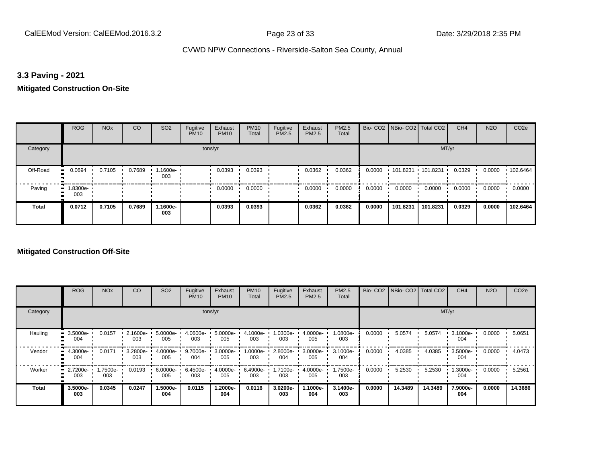## **3.3 Paving - 2021**

## **Mitigated Construction On-Site**

|          | ROG                | <b>NO<sub>x</sub></b> | CO     | SO <sub>2</sub> | Fugitive<br><b>PM10</b> | Exhaust<br><b>PM10</b> | <b>PM10</b><br>Total | Fugitive<br>PM2.5 | Exhaust<br><b>PM2.5</b> | PM2.5<br>Total |        | Bio- CO2   NBio- CO2   Total CO2 |          | CH <sub>4</sub> | <b>N2O</b> | CO <sub>2e</sub> |
|----------|--------------------|-----------------------|--------|-----------------|-------------------------|------------------------|----------------------|-------------------|-------------------------|----------------|--------|----------------------------------|----------|-----------------|------------|------------------|
| Category |                    |                       |        |                 | tons/yr                 |                        |                      |                   |                         |                |        |                                  | MT/yr    |                 |            |                  |
| Off-Road | 0.0694             | 0.7105                | 0.7689 | 1.1600e-<br>003 |                         | 0.0393                 | 0.0393               |                   | 0.0362                  | 0.0362         | 0.0000 | 101.8231 101.8231                |          | 0.0329          | 0.0000     | 102.6464         |
| Paving   | $-1.8300e-$<br>003 |                       |        |                 |                         | 0.0000                 | 0.0000               |                   | 0.0000                  | 0.0000         | 0.0000 | 0.0000                           | 0.0000   | 0.0000          | 0.0000     | 0.0000           |
| Total    | 0.0712             | 0.7105                | 0.7689 | 1.1600e-<br>003 |                         | 0.0393                 | 0.0393               |                   | 0.0362                  | 0.0362         | 0.0000 | 101.8231                         | 101.8231 | 0.0329          | 0.0000     | 102.6464         |

|              | <b>ROG</b>             | <b>NO<sub>x</sub></b> | CO              | SO <sub>2</sub> | Fugitive<br><b>PM10</b> | Exhaust<br><b>PM10</b> | <b>PM10</b><br>Total | Fugitive<br><b>PM2.5</b> | Exhaust<br>PM2.5 | <b>PM2.5</b><br>Total |        | Bio- CO2   NBio- CO2   Total CO2 |         | CH <sub>4</sub> | <b>N2O</b> | CO <sub>2e</sub> |
|--------------|------------------------|-----------------------|-----------------|-----------------|-------------------------|------------------------|----------------------|--------------------------|------------------|-----------------------|--------|----------------------------------|---------|-----------------|------------|------------------|
| Category     |                        |                       |                 |                 | tons/yr                 |                        |                      |                          |                  |                       |        |                                  | MT/yr   |                 |            |                  |
| Hauling      | 3.5000e-<br>004        | 0.0157                | 2.1600e-<br>003 | 5.0000e-<br>005 | 4.0600e-<br>003         | 5.0000e-<br>005        | 4.1000e-<br>003      | -0300e-<br>003           | 4.0000e-<br>005  | 1.0800e-<br>003       | 0.0000 | 5.0574                           | 5.0574  | 3.1000e-<br>004 | 0.0000     | 5.0651           |
| Vendor       | 4.3000e-<br>004        | 0.0171                | 3.2800e-<br>003 | 4.0000e-<br>005 | 9.7000e-<br>004         | 3.0000e-<br>005        | 1.0000e-<br>003      | 2.8000e-<br>004          | 3.0000e-<br>005  | 3.1000e-<br>004       | 0.0000 | 4.0385                           | 4.0385  | 3.5000e-<br>004 | 0.0000     | 4.0473           |
| Worker       | 2.7200e-<br>. .<br>003 | -7500e-<br>003        | 0.0193          | 6.0000e-<br>005 | 6.4500e-<br>003         | 4.0000e-<br>005        | 6.4900e-<br>003      | 1.7100e-<br>003          | 4.0000e-<br>005  | 1.7500e-<br>003       | 0.0000 | 5.2530                           | 5.2530  | 1.3000e-<br>004 | 0.0000     | 5.2561           |
| <b>Total</b> | 3.5000e-<br>003        | 0.0345                | 0.0247          | 1.5000e-<br>004 | 0.0115                  | 1.2000e-<br>004        | 0.0116               | 3.0200e-<br>003          | -.1000e<br>004   | 3.1400e-<br>003       | 0.0000 | 14.3489                          | 14.3489 | 7.9000e-<br>004 | 0.0000     | 14.3686          |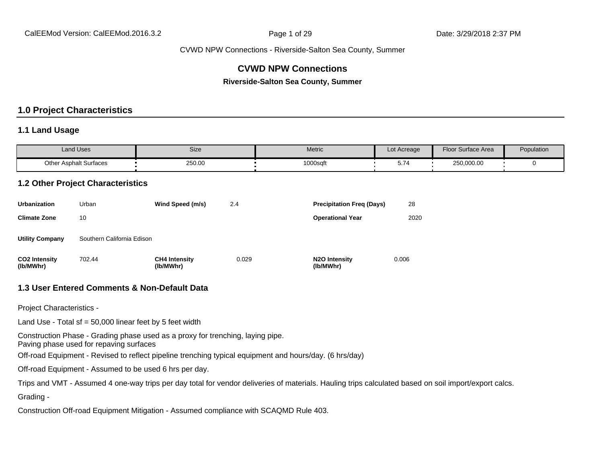## **CVWD NPW Connections**

**Riverside-Salton Sea County, Summer**

### **1.0 Project Characteristics**

#### **1.1 Land Usage**

| <b>Land Uses</b>              | Size   | Metric   | Lot Acreage | <b>Floor Surface Area</b> | Population |
|-------------------------------|--------|----------|-------------|---------------------------|------------|
| <b>Other Asphalt Surfaces</b> | 250.00 | 1000sqft | ◡.≀         | 250,000.00                |            |

#### **1.2 Other Project Characteristics**

| <b>Urbanization</b>               | Urban                      | Wind Speed (m/s)                  | 2.4   | <b>Precipitation Freg (Days)</b>        | 28    |
|-----------------------------------|----------------------------|-----------------------------------|-------|-----------------------------------------|-------|
| <b>Climate Zone</b>               | 10                         |                                   |       | <b>Operational Year</b>                 | 2020  |
| <b>Utility Company</b>            | Southern California Edison |                                   |       |                                         |       |
| <b>CO2 Intensity</b><br>(lb/MWhr) | 702.44                     | <b>CH4 Intensity</b><br>(lb/MWhr) | 0.029 | N <sub>2</sub> O Intensity<br>(lb/MWhr) | 0.006 |

#### **1.3 User Entered Comments & Non-Default Data**

Project Characteristics -

Land Use - Total sf =  $50,000$  linear feet by 5 feet width

Construction Phase - Grading phase used as a proxy for trenching, laying pipe.

Paving phase used for repaving surfaces

Off-road Equipment - Revised to reflect pipeline trenching typical equipment and hours/day. (6 hrs/day)

Off-road Equipment - Assumed to be used 6 hrs per day.

Trips and VMT - Assumed 4 one-way trips per day total for vendor deliveries of materials. Hauling trips calculated based on soil import/export calcs.

Grading -

Construction Off-road Equipment Mitigation - Assumed compliance with SCAQMD Rule 403.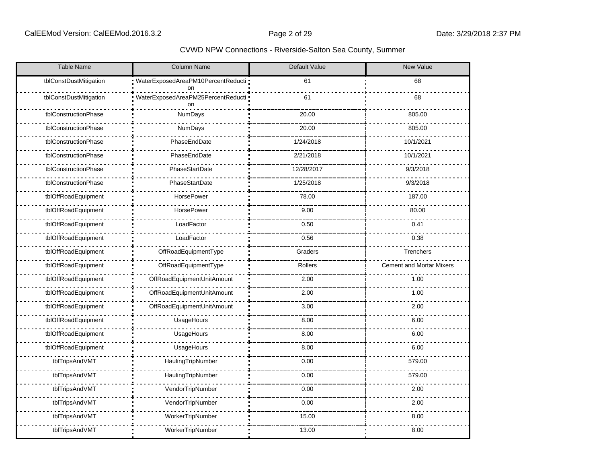| <b>Table Name</b>      | Column Name                                | Default Value | <b>New Value</b>                |
|------------------------|--------------------------------------------|---------------|---------------------------------|
| tblConstDustMitigation | WaterExposedAreaPM10PercentReducti -<br>on | 61            | 68                              |
| tblConstDustMitigation | WaterExposedAreaPM25PercentReducti ·<br>on | 61            | 68                              |
| tblConstructionPhase   | NumDays                                    | 20.00         | 805.00                          |
| tblConstructionPhase   | NumDays                                    | 20.00         | 805.00                          |
| tblConstructionPhase   | PhaseEndDate                               | 1/24/2018     | 10/1/2021                       |
| tblConstructionPhase   | PhaseEndDate                               | 2/21/2018     | 10/1/2021                       |
| tblConstructionPhase   | PhaseStartDate                             | 12/28/2017    | 9/3/2018                        |
| tblConstructionPhase   | PhaseStartDate                             | 1/25/2018     | 9/3/2018                        |
| tblOffRoadEquipment    | HorsePower                                 | 78.00         | 187.00                          |
| tblOffRoadEquipment    | <b>HorsePower</b>                          | 9.00          | 80.00                           |
| tblOffRoadEquipment    | LoadFactor                                 | 0.50          | 0.41                            |
| tblOffRoadEquipment    | LoadFactor                                 | 0.56          | 0.38                            |
| tblOffRoadEquipment    | OffRoadEquipmentType                       | Graders       | Trenchers                       |
| tblOffRoadEquipment    | OffRoadEquipmentType                       | Rollers       | <b>Cement and Mortar Mixers</b> |
| tblOffRoadEquipment    | OffRoadEquipmentUnitAmount                 | 2.00          | 1.00                            |
| tblOffRoadEquipment    | OffRoadEquipmentUnitAmount                 | 2.00          | 1.00                            |
| tblOffRoadEquipment    | OffRoadEquipmentUnitAmount                 | 3.00          | 2.00                            |
| tblOffRoadEquipment    | UsageHours                                 | 8.00          | 6.00                            |
| tblOffRoadEquipment    | UsageHours                                 | 8.00          | 6.00                            |
| tblOffRoadEquipment    | UsageHours                                 | 8.00          | 6.00                            |
| tblTripsAndVMT         | HaulingTripNumber                          | 0.00          | 579.00                          |
| tblTripsAndVMT         | HaulingTripNumber                          | 0.00          | 579.00                          |
| tblTripsAndVMT         | VendorTripNumber                           | 0.00          | 2.00                            |
| tblTripsAndVMT         | VendorTripNumber                           | 0.00          | 2.00                            |
| tblTripsAndVMT         | WorkerTripNumber                           | 15.00         | 8.00                            |
| tblTripsAndVMT         | WorkerTripNumber                           | 13.00         | 8.00                            |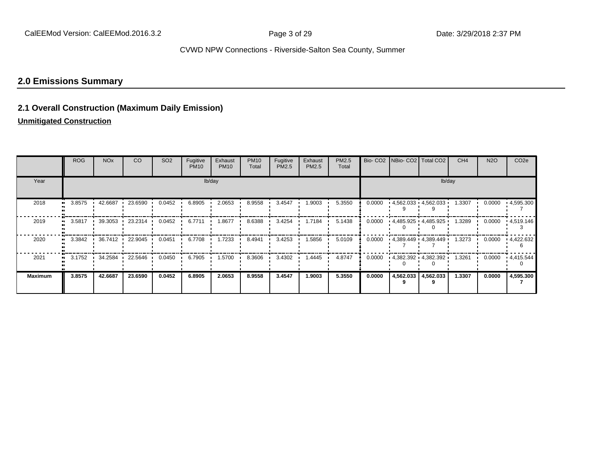## **2.0 Emissions Summary**

## **2.1 Overall Construction (Maximum Daily Emission)**

#### **Unmitigated Construction**

|                | <b>ROG</b>       | <b>NO<sub>x</sub></b> | CO.             | SO <sub>2</sub> | Fugitive<br><b>PM10</b> | Exhaust<br><b>PM10</b> | <b>PM10</b><br>Total | Fugitive<br><b>PM2.5</b> | Exhaust<br>PM2.5 | <b>PM2.5</b><br>Total |        |           | Bio- CO2   NBio- CO2   Total CO2 | CH <sub>4</sub> | <b>N2O</b> | CO <sub>2e</sub>     |
|----------------|------------------|-----------------------|-----------------|-----------------|-------------------------|------------------------|----------------------|--------------------------|------------------|-----------------------|--------|-----------|----------------------------------|-----------------|------------|----------------------|
| Year           |                  |                       |                 |                 |                         | lb/day                 |                      |                          |                  |                       | lb/day |           |                                  |                 |            |                      |
| 2018           | 3.8575           | 42.6687               | 23.6590         | 0.0452          | 6.8905                  | 2.0653                 | 8.9558               | 3.4547                   | 1.9003           | 5.3550                | 0.0000 |           | $4,562.033$ $4,562.033$          | 1.3307          | 0.0000     | 4,595.300            |
| 2019           | 3.5817           | 39.3053               | 23.2314         | 0.0452          | 6.7711                  | 1.8677                 | 8.6388               | 3.4254                   | 1.7184           | 5.1438                | 0.0000 |           | $-4,485.925$ $-4,485.925$        | 1.3289          | 0.0000     | - 4,519.146          |
| 2020           | 3.3842           |                       | 36.7412 22.9045 | 0.0451          | 6.7708                  | 1.7233                 | 8.4941               | 3.4253                   | 1.5856           | 5.0109                | 0.0000 |           | - 4,389.449 - 4,389.449          | 1.3273          | 0.0000     | - 4,422.632          |
| 2021           | $3.1752$ $\cdot$ | 34.2584               | 22.5646         | 0.0450          | 6.7905                  | 1.5700                 | 8.3606               | 3.4302                   | 1.4445           | 4.8747                | 0.0000 |           | $-4,382.392 - 4,382.392$         | 1.3261          |            | $0.0000 + 4.415.544$ |
| <b>Maximum</b> | 3.8575           | 42.6687               | 23.6590         | 0.0452          | 6.8905                  | 2.0653                 | 8.9558               | 3.4547                   | 1.9003           | 5.3550                | 0.0000 | 4,562.033 | 4,562.033                        | 1.3307          | 0.0000     | 4,595.300            |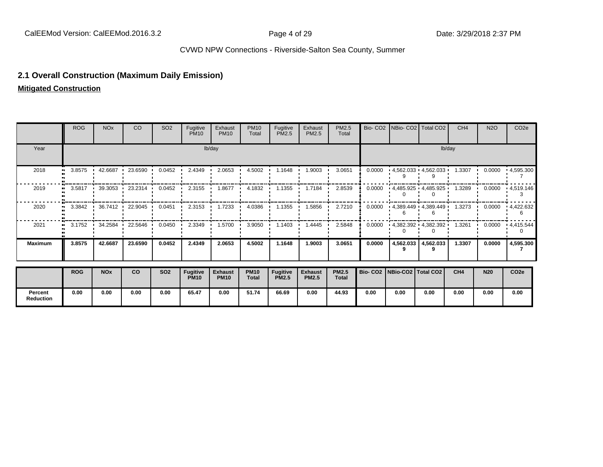## **2.1 Overall Construction (Maximum Daily Emission)**

**Mitigated Construction**

**Percent Reduction**

|                | <b>ROG</b> | <b>NO<sub>x</sub></b> | CO                       | SO <sub>2</sub> | Fugitive<br><b>PM10</b>        | Exhaust<br><b>PM10</b>        | <b>PM10</b><br>Total        | Fugitive<br>PM2.5        | Exhaust<br>PM2.5               | PM2.5<br>Total               |                                 |           | Bio- CO2   NBio- CO2   Total CO2 | CH <sub>4</sub> | <b>N2O</b> | CO <sub>2e</sub>  |
|----------------|------------|-----------------------|--------------------------|-----------------|--------------------------------|-------------------------------|-----------------------------|--------------------------|--------------------------------|------------------------------|---------------------------------|-----------|----------------------------------|-----------------|------------|-------------------|
| Year           |            |                       |                          |                 |                                | lb/day                        |                             |                          |                                |                              |                                 |           |                                  | lb/day          |            |                   |
| 2018           | 3.8575<br> | 42.6687               | 23.6590                  | 0.0452          | 2.4349                         | 2.0653                        | 4.5002                      | 1.1648                   | 1.9003                         | 3.0651                       | 0.0000                          |           | $4,562.033$ $4,562.033$          | 1.3307          | 0.0000     | $\cdot$ 4,595.300 |
| 2019           | 3.5817     | .39.3053              | 23.2314                  | 0.0452          | 2.3155                         | 1.8677                        | 4.1832                      | 1.1355                   | 1.7184                         | 2.8539                       | 0.0000                          |           | $-4,485.925$ $-4,485.925$        | 1.3289          | 0.0000     | .4,519.146        |
| 2020           |            |                       | 3.3842 1 36.7412 22.9045 | 0.0451          | 2.3153                         | 1.7233                        | 4.0386                      | 1.1355                   | 1.5856                         | 2.7210                       | 0.0000                          |           | - 4,389.449 - 4,389.449          | 1.3273          | 0.0000     | 4,422.632         |
| 2021           |            | 3.1752 1 34.2584      | 22.5646                  | 0.0450          | 2.3349                         | 1.5700                        | 3.9050                      | 1.1403                   | 1.4445                         | 2.5848                       | 0.0000                          |           | $-4,382.392 - 4,382.392$         | 1.3261          | 0.0000     | $\cdot$ 4,415.544 |
| <b>Maximum</b> | 3.8575     | 42.6687               | 23.6590                  | 0.0452          | 2.4349                         | 2.0653                        | 4.5002                      | 1.1648                   | 1.9003                         | 3.0651                       | 0.0000                          | 4,562.033 | 4,562.033                        | 1.3307          | 0.0000     | 4,595.300         |
|                | <b>ROG</b> | <b>NOx</b>            | co                       | <b>SO2</b>      | <b>Fugitive</b><br><b>PM10</b> | <b>Exhaust</b><br><b>PM10</b> | <b>PM10</b><br><b>Total</b> | Fugitive<br><b>PM2.5</b> | <b>Exhaust</b><br><b>PM2.5</b> | <b>PM2.5</b><br><b>Total</b> | Bio- CO2   NBio-CO2   Total CO2 |           |                                  | CH4             | <b>N20</b> | CO <sub>2e</sub>  |

**0.00 0.00 0.00 0.00 65.47 0.00 51.74 66.69 0.00 44.93 0.00 0.00 0.00 0.00 0.00 0.00**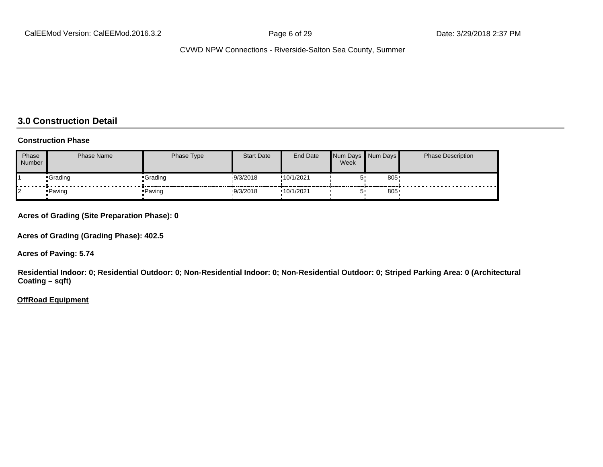## **3.0 Construction Detail**

#### **Construction Phase**

| Phase<br><b>Number</b> | <b>Phase Name</b> | Phase Type | <b>Start Date</b> | <b>End Date</b> | Week | Num Days Num Days | <b>Phase Description</b> |
|------------------------|-------------------|------------|-------------------|-----------------|------|-------------------|--------------------------|
|                        | •Grading          | •Grading   | 9/3/2018          | !10/1/2021      |      | 805               |                          |
|                        | • Paving          | ∙ Paving   | 9/3/2018          | .10/1/2021      |      | 805               |                          |

**Acres of Grading (Site Preparation Phase): 0**

**Acres of Grading (Grading Phase): 402.5**

**Acres of Paving: 5.74**

**Residential Indoor: 0; Residential Outdoor: 0; Non-Residential Indoor: 0; Non-Residential Outdoor: 0; Striped Parking Area: 0 (Architectural Coating – sqft)**

#### **OffRoad Equipment**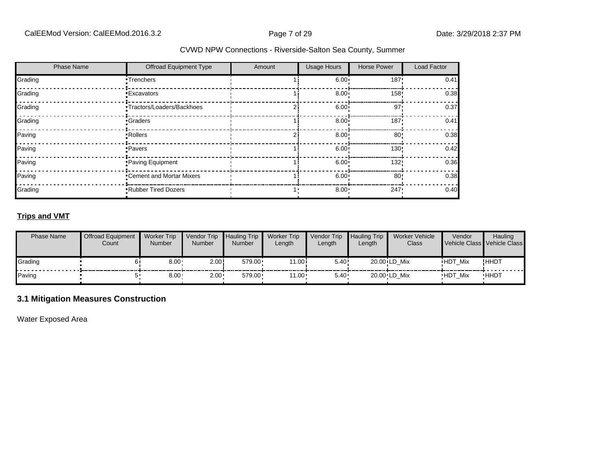| <b>Phase Name</b> | Offroad Equipment Type      | Amount | <b>Usage Hours</b> | <b>Horse Power</b> | Load Factor |
|-------------------|-----------------------------|--------|--------------------|--------------------|-------------|
| Grading           | •Trenchers                  |        | $6.00 \cdot$       | 187'               | 0.41        |
| Grading           | <b>Excavators</b>           |        | 8.00 <sub>1</sub>  | 158!               | 0.38        |
| Grading           | •Tractors/Loaders/Backhoes  |        | 6.00 <sub>1</sub>  | 97'                | 0.37        |
| Grading           | •Graders                    |        | 8.00 <sub>1</sub>  | 187'               | 0.41        |
| Paving            | •Rollers                    |        | 8.00 <sub>1</sub>  | $80$ !             | 0.38        |
| Paving            | •Pavers                     |        | 6.00 <sup>1</sup>  | 130!               | 0.42        |
| Paving            | Paving Equipment            |        | 6.00 <sub>1</sub>  | 132!               | 0.36        |
| Paving            | •Cement and Mortar Mixers   |        | 6.00 <sup>1</sup>  | 80'                | 0.38        |
| Grading           | <b>-Rubber Tired Dozers</b> |        | $8.00 \cdot$       | 247                | 0.40        |

## **Trips and VMT**

| <b>Phase Name</b> | <b>Offroad Equipment</b><br>Count | <b>Worker Trip</b><br><b>Number</b> | Vendor Trip<br><b>Number</b> | Hauling Trip<br>Number | <b>Worker Trip</b><br>Length | <b>Vendor Trip</b><br>Length | <b>Hauling Trip</b><br>Length | <b>Worker Vehicle</b><br>Class | Vendor         | <b>Hauling</b><br>Vehicle Class Vehicle Class |
|-------------------|-----------------------------------|-------------------------------------|------------------------------|------------------------|------------------------------|------------------------------|-------------------------------|--------------------------------|----------------|-----------------------------------------------|
| Grading           |                                   | $8.00 -$                            | 2.00                         | $579.00 \cdot$         | 11.00i                       | 5.40!                        |                               | 20.00 LD Mix                   | <b>HDT Mix</b> | !HHDT                                         |
| Paving            |                                   | 0.001                               | $2.00 -$                     | 579.00                 | $11.00 \cdot$                | $5.40 \cdot$                 |                               | 20.00 LD Mix                   | <b>HDT Mix</b> | <b>HHDT</b>                                   |

## **3.1 Mitigation Measures Construction**

Water Exposed Area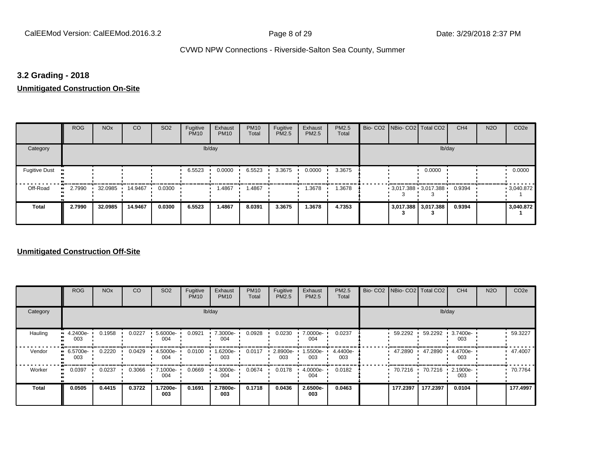## **3.2 Grading - 2018**

#### **Unmitigated Construction On-Site**

|                                   | <b>ROG</b> | <b>NO<sub>x</sub></b> | CO      | SO <sub>2</sub> | Fugitive<br><b>PM10</b> | Exhaust<br><b>PM10</b> | <b>PM10</b><br>Total | Fugitive<br>PM2.5 | Exhaust<br>PM2.5 | PM2.5<br>Total | Bio- CO2 NBio- CO2 Total CO2 |                     | CH <sub>4</sub> | <b>N2O</b> | CO <sub>2e</sub> |
|-----------------------------------|------------|-----------------------|---------|-----------------|-------------------------|------------------------|----------------------|-------------------|------------------|----------------|------------------------------|---------------------|-----------------|------------|------------------|
| Category                          |            |                       |         |                 |                         | lb/day                 |                      |                   |                  |                |                              | lb/day              |                 |            |                  |
| <b>Fugitive Dust</b><br>$\bullet$ |            |                       |         |                 | 6.5523                  | 0.0000                 | 6.5523               | 3.3675            | 0.0000           | 3.3675         |                              | 0.0000              |                 |            | 0.0000           |
| Off-Road<br>$\bullet$             | 2.7990     | 32.0985               | 14.9467 | 0.0300          |                         | .4867                  | 1.4867               |                   | 1.3678           | 1.3678         | $3,017.388$ 3.017.388        |                     | 0.9394          |            | .3040.872        |
| <b>Total</b>                      | 2.7990     | 32.0985               | 14.9467 | 0.0300          | 6.5523                  | 1.4867                 | 8.0391               | 3.3675            | 1.3678           | 4.7353         |                              | 3,017.388 3,017.388 | 0.9394          |            | 3,040.872        |

|              | <b>ROG</b>                   | <b>NO<sub>x</sub></b> | CO     | SO <sub>2</sub>    | Fugitive<br><b>PM10</b> | Exhaust<br><b>PM10</b> | <b>PM10</b><br>Total | Fugitive<br><b>PM2.5</b> | Exhaust<br>PM2.5 | PM2.5<br>Total  | Bio- CO2   NBio- CO2   Total CO2 |          | CH <sub>4</sub> | <b>N2O</b> | CO <sub>2e</sub> |
|--------------|------------------------------|-----------------------|--------|--------------------|-------------------------|------------------------|----------------------|--------------------------|------------------|-----------------|----------------------------------|----------|-----------------|------------|------------------|
| Category     |                              |                       |        |                    |                         | lb/day                 |                      |                          |                  |                 |                                  |          | lb/day          |            |                  |
| Hauling      | 4.2400e-<br>ш<br>003         | 0.1958                | 0.0227 | $5.6000e -$<br>004 | 0.0921                  | 7.3000e-<br>004        | 0.0928               | 0.0230                   | 7.0000e-<br>004  | 0.0237          | 59.2292 ·                        | 59.2292  | 3.7400e-<br>003 |            | 59.3227          |
| Vendor       | 6.5700e-<br>$\bullet$<br>003 | 0.2220                | 0.0429 | 4.5000e-<br>004    | 0.0100                  | 1.6200e-<br>003        | 0.0117               | 2.8900e-<br>003          | 1.5500e-<br>003  | 4.4400e-<br>003 | 47.2890                          | 47.2890  | 4.4700e-<br>003 |            | 47.4007          |
| Worker       | 0.0397<br>$\bullet$          | 0.0237                | 0.3066 | 7.1000e-<br>004    | 0.0669                  | 4.3000e-<br>004        | 0.0674               | 0.0178                   | 4.0000e-<br>004  | 0.0182          | 70.7216                          | 70.7216  | 2.1900e-<br>003 |            | 70.7764          |
| <b>Total</b> | 0.0505                       | 0.4415                | 0.3722 | 1.7200e-<br>003    | 0.1691                  | 2.7800e-<br>003        | 0.1718               | 0.0436                   | 2.6500e-<br>003  | 0.0463          | 177.2397                         | 177.2397 | 0.0104          |            | 177.4997         |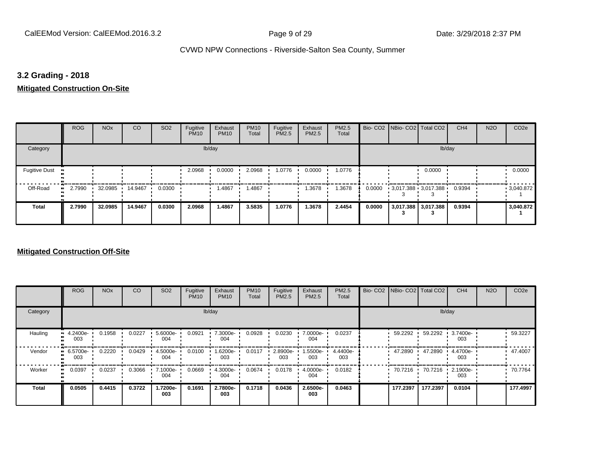## **3.2 Grading - 2018**

## **Mitigated Construction On-Site**

|                                   | <b>ROG</b> | <b>NO<sub>x</sub></b> | CO      | SO <sub>2</sub> | Fugitive<br><b>PM10</b> | Exhaust<br><b>PM10</b> | <b>PM10</b><br>Total | Fugitive<br>PM2.5 | Exhaust<br>PM2.5 | PM2.5<br>Total |        | Bio- CO2   NBio- CO2   Total CO2 |                     | CH <sub>4</sub> | <b>N2O</b> | CO <sub>2e</sub> |
|-----------------------------------|------------|-----------------------|---------|-----------------|-------------------------|------------------------|----------------------|-------------------|------------------|----------------|--------|----------------------------------|---------------------|-----------------|------------|------------------|
| Category                          |            |                       |         |                 |                         | lb/day                 |                      |                   |                  |                |        |                                  | lb/day              |                 |            |                  |
| <b>Fugitive Dust</b><br>$\bullet$ |            |                       |         |                 | 2.0968                  | 0.0000                 | 2.0968               | 1.0776            | 0.0000           | 1.0776         |        |                                  | 0.0000              |                 |            | 0.0000           |
| Off-Road<br>ш.                    | 2.7990     | 32.0985               | 14.9467 | 0.0300          |                         | .4867                  | .4867                |                   | .3678            | 1.3678         | 0.0000 | $3,017.388$ 3,017.388            |                     | 0.9394          |            | 9,040.872        |
| <b>Total</b>                      | 2.7990     | 32.0985               | 14.9467 | 0.0300          | 2.0968                  | 1.4867                 | 3.5835               | 1.0776            | 1.3678           | 2.4454         | 0.0000 | -5                               | 3,017.388 3,017.388 | 0.9394          |            | 3,040.872        |

|              | <b>ROG</b>                   | <b>NO<sub>x</sub></b> | CO     | SO <sub>2</sub> | Fugitive<br><b>PM10</b> | Exhaust<br><b>PM10</b> | <b>PM10</b><br>Total | Fugitive<br><b>PM2.5</b> | Exhaust<br>PM2.5 | <b>PM2.5</b><br>Total | Bio- CO2   NBio- CO2   Total CO2 |          | CH <sub>4</sub> | <b>N2O</b> | CO <sub>2e</sub> |
|--------------|------------------------------|-----------------------|--------|-----------------|-------------------------|------------------------|----------------------|--------------------------|------------------|-----------------------|----------------------------------|----------|-----------------|------------|------------------|
| Category     |                              |                       |        |                 |                         | lb/day                 |                      |                          |                  |                       |                                  | lb/day   |                 |            |                  |
| Hauling      | $\cdot$ 4.2400e-<br>003      | 0.1958                | 0.0227 | 5.6000e-<br>004 | 0.0921                  | 7.3000e-<br>004        | 0.0928               | 0.0230                   | 7.0000e-<br>004  | 0.0237                | 59.2292                          | 59.2292  | 3.7400e-<br>003 |            | 59.3227          |
| Vendor       | 6.5700e-<br>$\bullet$<br>003 | 0.2220                | 0.0429 | 4.5000e-<br>004 | 0.0100                  | 1.6200e-<br>003        | 0.0117               | 2.8900e-<br>003          | -5500e.<br>003   | 4.4400e-<br>003       | 47.2890                          | 47.2890  | 4.4700e-<br>003 |            | 47.4007          |
| Worker       | 0.0397<br>$\bullet$          | 0.0237                | 0.3066 | 7.1000e-<br>004 | 0.0669                  | 4.3000e-<br>004        | 0.0674               | 0.0178                   | 4.0000e-<br>004  | 0.0182                | 70.7216 ·                        | 70.7216  | 2.1900e-<br>003 |            | 70.7764          |
| <b>Total</b> | 0.0505                       | 0.4415                | 0.3722 | -.7200e<br>003  | 0.1691                  | 2.7800e-<br>003        | 0.1718               | 0.0436                   | 2.6500e-<br>003  | 0.0463                | 177.2397                         | 177.2397 | 0.0104          |            | 177.4997         |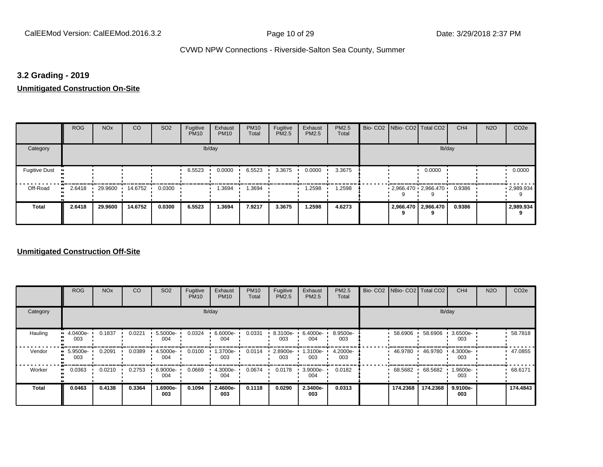## **3.2 Grading - 2019**

# **Unmitigated Construction On-Site**

|                                   | <b>ROG</b>          | <b>NO<sub>x</sub></b> | CO      | SO <sub>2</sub> | Fugitive<br><b>PM10</b> | Exhaust<br><b>PM10</b> | <b>PM10</b><br>Total | Fugitive<br>PM2.5 | Exhaust<br>PM2.5 | PM2.5<br>Total | Bio- CO2 NBio- CO2 Total CO2 |                              | CH <sub>4</sub> | <b>N2O</b> | CO <sub>2e</sub> |
|-----------------------------------|---------------------|-----------------------|---------|-----------------|-------------------------|------------------------|----------------------|-------------------|------------------|----------------|------------------------------|------------------------------|-----------------|------------|------------------|
| Category                          |                     |                       |         |                 |                         | lb/day                 |                      |                   |                  |                |                              | lb/day                       |                 |            |                  |
| <b>Fugitive Dust</b><br>$\bullet$ |                     |                       |         |                 | 6.5523                  | 0.0000                 | 6.5523               | 3.3675            | 0.0000           | 3.3675         |                              | 0.0000                       |                 |            | 0.0000           |
| Off-Road                          | 2.6418<br>$\bullet$ | 29.9600               | 14.6752 | 0.0300          |                         | 3694،،                 | 1.3694               |                   | .2598            | 1.2598         | $2,966.470$ $2,966.470$      |                              | 0.9386          |            | 2,989.934        |
| <b>Total</b>                      | 2.6418              | 29.9600               | 14.6752 | 0.0300          | 6.5523                  | 1.3694                 | 7.9217               | 3.3675            | 1.2598           | 4.6273         | q                            | 2,966.470   2,966.470  <br>9 | 0.9386          |            | 2,989.934        |

|                     | <b>ROG</b>                        | <b>NO<sub>x</sub></b> | CO     | SO <sub>2</sub> | Fugitive<br><b>PM10</b> | Exhaust<br><b>PM10</b> | <b>PM10</b><br>Total | Fugitive<br><b>PM2.5</b> | Exhaust<br>PM2.5 | PM2.5<br>Total  |           | Bio- CO2   NBio- CO2   Total CO2 | CH <sub>4</sub> | <b>N2O</b> | CO <sub>2e</sub> |
|---------------------|-----------------------------------|-----------------------|--------|-----------------|-------------------------|------------------------|----------------------|--------------------------|------------------|-----------------|-----------|----------------------------------|-----------------|------------|------------------|
| Category            |                                   |                       |        |                 |                         | lb/day                 |                      |                          |                  |                 |           |                                  | lb/day          |            |                  |
| Hauling             | 4.0400e-<br>$\blacksquare$<br>003 | 0.1837                | 0.0221 | 5.5000e-<br>004 | 0.0324                  | 6.6000e-<br>004        | 0.0331               | 8.3100e-<br>003          | 6.4000e-<br>004  | 8.9500e-<br>003 | 58.6906   | 58.6906                          | 3.6500e-<br>003 |            | 58.7818          |
| Vendor              | 5.9500e-<br>003                   | 0.2091                | 0.0389 | 4.5000e-<br>004 | 0.0100                  | 1.3700e-<br>003        | 0.0114               | 2.8900e-<br>003          | 1.3100e-<br>003  | 4.2000e-<br>003 | 46.9780   | 46.9780                          | 4.3000e-<br>003 |            | 47.0855          |
| Worker<br>$\bullet$ | 0.0363                            | 0.0210                | 0.2753 | 6.9000e-<br>004 | 0.0669                  | 4.3000e-<br>004        | 0.0674               | 0.0178                   | 3.9000e-<br>004  | 0.0182          | 68.5682 · | 68.5682                          | 1.9600e-<br>003 |            | 68.6171          |
| <b>Total</b>        | 0.0463                            | 0.4138                | 0.3364 | -.6900e<br>003  | 0.1094                  | 2.4600e-<br>003        | 0.1118               | 0.0290                   | 2.3400e-<br>003  | 0.0313          | 174.2368  | 174.2368                         | 9.9100e-<br>003 |            | 174.4843         |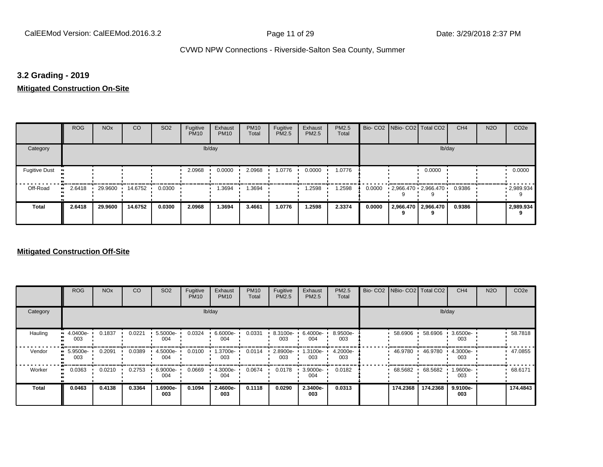## **3.2 Grading - 2019**

## **Mitigated Construction On-Site**

|                                        | <b>ROG</b> | <b>NO<sub>x</sub></b> | CO      | SO <sub>2</sub> | Fugitive<br><b>PM10</b> | Exhaust<br><b>PM10</b> | <b>PM10</b><br>Total | Fugitive<br>PM2.5 | Exhaust<br>PM2.5 | PM2.5<br>Total |        | Bio- CO2   NBio- CO2   Total CO2 |                       | CH <sub>4</sub> | <b>N2O</b> | CO <sub>2e</sub>  |
|----------------------------------------|------------|-----------------------|---------|-----------------|-------------------------|------------------------|----------------------|-------------------|------------------|----------------|--------|----------------------------------|-----------------------|-----------------|------------|-------------------|
| Category                               |            |                       |         |                 |                         | lb/day                 |                      |                   |                  |                |        |                                  | lb/day                |                 |            |                   |
| <b>Fugitive Dust</b><br>$\blacksquare$ |            |                       |         |                 | 2.0968                  | 0.0000                 | 2.0968               | 1.0776            | 0.0000           | 1.0776         |        |                                  | 0.0000                |                 |            | 0.0000            |
| Off-Road<br>ш.                         | 2.6418     | 29.9600               | 14.6752 | 0.0300          |                         | 1.3694                 | .3694                |                   | .2598            | 1.2598         | 0.0000 | 2,966.470 2,966.470              |                       | 0.9386          |            | $\cdot$ 2,989.934 |
| <b>Total</b>                           | 2.6418     | 29.9600               | 14.6752 | 0.0300          | 2.0968                  | 1.3694                 | 3.4661               | 1.0776            | 1.2598           | 2.3374         | 0.0000 | 9                                | 2,966.470   2,966.470 | 0.9386          |            | 2,989.934         |

|              | <b>ROG</b>                   | <b>NO<sub>x</sub></b> | CO     | SO <sub>2</sub> | Fugitive<br><b>PM10</b> | Exhaust<br><b>PM10</b> | <b>PM10</b><br>Total | Fugitive<br><b>PM2.5</b> | Exhaust<br>PM2.5 | PM2.5<br>Total  | Bio- CO2   NBio- CO2   Total CO2 |          | CH <sub>4</sub> | <b>N2O</b> | CO <sub>2e</sub> |
|--------------|------------------------------|-----------------------|--------|-----------------|-------------------------|------------------------|----------------------|--------------------------|------------------|-----------------|----------------------------------|----------|-----------------|------------|------------------|
| Category     |                              |                       |        |                 |                         | lb/day                 |                      |                          |                  |                 |                                  |          | lb/day          |            |                  |
| Hauling      | $-4.0400e-$<br>003           | 0.1837                | 0.0221 | 5.5000e-<br>004 | 0.0324                  | 6.6000e-<br>004        | 0.0331               | 8.3100e-<br>003          | 6.4000e-<br>004  | 8.9500e-<br>003 | 58.6906                          | 58.6906  | 3.6500e-<br>003 |            | 58.7818          |
| Vendor       | 5.9500e-<br>$\bullet$<br>003 | 0.2091                | 0.0389 | 4.5000e-<br>004 | 0.0100                  | 1.3700e-<br>003        | 0.0114               | 2.8900e-<br>003          | .3100e-<br>003   | 4.2000e-<br>003 | 46.9780                          | 46.9780  | 4.3000e-<br>003 |            | 47.0855          |
| Worker       | 0.0363<br>$\bullet$          | 0.0210                | 0.2753 | 6.9000e-<br>004 | 0.0669                  | 4.3000e-<br>004        | 0.0674               | 0.0178                   | 3.9000e-<br>004  | 0.0182          | 68.5682                          | 68.5682  | 1.9600e-<br>003 |            | 68.6171          |
| <b>Total</b> | 0.0463                       | 0.4138                | 0.3364 | 1.6900e-<br>003 | 0.1094                  | 2.4600e-<br>003        | 0.1118               | 0.0290                   | 2.3400e-<br>003  | 0.0313          | 174.2368                         | 174.2368 | 9.9100e-<br>003 |            | 174.4843         |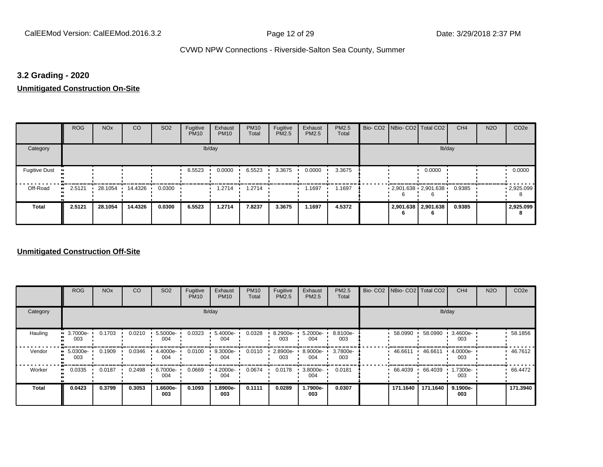## **3.2 Grading - 2020**

**Unmitigated Construction On-Site**

|                                        | <b>ROG</b>   | <b>NO<sub>x</sub></b> | <b>CO</b> | SO <sub>2</sub> | Fugitive<br><b>PM10</b> | Exhaust<br><b>PM10</b> | <b>PM10</b><br>Total | Fugitive<br><b>PM2.5</b> | Exhaust<br>PM2.5 | PM2.5<br>Total |  | Bio- CO2   NBio- CO2   Total CO2       | CH <sub>4</sub> | <b>N2O</b> | CO <sub>2e</sub> |
|----------------------------------------|--------------|-----------------------|-----------|-----------------|-------------------------|------------------------|----------------------|--------------------------|------------------|----------------|--|----------------------------------------|-----------------|------------|------------------|
| Category                               |              |                       |           |                 |                         | lb/day                 |                      |                          |                  |                |  | lb/day                                 |                 |            |                  |
| <b>Fugitive Dust</b><br>$\blacksquare$ |              |                       |           |                 | 6.5523                  | 0.0000                 | 6.5523               | 3.3675                   | 0.0000           | 3.3675         |  | 0.0000                                 |                 |            | 0.0000           |
| Off-Road                               | 2.5121<br>ш. | 28.1054               | 14.4326 · | 0.0300          |                         | 1.2714                 | 1.2714               |                          | 1.1697           | .1697          |  | $2,901.638$ $2,901.638$ $\blacksquare$ | 0.9385          |            | .2,925.099       |
| <b>Total</b>                           | 2.5121       | 28.1054               | 14.4326   | 0.0300          | 6.5523                  | 1.2714                 | 7.8237               | 3.3675                   | 1.1697           | 4.5372         |  | 2,901.638   2,901.638                  | 0.9385          |            | 2,925.099        |

|              | <b>ROG</b>                        | <b>NO<sub>x</sub></b> | CO     | SO <sub>2</sub> | Fugitive<br><b>PM10</b> | Exhaust<br><b>PM10</b> | <b>PM10</b><br>Total | Fugitive<br><b>PM2.5</b> | Exhaust<br>PM2.5 | PM2.5<br>Total  | Bio- CO2   NBio- CO2   Total CO2 |          | CH <sub>4</sub> | <b>N2O</b> | CO <sub>2e</sub> |
|--------------|-----------------------------------|-----------------------|--------|-----------------|-------------------------|------------------------|----------------------|--------------------------|------------------|-----------------|----------------------------------|----------|-----------------|------------|------------------|
| Category     |                                   |                       |        |                 |                         | lb/day                 |                      |                          |                  |                 |                                  |          | lb/day          |            |                  |
| Hauling      | 3.7000e-<br>$\blacksquare$<br>003 | 0.1703                | 0.0210 | 5.5000e-<br>004 | 0.0323                  | 5.4000e-<br>004        | 0.0328               | 8.2900e-<br>003          | 5.2000e-<br>004  | 8.8100e-<br>003 | 58.0990                          | 58.0990  | 3.4600e-<br>003 |            | 58.1856          |
| Vendor       | 5.0300e-<br>003                   | 0.1909                | 0.0346 | 4.4000e-<br>004 | 0.0100                  | 9.3000e-<br>004        | 0.0110               | 2.8900e-<br>003          | 8.9000e-<br>004  | 3.7800e-<br>003 | 46.6611                          | 46.6611  | 4.0000e-<br>003 |            | 46.7612          |
| Worker       | 0.0335<br>$\bullet$               | 0.0187                | 0.2498 | 6.7000e-<br>004 | 0.0669                  | 4.2000e-<br>004        | 0.0674               | 0.0178                   | 3.8000e-<br>004  | 0.0181          | 66.4039                          | 66.4039  | 1.7300e-<br>003 |            | 66.4472          |
| <b>Total</b> | 0.0423                            | 0.3799                | 0.3053 | -.6600e<br>003  | 0.1093                  | 1.8900e-<br>003        | 0.1111               | 0.0289                   | -.7900e<br>003   | 0.0307          | 171.1640                         | 171.1640 | 9.1900e-<br>003 |            | 171.3940         |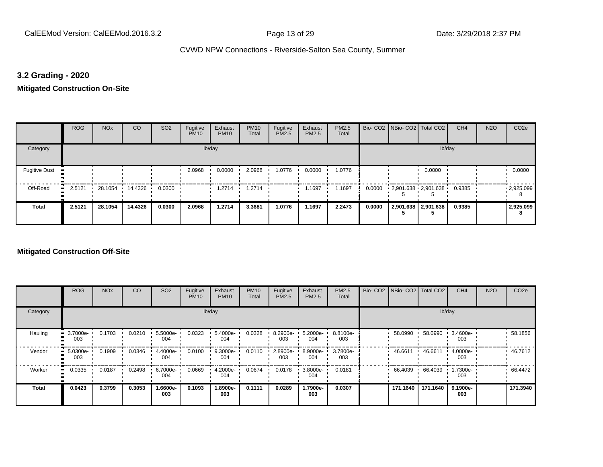## **3.2 Grading - 2020**

**Mitigated Construction On-Site**

|                      | <b>ROG</b>   | <b>NO<sub>x</sub></b> | CO      | SO <sub>2</sub> | Fugitive<br><b>PM10</b> | Exhaust<br><b>PM10</b> | <b>PM10</b><br>Total | Fugitive<br>PM2.5 | Exhaust<br>PM2.5 | PM2.5<br>Total |        | Bio- CO2   NBio- CO2   Total CO2 |                     | CH <sub>4</sub> | <b>N2O</b> | CO <sub>2e</sub> |
|----------------------|--------------|-----------------------|---------|-----------------|-------------------------|------------------------|----------------------|-------------------|------------------|----------------|--------|----------------------------------|---------------------|-----------------|------------|------------------|
| Category             |              |                       |         |                 |                         | lb/day                 |                      |                   |                  |                |        |                                  | lb/day              |                 |            |                  |
| <b>Fugitive Dust</b> |              |                       |         |                 | 2.0968                  | 0.0000                 | 2.0968               | 1.0776            | 0.0000           | 1.0776         |        |                                  | 0.0000              |                 |            | 0.0000           |
| Off-Road             | 2.5121<br>ш. | 28.1054               | 14.4326 | 0.0300          |                         | 1.2714                 | 1.2714               |                   | 1.1697           | 1.1697         | 0.0000 | $2,901.638$ $2,901.638$ $\cdot$  |                     | 0.9385          |            | .2925.099        |
| <b>Total</b>         | 2.5121       | 28.1054               | 14.4326 | 0.0300          | 2.0968                  | 1.2714                 | 3.3681               | 1.0776            | 1.1697           | 2.2473         | 0.0000 |                                  | 2,901.638 2,901.638 | 0.9385          |            | 2,925.099        |

|              | <b>ROG</b>                        | <b>NO<sub>x</sub></b> | CO     | SO <sub>2</sub> | Fugitive<br><b>PM10</b> | Exhaust<br><b>PM10</b> | <b>PM10</b><br>Total | Fugitive<br><b>PM2.5</b> | Exhaust<br>PM2.5 | PM2.5<br>Total  | Bio- CO2   NBio- CO2   Total CO2 |          | CH <sub>4</sub> | <b>N2O</b> | CO <sub>2e</sub> |
|--------------|-----------------------------------|-----------------------|--------|-----------------|-------------------------|------------------------|----------------------|--------------------------|------------------|-----------------|----------------------------------|----------|-----------------|------------|------------------|
| Category     |                                   |                       |        |                 |                         | lb/day                 |                      |                          |                  |                 |                                  |          | lb/day          |            |                  |
| Hauling      | 3.7000e-<br>$\blacksquare$<br>003 | 0.1703                | 0.0210 | 5.5000e-<br>004 | 0.0323                  | 5.4000e-<br>004        | 0.0328               | 8.2900e-<br>003          | 5.2000e-<br>004  | 8.8100e-<br>003 | 58.0990                          | 58.0990  | 3.4600e-<br>003 |            | 58.1856          |
| Vendor       | 5.0300e-<br>$\bullet$<br>003      | 0.1909                | 0.0346 | 4.4000e-<br>004 | 0.0100                  | 9.3000e-<br>004        | 0.0110               | 2.8900e-<br>003          | 8.9000e-<br>004  | 3.7800e-<br>003 | 46.6611 ·                        | 46.6611  | 4.0000e-<br>003 |            | 46.7612          |
| Worker       | 0.0335<br>$\bullet$               | 0.0187                | 0.2498 | 6.7000e-<br>004 | 0.0669                  | 4.2000e-<br>004        | 0.0674               | 0.0178                   | 3.8000e-<br>004  | 0.0181          | 66.4039                          | 66.4039  | 1.7300e-<br>003 |            | 66.4472          |
| <b>Total</b> | 0.0423                            | 0.3799                | 0.3053 | -.6600e<br>003  | 0.1093                  | 1.8900e-<br>003        | 0.1111               | 0.0289                   | -.7900e<br>003   | 0.0307          | 171.1640                         | 171.1640 | 9.1900e-<br>003 |            | 171.3940         |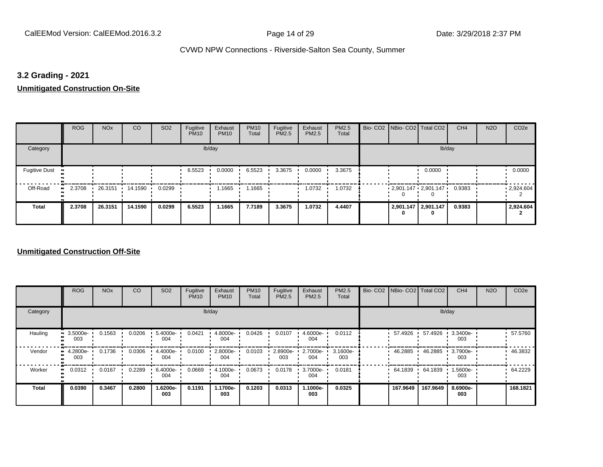## **3.2 Grading - 2021**

**Unmitigated Construction On-Site**

|                                  | <b>ROG</b>          | <b>NO<sub>x</sub></b> | CO      | SO <sub>2</sub> | Fugitive<br><b>PM10</b> | Exhaust<br><b>PM10</b> | <b>PM10</b><br>Total | Fugitive<br><b>PM2.5</b> | Exhaust<br>PM2.5 | PM2.5<br>Total | Bio- CO2   NBio- CO2   Total CO2         |                     | CH <sub>4</sub> | <b>N2O</b> | CO <sub>2e</sub> |
|----------------------------------|---------------------|-----------------------|---------|-----------------|-------------------------|------------------------|----------------------|--------------------------|------------------|----------------|------------------------------------------|---------------------|-----------------|------------|------------------|
| Category                         |                     |                       |         |                 |                         | lb/day                 |                      |                          |                  |                |                                          | lb/day              |                 |            |                  |
| <b>Fugitive Dust</b><br><b>D</b> |                     |                       |         |                 | 6.5523                  | 0.0000                 | 6.5523               | 3.3675                   | 0.0000           | 3.3675         |                                          | 0.0000              |                 |            | 0.0000           |
| Off-Road                         | 2.3708<br>$\bullet$ | 26.3151 14.1590       |         | 0.0299          |                         | 1.1665                 | 1.1665               |                          | 1.0732           | 1.0732         | $2,901.147 \cdot 2,901.147 \cdot 0.9383$ |                     |                 |            | .2,924.604       |
| <b>Total</b>                     | 2.3708              | 26.3151               | 14.1590 | 0.0299          | 6.5523                  | 1.1665                 | 7.7189               | 3.3675                   | 1.0732           | 4.4407         |                                          | 2,901.147 2,901.147 | 0.9383          |            | 2,924.604        |

|              | <b>ROG</b>                        | <b>NO<sub>x</sub></b> | CO     | SO <sub>2</sub> | Fugitive<br><b>PM10</b> | Exhaust<br><b>PM10</b> | <b>PM10</b><br>Total | Fugitive<br><b>PM2.5</b> | Exhaust<br>PM2.5 | PM2.5<br>Total  | Bio- CO2   NBio- CO2   Total CO2 |          | CH <sub>4</sub> | <b>N2O</b> | CO <sub>2e</sub> |
|--------------|-----------------------------------|-----------------------|--------|-----------------|-------------------------|------------------------|----------------------|--------------------------|------------------|-----------------|----------------------------------|----------|-----------------|------------|------------------|
| Category     |                                   |                       |        |                 |                         | lb/day                 |                      |                          |                  |                 |                                  |          | lb/day          |            |                  |
| Hauling      | 3.5000e-<br>$\blacksquare$<br>003 | 0.1563                | 0.0206 | 5.4000e-<br>004 | 0.0421                  | 4.8000e-<br>004        | 0.0426               | 0.0107                   | 4.6000e-<br>004  | 0.0112          | 57.4926                          | 57.4926  | 3.3400e-<br>003 |            | 57.5760          |
| Vendor<br>œ  | 4.2800e-<br>003                   | 0.1736                | 0.0306 | 4.4000e-<br>004 | 0.0100                  | 2.8000e-<br>004        | 0.0103               | 2.8900e-<br>003          | 2.7000e-<br>004  | 3.1600e-<br>003 | 46.2885                          | 46.2885  | 3.7900e-<br>003 |            | 46.3832          |
| Worker       | 0.0312<br>$\bullet$               | 0.0167                | 0.2289 | 6.4000e-<br>004 | 0.0669                  | 4.1000e-<br>004        | 0.0673               | 0.0178                   | 3.7000e-<br>004  | 0.0181          | 64.1839                          | 64.1839  | 1.5600e-<br>003 |            | 64.2229          |
| <b>Total</b> | 0.0390                            | 0.3467                | 0.2800 | -.6200e<br>003  | 0.1191                  | 1.1700e-<br>003        | 0.1203               | 0.0313                   | 1.1000e-<br>003  | 0.0325          | 167.9649                         | 167.9649 | 8.6900e-<br>003 |            | 168.1821         |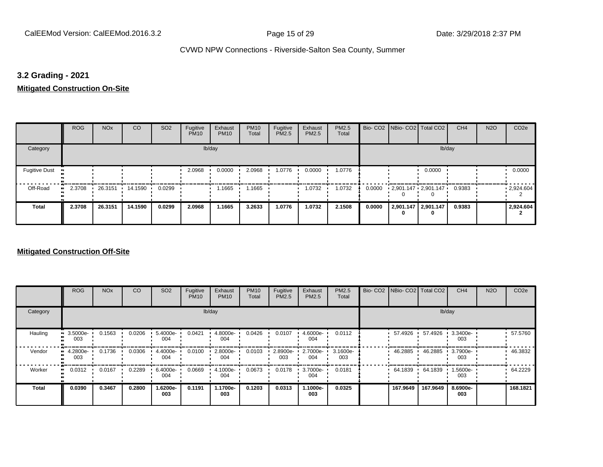## **3.2 Grading - 2021**

**Mitigated Construction On-Site**

|                       | <b>ROG</b> | <b>NO<sub>x</sub></b> | CO      | SO <sub>2</sub> | Fugitive<br><b>PM10</b> | Exhaust<br><b>PM10</b> | <b>PM10</b><br>Total | Fugitive<br>PM2.5 | Exhaust<br>PM2.5 | PM2.5<br>Total |        | Bio- CO2   NBio- CO2   Total CO2 |                          | CH <sub>4</sub> | <b>N2O</b> | CO <sub>2e</sub> |
|-----------------------|------------|-----------------------|---------|-----------------|-------------------------|------------------------|----------------------|-------------------|------------------|----------------|--------|----------------------------------|--------------------------|-----------------|------------|------------------|
| Category              |            |                       |         |                 |                         | lb/day                 |                      |                   |                  |                |        |                                  | lb/day                   |                 |            |                  |
| <b>Fugitive Dust</b>  |            |                       |         |                 | 2.0968                  | 0.0000                 | 2.0968               | 1.0776            | 0.0000           | 1.0776         |        |                                  | 0.0000                   |                 |            | 0.0000           |
| Off-Road<br>$\bullet$ | 2.3708     | 26.3151 ·             | 14.1590 | 0.0299          |                         | 1.1665                 | .1665                |                   | 1.0732           | 1.0732         | 0.0000 | $2,901.147$ $2,901.147$          |                          | 0.9383          |            | .2,924.604       |
| <b>Total</b>          | 2.3708     | 26.3151               | 14.1590 | 0.0299          | 2.0968                  | 1.1665                 | 3.2633               | 1.0776            | 1.0732           | 2.1508         | 0.0000 |                                  | 2,901.147 2,901.147<br>0 | 0.9383          |            | 2,924.604        |

|                           | <b>ROG</b>                   | <b>NO<sub>x</sub></b> | CO     | SO <sub>2</sub> | Fugitive<br><b>PM10</b> | Exhaust<br><b>PM10</b> | <b>PM10</b><br>Total | Fugitive<br><b>PM2.5</b> | Exhaust<br>PM2.5 | PM2.5<br>Total  | Bio- CO2   NBio- CO2   Total CO2 |          | CH <sub>4</sub> | <b>N2O</b> | CO <sub>2e</sub> |
|---------------------------|------------------------------|-----------------------|--------|-----------------|-------------------------|------------------------|----------------------|--------------------------|------------------|-----------------|----------------------------------|----------|-----------------|------------|------------------|
| Category                  |                              |                       |        |                 |                         | lb/day                 |                      |                          |                  |                 |                                  |          | lb/day          |            |                  |
| Hauling<br>$\blacksquare$ | 3.5000e-<br>003              | 0.1563                | 0.0206 | 5.4000e-<br>004 | 0.0421                  | 4.8000e-<br>004        | 0.0426               | 0.0107                   | 4.6000e-<br>004  | 0.0112          | 57.4926                          | 57.4926  | 3.3400e-<br>003 |            | 57.5760          |
| Vendor                    | 4.2800e-<br>$\bullet$<br>003 | 0.1736                | 0.0306 | 4.4000e-<br>004 | 0.0100                  | 2.8000e-<br>004        | 0.0103               | 2.8900e-<br>003          | 2.7000e-<br>004  | 3.1600e-<br>003 | 46.2885                          | 46.2885  | 3.7900e-<br>003 |            | 46.3832          |
| Worker                    | 0.0312<br>$\bullet$          | 0.0167                | 0.2289 | 6.4000e-<br>004 | 0.0669                  | 4.1000e-<br>004        | 0.0673               | 0.0178                   | 3.7000e-<br>004  | 0.0181          | 64.1839                          | 64.1839  | 1.5600e-<br>003 |            | 64.2229          |
| <b>Total</b>              | 0.0390                       | 0.3467                | 0.2800 | -6200e.<br>003  | 0.1191                  | 1.1700e-<br>003        | 0.1203               | 0.0313                   | 1.1000e-<br>003  | 0.0325          | 167.9649                         | 167.9649 | 8.6900e-<br>003 |            | 168.1821         |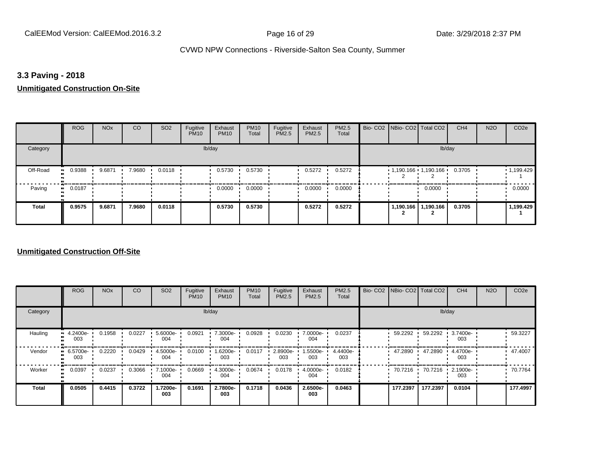## **3.3 Paving - 2018**

#### **Unmitigated Construction On-Site**

|              | <b>ROG</b>          | <b>NO<sub>x</sub></b> | CO     | SO <sub>2</sub> | Fugitive<br><b>PM10</b> | Exhaust<br><b>PM10</b> | <b>PM10</b><br>Total | Fugitive<br>PM2.5 | Exhaust<br>PM2.5 | PM2.5<br>Total |           | Bio- CO2   NBio- CO2   Total CO2 | CH <sub>4</sub> | <b>N2O</b> | CO <sub>2e</sub>  |
|--------------|---------------------|-----------------------|--------|-----------------|-------------------------|------------------------|----------------------|-------------------|------------------|----------------|-----------|----------------------------------|-----------------|------------|-------------------|
| Category     |                     |                       |        |                 |                         | lb/day                 |                      |                   |                  |                |           | lb/day                           |                 |            |                   |
| Off-Road     | 0.9388<br>$\bullet$ | 9.6871                | 7.9680 | 0.0118          |                         | 0.5730                 | 0.5730               |                   | 0.5272           | 0.5272         |           | $1,190.166$ 1,190.166            | 0.3705          |            | $\cdot$ 1,199.429 |
| Paving       | 0.0187<br>ш.        |                       |        |                 |                         | 0.0000                 | 0.0000               |                   | 0.0000           | 0.0000         |           | 0.0000                           |                 |            | 0.0000            |
| <b>Total</b> | 0.9575              | 9.6871                | 7.9680 | 0.0118          |                         | 0.5730                 | 0.5730               |                   | 0.5272           | 0.5272         | 1,190.166 | 1,190.166                        | 0.3705          |            | 1,199.429         |

|              | <b>ROG</b>                   | <b>NO<sub>x</sub></b> | CO     | SO <sub>2</sub>    | Fugitive<br><b>PM10</b> | Exhaust<br><b>PM10</b> | <b>PM10</b><br>Total | Fugitive<br><b>PM2.5</b> | Exhaust<br>PM2.5 | PM2.5<br>Total  |           | Bio- CO2   NBio- CO2   Total CO2 | CH <sub>4</sub> | <b>N2O</b> | CO <sub>2e</sub> |
|--------------|------------------------------|-----------------------|--------|--------------------|-------------------------|------------------------|----------------------|--------------------------|------------------|-----------------|-----------|----------------------------------|-----------------|------------|------------------|
| Category     |                              |                       |        |                    |                         | lb/day                 |                      |                          |                  |                 |           |                                  | lb/day          |            |                  |
| Hauling      | 4.2400e-<br>ш<br>003         | 0.1958                | 0.0227 | $5.6000e -$<br>004 | 0.0921                  | 7.3000e-<br>004        | 0.0928               | 0.0230                   | 7.0000e-<br>004  | 0.0237          | 59.2292 · | 59.2292                          | 3.7400e-<br>003 |            | 59.3227          |
| Vendor       | 6.5700e-<br>$\bullet$<br>003 | 0.2220                | 0.0429 | 4.5000e-<br>004    | 0.0100                  | 1.6200e-<br>003        | 0.0117               | 2.8900e-<br>003          | 1.5500e-<br>003  | 4.4400e-<br>003 | 47.2890   | 47.2890                          | 4.4700e-<br>003 |            | 47.4007          |
| Worker       | 0.0397<br>$\bullet$          | 0.0237                | 0.3066 | 7.1000e-<br>004    | 0.0669                  | 4.3000e-<br>004        | 0.0674               | 0.0178                   | 4.0000e-<br>004  | 0.0182          | 70.7216   | 70.7216                          | 2.1900e-<br>003 |            | 70.7764          |
| <b>Total</b> | 0.0505                       | 0.4415                | 0.3722 | 1.7200e-<br>003    | 0.1691                  | 2.7800e-<br>003        | 0.1718               | 0.0436                   | 2.6500e-<br>003  | 0.0463          | 177.2397  | 177.2397                         | 0.0104          |            | 177.4997         |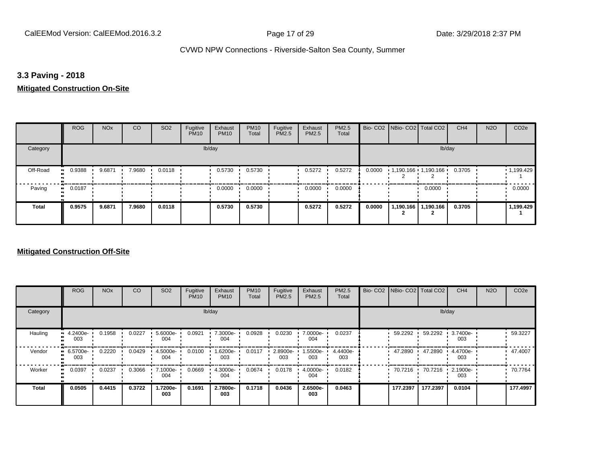## **3.3 Paving - 2018**

## **Mitigated Construction On-Site**

|                | <b>ROG</b>   | <b>NO<sub>x</sub></b> | <b>CO</b> | SO <sub>2</sub> | Fugitive<br><b>PM10</b> | Exhaust<br><b>PM10</b> | <b>PM10</b><br>Total | Fugitive<br>PM2.5 | Exhaust<br>PM2.5 | PM2.5<br>Total |        | Bio- CO2   NBio- CO2   Total CO2 |                       | CH <sub>4</sub> | <b>N2O</b> | CO <sub>2e</sub> |
|----------------|--------------|-----------------------|-----------|-----------------|-------------------------|------------------------|----------------------|-------------------|------------------|----------------|--------|----------------------------------|-----------------------|-----------------|------------|------------------|
| Category       |              |                       |           |                 |                         | lb/day                 |                      |                   |                  |                |        |                                  | lb/day                |                 |            |                  |
| Off-Road<br>ш. | 0.9388       | 9.6871                | 7.9680    | 0.0118          |                         | 0.5730                 | 0.5730               |                   | 0.5272           | 0.5272         | 0.0000 | $1,190.166$ $1,190.166$          |                       | 0.3705          |            | 1,199.429        |
| Paving         | 0.0187<br>ш. |                       |           |                 |                         | 0.0000                 | 0.0000               |                   | 0.0000           | 0.0000         |        |                                  | 0.0000                |                 |            | 0.0000           |
| <b>Total</b>   | 0.9575       | 9.6871                | 7.9680    | 0.0118          |                         | 0.5730                 | 0.5730               |                   | 0.5272           | 0.5272         | 0.0000 |                                  | 1,190.166   1,190.166 | 0.3705          |            | 1,199.429        |

|              | <b>ROG</b>                   | <b>NO<sub>x</sub></b> | CO     | SO <sub>2</sub> | Fugitive<br><b>PM10</b> | Exhaust<br><b>PM10</b> | <b>PM10</b><br>Total | Fugitive<br><b>PM2.5</b> | Exhaust<br>PM2.5 | PM2.5<br>Total  | Bio- CO2   NBio- CO2   Total CO2 |          | CH <sub>4</sub> | <b>N2O</b> | CO <sub>2e</sub> |
|--------------|------------------------------|-----------------------|--------|-----------------|-------------------------|------------------------|----------------------|--------------------------|------------------|-----------------|----------------------------------|----------|-----------------|------------|------------------|
| Category     |                              |                       |        |                 |                         | lb/day                 |                      |                          |                  |                 |                                  | lb/day   |                 |            |                  |
| Hauling      | $\cdot$ 4.2400e-<br>003      | 0.1958                | 0.0227 | 5.6000e-<br>004 | 0.0921                  | 7.3000e-<br>004        | 0.0928               | 0.0230                   | 7.0000e-<br>004  | 0.0237          | 59.2292                          | 59.2292  | 3.7400e-<br>003 |            | 59.3227          |
| Vendor       | 6.5700e-<br>$\bullet$<br>003 | 0.2220                | 0.0429 | 4.5000e-<br>004 | 0.0100                  | 1.6200e-<br>003        | 0.0117               | 2.8900e-<br>003          | .5500e-<br>003   | 4.4400e-<br>003 | 47.2890                          | 47.2890  | 4.4700e-<br>003 |            | 47.4007          |
| Worker       | 0.0397<br>$\bullet$          | 0.0237                | 0.3066 | 7.1000e-<br>004 | 0.0669                  | 4.3000e-<br>004        | 0.0674               | 0.0178                   | 4.0000e-<br>004  | 0.0182          | 70.7216 ·                        | 70.7216  | 2.1900e-<br>003 |            | 70.7764          |
| <b>Total</b> | 0.0505                       | 0.4415                | 0.3722 | -.7200e<br>003  | 0.1691                  | 2.7800e-<br>003        | 0.1718               | 0.0436                   | 2.6500e-<br>003  | 0.0463          | 177.2397                         | 177.2397 | 0.0104          |            | 177.4997         |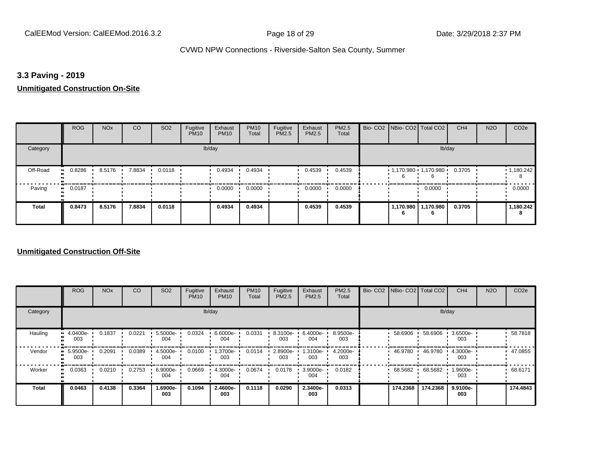## **3.3 Paving - 2019**

#### **Unmitigated Construction On-Site**

|              | <b>ROG</b>          | <b>NO<sub>x</sub></b> | CO     | SO <sub>2</sub> | Fugitive<br><b>PM10</b> | Exhaust<br><b>PM10</b> | <b>PM10</b><br>Total | Fugitive<br>PM2.5 | Exhaust<br>PM2.5 | PM2.5<br>Total |                | Bio- CO2   NBio- CO2   Total CO2 | CH <sub>4</sub> | <b>N2O</b> | CO <sub>2e</sub> |
|--------------|---------------------|-----------------------|--------|-----------------|-------------------------|------------------------|----------------------|-------------------|------------------|----------------|----------------|----------------------------------|-----------------|------------|------------------|
| Category     |                     |                       |        |                 |                         | lb/day                 |                      |                   |                  |                |                | lb/day                           |                 |            |                  |
| Off-Road     | 0.8286<br>$\bullet$ | 8.5176                | 7.8834 | 0.0118          |                         | 0.4934                 | 0.4934               |                   | 0.4539           | 0.4539         |                | $1,170.980$ 1,170.980            | 0.3705          |            | 1,180.242<br>8   |
| Paving       | 0.0187<br>ш.        |                       |        |                 |                         | 0.0000                 | 0.0000               |                   | 0.0000           | 0.0000         |                | 0.0000                           |                 |            | 0.0000           |
| <b>Total</b> | 0.8473              | 8.5176                | 7.8834 | 0.0118          |                         | 0.4934                 | 0.4934               |                   | 0.4539           | 0.4539         | 1,170.980<br>6 | 1,170.980<br>6                   | 0.3705          |            | 1,180.242<br>8   |

|                     | <b>ROG</b>                        | <b>NO<sub>x</sub></b> | CO     | SO <sub>2</sub> | Fugitive<br><b>PM10</b> | Exhaust<br><b>PM10</b> | <b>PM10</b><br>Total | Fugitive<br><b>PM2.5</b> | Exhaust<br>PM2.5 | PM2.5<br>Total  |           | Bio- CO2   NBio- CO2   Total CO2 | CH <sub>4</sub> | <b>N2O</b> | CO <sub>2e</sub> |
|---------------------|-----------------------------------|-----------------------|--------|-----------------|-------------------------|------------------------|----------------------|--------------------------|------------------|-----------------|-----------|----------------------------------|-----------------|------------|------------------|
| Category            |                                   |                       |        |                 |                         | lb/day                 |                      |                          |                  |                 |           |                                  | lb/day          |            |                  |
| Hauling             | 4.0400e-<br>$\blacksquare$<br>003 | 0.1837                | 0.0221 | 5.5000e-<br>004 | 0.0324                  | 6.6000e-<br>004        | 0.0331               | 8.3100e-<br>003          | 6.4000e-<br>004  | 8.9500e-<br>003 | 58.6906   | 58.6906                          | 3.6500e-<br>003 |            | 58.7818          |
| Vendor              | 5.9500e-<br>003                   | 0.2091                | 0.0389 | 4.5000e-<br>004 | 0.0100                  | 1.3700e-<br>003        | 0.0114               | 2.8900e-<br>003          | 1.3100e-<br>003  | 4.2000e-<br>003 | 46.9780   | 46.9780                          | 4.3000e-<br>003 |            | 47.0855          |
| Worker<br>$\bullet$ | 0.0363                            | 0.0210                | 0.2753 | 6.9000e-<br>004 | 0.0669                  | 4.3000e-<br>004        | 0.0674               | 0.0178                   | 3.9000e-<br>004  | 0.0182          | 68.5682 · | 68.5682                          | 1.9600e-<br>003 |            | 68.6171          |
| <b>Total</b>        | 0.0463                            | 0.4138                | 0.3364 | -.6900e<br>003  | 0.1094                  | 2.4600e-<br>003        | 0.1118               | 0.0290                   | 2.3400e-<br>003  | 0.0313          | 174.2368  | 174.2368                         | 9.9100e-<br>003 |            | 174.4843         |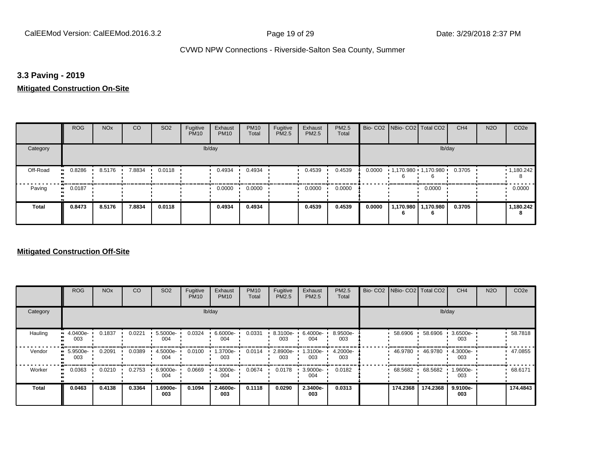## **3.3 Paving - 2019**

## **Mitigated Construction On-Site**

|                       | <b>ROG</b> | <b>NO<sub>x</sub></b> | CO     | SO <sub>2</sub> | Fugitive<br><b>PM10</b> | Exhaust<br><b>PM10</b> | <b>PM10</b><br>Total | Fugitive<br>PM2.5 | Exhaust<br>PM2.5 | PM2.5<br>Total |        | Bio- CO2 NBio- CO2 Total CO2 |                              | CH <sub>4</sub> | <b>N2O</b> | CO <sub>2e</sub>       |
|-----------------------|------------|-----------------------|--------|-----------------|-------------------------|------------------------|----------------------|-------------------|------------------|----------------|--------|------------------------------|------------------------------|-----------------|------------|------------------------|
| Category              |            |                       |        |                 |                         | lb/day                 |                      |                   |                  |                |        |                              | lb/day                       |                 |            |                        |
| Off-Road<br>$\bullet$ | 0.8286     | 8.5176                | 7.8834 | 0.0118          |                         | 0.4934                 | 0.4934               |                   | 0.4539           | 0.4539         | 0.0000 | $1,170.980$ $1,170.980$      |                              | 0.3705          |            | $\cdot$ 1,180.242<br>8 |
| Paving<br>ш.          | 0.0187     |                       |        |                 |                         | 0.0000                 | 0.0000               |                   | 0.0000           | 0.0000         |        |                              | 0.0000                       |                 |            | 0.0000                 |
| Total                 | 0.8473     | 8.5176                | 7.8834 | 0.0118          |                         | 0.4934                 | 0.4934               |                   | 0.4539           | 0.4539         | 0.0000 | 6                            | 1,170.980   1,170.980  <br>6 | 0.3705          |            | 1,180.242<br>8         |

|                     | <b>ROG</b>                        | <b>NO<sub>x</sub></b> | CO     | SO <sub>2</sub> | Fugitive<br><b>PM10</b> | Exhaust<br><b>PM10</b> | <b>PM10</b><br>Total | Fugitive<br><b>PM2.5</b> | Exhaust<br>PM2.5 | PM2.5<br>Total  |           | Bio- CO2   NBio- CO2   Total CO2 | CH <sub>4</sub> | <b>N2O</b> | CO <sub>2e</sub> |
|---------------------|-----------------------------------|-----------------------|--------|-----------------|-------------------------|------------------------|----------------------|--------------------------|------------------|-----------------|-----------|----------------------------------|-----------------|------------|------------------|
| Category            |                                   |                       |        |                 |                         | lb/day                 |                      |                          |                  |                 |           |                                  | lb/day          |            |                  |
| Hauling             | 4.0400e-<br>$\blacksquare$<br>003 | 0.1837                | 0.0221 | 5.5000e-<br>004 | 0.0324                  | 6.6000e-<br>004        | 0.0331               | 8.3100e-<br>003          | 6.4000e-<br>004  | 8.9500e-<br>003 | 58.6906   | 58.6906                          | 3.6500e-<br>003 |            | 58.7818          |
| Vendor              | 5.9500e-<br>003                   | 0.2091                | 0.0389 | 4.5000e-<br>004 | 0.0100                  | 1.3700e-<br>003        | 0.0114               | 2.8900e-<br>003          | 1.3100e-<br>003  | 4.2000e-<br>003 | 46.9780   | 46.9780                          | 4.3000e-<br>003 |            | 47.0855          |
| Worker<br>$\bullet$ | 0.0363                            | 0.0210                | 0.2753 | 6.9000e-<br>004 | 0.0669                  | 4.3000e-<br>004        | 0.0674               | 0.0178                   | 3.9000e-<br>004  | 0.0182          | 68.5682 · | 68.5682                          | 1.9600e-<br>003 |            | 68.6171          |
| <b>Total</b>        | 0.0463                            | 0.4138                | 0.3364 | -.6900e<br>003  | 0.1094                  | 2.4600e-<br>003        | 0.1118               | 0.0290                   | 2.3400e-<br>003  | 0.0313          | 174.2368  | 174.2368                         | 9.9100e-<br>003 |            | 174.4843         |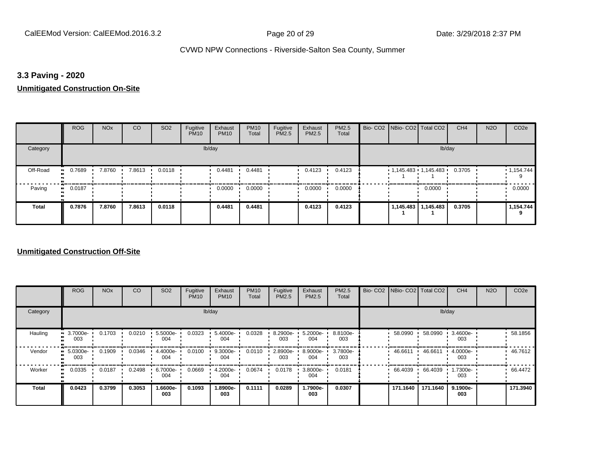## **3.3 Paving - 2020**

#### **Unmitigated Construction On-Site**

|              | <b>ROG</b>          | <b>NO<sub>x</sub></b> | CO     | SO <sub>2</sub> | Fugitive<br><b>PM10</b> | Exhaust<br><b>PM10</b> | <b>PM10</b><br>Total | Fugitive<br>PM2.5 | Exhaust<br>PM2.5 | PM2.5<br>Total | Bio- CO2   NBio- CO2   Total CO2 |                     | CH <sub>4</sub> | <b>N2O</b> | CO <sub>2e</sub> |
|--------------|---------------------|-----------------------|--------|-----------------|-------------------------|------------------------|----------------------|-------------------|------------------|----------------|----------------------------------|---------------------|-----------------|------------|------------------|
| Category     |                     |                       |        |                 |                         | lb/day                 |                      |                   |                  |                |                                  | lb/day              |                 |            |                  |
| Off-Road     | 0.7689<br>$\bullet$ | 7.8760                | 7.8613 | 0.0118          |                         | 0.4481                 | 0.4481               |                   | 0.4123           | 0.4123         | $1,145.483$ $1,145.483$ $1$      |                     | 0.3705          |            | 1,154.744        |
| Paving       | 0.0187<br>$\bullet$ |                       |        |                 |                         | 0.0000                 | 0.0000               |                   | 0.0000           | 0.0000         |                                  | 0.0000              |                 |            | 0.0000           |
| <b>Total</b> | 0.7876              | 7.8760                | 7.8613 | 0.0118          |                         | 0.4481                 | 0.4481               |                   | 0.4123           | 0.4123         |                                  | 1,145.483 1,145.483 | 0.3705          |            | 1,154.744<br>9   |

|                     | <b>ROG</b>           | <b>NO<sub>x</sub></b> | CO     | SO <sub>2</sub> | Fugitive<br><b>PM10</b> | Exhaust<br><b>PM10</b> | <b>PM10</b><br>Total | Fugitive<br><b>PM2.5</b> | Exhaust<br>PM2.5 | PM2.5<br>Total  | Bio- CO2   NBio- CO2   Total CO2 |          | CH <sub>4</sub> | <b>N2O</b> | CO <sub>2e</sub> |
|---------------------|----------------------|-----------------------|--------|-----------------|-------------------------|------------------------|----------------------|--------------------------|------------------|-----------------|----------------------------------|----------|-----------------|------------|------------------|
| Category            |                      |                       |        |                 |                         | lb/day                 |                      |                          |                  |                 |                                  |          | lb/day          |            |                  |
| Hauling             | 3.7000e-<br>ш<br>003 | 0.1703                | 0.0210 | 5.5000e-<br>004 | 0.0323                  | 5.4000e-<br>004        | 0.0328               | 8.2900e-<br>003          | 5.2000e-<br>004  | 8.8100e-<br>003 | 58.0990                          | 58.0990  | 3.4600e-<br>003 |            | 58.1856          |
| Vendor              | 5.0300e-<br>003      | 0.1909                | 0.0346 | 4.4000e-<br>004 | 0.0100                  | 9.3000e-<br>004        | 0.0110               | 2.8900e-<br>003          | 8.9000e-<br>004  | 3.7800e-<br>003 | 46.6611 ·                        | 46.6611  | 4.0000e-<br>003 |            | 46.7612          |
| Worker<br>$\bullet$ | 0.0335               | 0.0187                | 0.2498 | 6.7000e-<br>004 | 0.0669                  | 4.2000e-<br>004        | 0.0674               | 0.0178                   | 3.8000e-<br>004  | 0.0181          | 66.4039                          | 66.4039  | 1.7300e-<br>003 |            | 66.4472          |
| <b>Total</b>        | 0.0423               | 0.3799                | 0.3053 | 1.6600e-<br>003 | 0.1093                  | 1.8900e-<br>003        | 0.1111               | 0.0289                   | -.7900e<br>003   | 0.0307          | 171.1640                         | 171.1640 | 9.1900e-<br>003 |            | 171.3940         |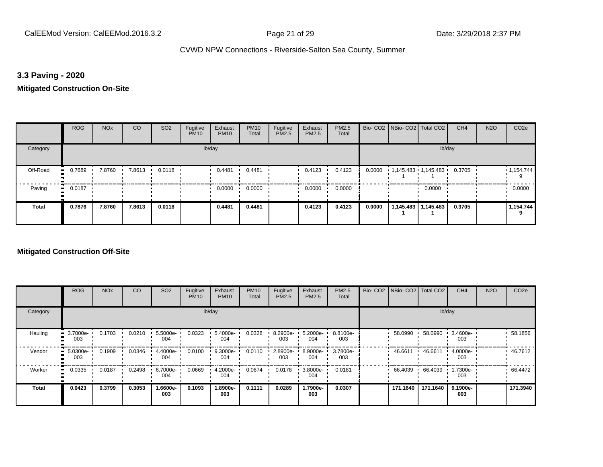## **3.3 Paving - 2020**

## **Mitigated Construction On-Site**

|              | <b>ROG</b>   | <b>NO<sub>x</sub></b> | <b>CO</b> | SO <sub>2</sub> | Fugitive<br><b>PM10</b> | Exhaust<br><b>PM10</b> | <b>PM10</b><br>Total | Fugitive<br>PM2.5 | Exhaust<br>PM2.5 | PM2.5<br>Total |        | Bio- CO2 NBio- CO2 Total CO2 |                       | CH <sub>4</sub> | <b>N2O</b> | CO <sub>2e</sub> |
|--------------|--------------|-----------------------|-----------|-----------------|-------------------------|------------------------|----------------------|-------------------|------------------|----------------|--------|------------------------------|-----------------------|-----------------|------------|------------------|
| Category     |              |                       |           |                 |                         | lb/day                 |                      |                   |                  |                |        |                              | lb/day                |                 |            |                  |
| Off-Road     | 0.7689<br>ш. | 7.8760                | 7.8613    | 0.0118          |                         | 0.4481                 | 0.4481               |                   | 0.4123           | 0.4123         | 0.0000 | 1,145.483 1,145.483          |                       | 0.3705          |            | 1,154.744        |
| Paving       | 0.0187<br>ш. |                       |           |                 |                         | 0.0000                 | 0.0000               |                   | 0.0000           | 0.0000         |        |                              | 0.0000                |                 |            | 0.0000           |
| <b>Total</b> | 0.7876       | 7.8760                | 7.8613    | 0.0118          |                         | 0.4481                 | 0.4481               |                   | 0.4123           | 0.4123         | 0.0000 |                              | 1,145.483   1,145.483 | 0.3705          |            | 1,154.744<br>9   |

|              | <b>ROG</b>          | <b>NO<sub>x</sub></b> | CO     | SO <sub>2</sub> | Fugitive<br><b>PM10</b> | Exhaust<br><b>PM10</b> | <b>PM10</b><br>Total | Fugitive<br><b>PM2.5</b> | Exhaust<br>PM2.5 | PM2.5<br>Total  | Bio- CO2   NBio- CO2   Total CO2 |          | CH <sub>4</sub> | <b>N2O</b> | CO <sub>2e</sub> |
|--------------|---------------------|-----------------------|--------|-----------------|-------------------------|------------------------|----------------------|--------------------------|------------------|-----------------|----------------------------------|----------|-----------------|------------|------------------|
| Category     |                     |                       |        |                 |                         | lb/day                 |                      |                          |                  |                 |                                  |          | lb/day          |            |                  |
| Hauling      | 3.7000e-<br>003     | 0.1703                | 0.0210 | 5.5000e-<br>004 | 0.0323                  | 5.4000e-<br>004        | 0.0328               | 8.2900e-<br>003          | 5.2000e-<br>004  | 8.8100e-<br>003 | 58.0990                          | 58.0990  | 3.4600e-<br>003 |            | 58.1856          |
| Vendor       | 5.0300e-<br>003     | 0.1909                | 0.0346 | 4.4000e-<br>004 | 0.0100                  | 9.3000e-<br>004        | 0.0110               | 2.8900e-<br>003          | 8.9000e-<br>004  | 3.7800e-<br>003 | 46.6611                          | 46.6611  | 4.0000e-<br>003 |            | 46.7612          |
| Worker       | 0.0335<br>$\bullet$ | 0.0187                | 0.2498 | 6.7000e-<br>004 | 0.0669                  | 4.2000e-<br>004        | 0.0674               | 0.0178                   | 3.8000e-<br>004  | 0.0181          | 66.4039                          | 66.4039  | 1.7300e-<br>003 |            | 66.4472          |
| <b>Total</b> | 0.0423              | 0.3799                | 0.3053 | -.6600e<br>003  | 0.1093                  | 1.8900e-<br>003        | 0.1111               | 0.0289                   | -.7900e<br>003   | 0.0307          | 171.1640                         | 171.1640 | 9.1900e-<br>003 |            | 171.3940         |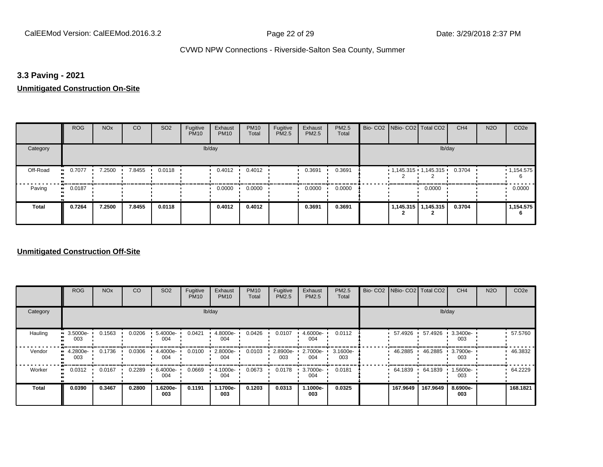## **3.3 Paving - 2021**

#### **Unmitigated Construction On-Site**

|              | <b>ROG</b>          | <b>NO<sub>x</sub></b> | CO     | SO <sub>2</sub> | Fugitive<br><b>PM10</b> | Exhaust<br><b>PM10</b> | <b>PM10</b><br>Total | Fugitive<br>PM2.5 | Exhaust<br>PM2.5 | PM2.5<br>Total | Bio- CO2   NBio- CO2   Total CO2 |                       | CH <sub>4</sub> | <b>N2O</b> | CO <sub>2e</sub> |
|--------------|---------------------|-----------------------|--------|-----------------|-------------------------|------------------------|----------------------|-------------------|------------------|----------------|----------------------------------|-----------------------|-----------------|------------|------------------|
| Category     |                     |                       |        |                 |                         | lb/day                 |                      |                   |                  |                |                                  | lb/day                |                 |            |                  |
| Off-Road     | 0.7077<br>$\bullet$ | 7.2500                | 7.8455 | 0.0118          |                         | 0.4012                 | 0.4012               |                   | 0.3691           | 0.3691         | $1,145.315$ $1,145.315$ $1$      |                       | 0.3704          |            | 1,154.575<br>6   |
| Paving       | 0.0187<br>$\bullet$ |                       |        |                 |                         | 0.0000                 | 0.0000               |                   | 0.0000           | 0.0000         |                                  | 0.0000                |                 |            | 0.0000           |
| <b>Total</b> | 0.7264              | 7.2500                | 7.8455 | 0.0118          |                         | 0.4012                 | 0.4012               |                   | 0.3691           | 0.3691         |                                  | 1,145.315   1,145.315 | 0.3704          |            | 1,154.575<br>6   |

|              | <b>ROG</b>                        | <b>NO<sub>x</sub></b> | CO     | SO <sub>2</sub> | Fugitive<br><b>PM10</b> | Exhaust<br><b>PM10</b> | <b>PM10</b><br>Total | Fugitive<br><b>PM2.5</b> | Exhaust<br>PM2.5 | PM2.5<br>Total  | Bio- CO2   NBio- CO2   Total CO2 |          | CH <sub>4</sub> | <b>N2O</b> | CO <sub>2e</sub> |
|--------------|-----------------------------------|-----------------------|--------|-----------------|-------------------------|------------------------|----------------------|--------------------------|------------------|-----------------|----------------------------------|----------|-----------------|------------|------------------|
| Category     |                                   |                       |        |                 |                         | lb/day                 |                      |                          |                  |                 |                                  |          | lb/day          |            |                  |
| Hauling      | 3.5000e-<br>$\blacksquare$<br>003 | 0.1563                | 0.0206 | 5.4000e-<br>004 | 0.0421                  | 4.8000e-<br>004        | 0.0426               | 0.0107                   | 4.6000e-<br>004  | 0.0112          | 57.4926                          | 57.4926  | 3.3400e-<br>003 |            | 57.5760          |
| Vendor<br>œ  | 4.2800e-<br>003                   | 0.1736                | 0.0306 | 4.4000e-<br>004 | 0.0100                  | 2.8000e-<br>004        | 0.0103               | 2.8900e-<br>003          | 2.7000e-<br>004  | 3.1600e-<br>003 | 46.2885                          | 46.2885  | 3.7900e-<br>003 |            | 46.3832          |
| Worker       | 0.0312<br>$\bullet$               | 0.0167                | 0.2289 | 6.4000e-<br>004 | 0.0669                  | 4.1000e-<br>004        | 0.0673               | 0.0178                   | 3.7000e-<br>004  | 0.0181          | 64.1839                          | 64.1839  | 1.5600e-<br>003 |            | 64.2229          |
| <b>Total</b> | 0.0390                            | 0.3467                | 0.2800 | -.6200e<br>003  | 0.1191                  | 1.1700e-<br>003        | 0.1203               | 0.0313                   | 1.1000e-<br>003  | 0.0325          | 167.9649                         | 167.9649 | 8.6900e-<br>003 |            | 168.1821         |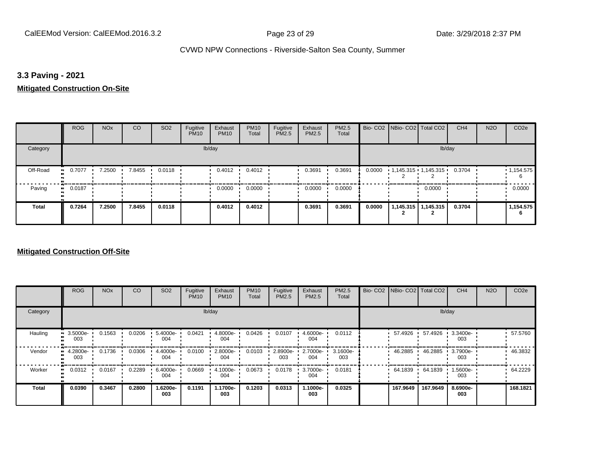## **3.3 Paving - 2021**

## **Mitigated Construction On-Site**

|              | <b>ROG</b>   | <b>NO<sub>x</sub></b> | <b>CO</b> | SO <sub>2</sub> | Fugitive<br><b>PM10</b> | Exhaust<br><b>PM10</b> | <b>PM10</b><br>Total | Fugitive<br>PM2.5 | Exhaust<br>PM2.5 | <b>PM2.5</b><br>Total |        | Bio- CO2   NBio- CO2   Total CO2 |                       | CH <sub>4</sub> | <b>N2O</b> | CO <sub>2e</sub> |
|--------------|--------------|-----------------------|-----------|-----------------|-------------------------|------------------------|----------------------|-------------------|------------------|-----------------------|--------|----------------------------------|-----------------------|-----------------|------------|------------------|
| Category     |              |                       |           |                 |                         | lb/day                 |                      |                   |                  |                       |        |                                  | lb/day                |                 |            |                  |
| Off-Road     | 0.7077<br>ш. | 7.2500                | 7.8455    | 0.0118          |                         | 0.4012                 | 0.4012               |                   | 0.3691           | 0.3691                | 0.0000 | $1,145.315$ $1,145.315$          |                       | 0.3704          |            | 1,154.575<br>6   |
| Paving       | 0.0187<br>ш. |                       |           |                 |                         | 0.0000                 | 0.0000               |                   | 0.0000           | 0.0000                |        |                                  | 0.0000                |                 |            | 0.0000           |
| <b>Total</b> | 0.7264       | 7.2500                | 7.8455    | 0.0118          |                         | 0.4012                 | 0.4012               |                   | 0.3691           | 0.3691                | 0.0000 |                                  | 1,145.315   1,145.315 | 0.3704          |            | 1,154.575<br>6   |

|              | <b>ROG</b>                        | <b>NO<sub>x</sub></b> | CO     | SO <sub>2</sub> | Fugitive<br><b>PM10</b> | Exhaust<br><b>PM10</b> | <b>PM10</b><br>Total | Fugitive<br><b>PM2.5</b> | Exhaust<br>PM2.5 | PM2.5<br>Total  | Bio- CO2   NBio- CO2   Total CO2 |          | CH <sub>4</sub> | <b>N2O</b> | CO <sub>2e</sub> |
|--------------|-----------------------------------|-----------------------|--------|-----------------|-------------------------|------------------------|----------------------|--------------------------|------------------|-----------------|----------------------------------|----------|-----------------|------------|------------------|
| Category     |                                   |                       |        |                 |                         | lb/day                 |                      |                          |                  |                 |                                  |          | lb/day          |            |                  |
| Hauling      | 3.5000e-<br>$\blacksquare$<br>003 | 0.1563                | 0.0206 | 5.4000e-<br>004 | 0.0421                  | 4.8000e-<br>004        | 0.0426               | 0.0107                   | 4.6000e-<br>004  | 0.0112          | 57.4926                          | 57.4926  | 3.3400e-<br>003 |            | 57.5760          |
| Vendor<br>œ  | 4.2800e-<br>003                   | 0.1736                | 0.0306 | 4.4000e-<br>004 | 0.0100                  | 2.8000e-<br>004        | 0.0103               | 2.8900e-<br>003          | 2.7000e-<br>004  | 3.1600e-<br>003 | 46.2885                          | 46.2885  | 3.7900e-<br>003 |            | 46.3832          |
| Worker       | 0.0312<br>$\bullet$               | 0.0167                | 0.2289 | 6.4000e-<br>004 | 0.0669                  | 4.1000e-<br>004        | 0.0673               | 0.0178                   | 3.7000e-<br>004  | 0.0181          | 64.1839                          | 64.1839  | 1.5600e-<br>003 |            | 64.2229          |
| <b>Total</b> | 0.0390                            | 0.3467                | 0.2800 | -.6200e<br>003  | 0.1191                  | 1.1700e-<br>003        | 0.1203               | 0.0313                   | 1.1000e-<br>003  | 0.0325          | 167.9649                         | 167.9649 | 8.6900e-<br>003 |            | 168.1821         |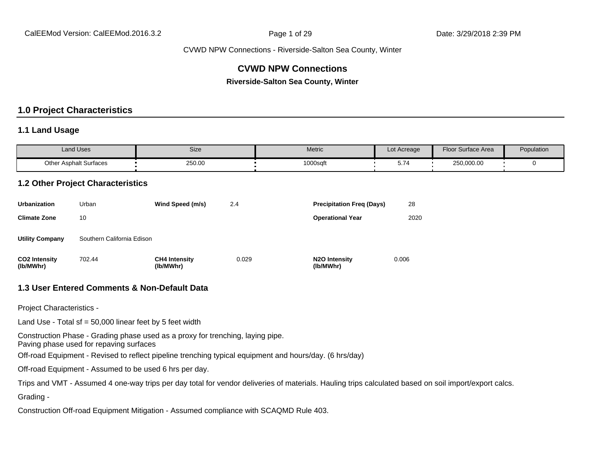## **CVWD NPW Connections**

**Riverside-Salton Sea County, Winter**

### **1.0 Project Characteristics**

#### **1.1 Land Usage**

| <b>Land Uses</b>              | Size   | Metric   | Lot Acreage | <b>Floor Surface Area</b> | Population |
|-------------------------------|--------|----------|-------------|---------------------------|------------|
| <b>Other Asphalt Surfaces</b> | 250.00 | 1000sqft | ◡.≀         | 250,000.00                |            |

#### **1.2 Other Project Characteristics**

| <b>Urbanization</b>               | Urban                      | Wind Speed (m/s)                  | 2.4   | <b>Precipitation Freg (Days)</b>        | 28    |
|-----------------------------------|----------------------------|-----------------------------------|-------|-----------------------------------------|-------|
| <b>Climate Zone</b>               | 10                         |                                   |       | <b>Operational Year</b>                 | 2020  |
| <b>Utility Company</b>            | Southern California Edison |                                   |       |                                         |       |
| <b>CO2 Intensity</b><br>(lb/MWhr) | 702.44                     | <b>CH4 Intensity</b><br>(lb/MWhr) | 0.029 | N <sub>2</sub> O Intensity<br>(lb/MWhr) | 0.006 |

#### **1.3 User Entered Comments & Non-Default Data**

Project Characteristics -

Land Use - Total sf =  $50,000$  linear feet by 5 feet width

Construction Phase - Grading phase used as a proxy for trenching, laying pipe.

Paving phase used for repaving surfaces

Off-road Equipment - Revised to reflect pipeline trenching typical equipment and hours/day. (6 hrs/day)

Off-road Equipment - Assumed to be used 6 hrs per day.

Trips and VMT - Assumed 4 one-way trips per day total for vendor deliveries of materials. Hauling trips calculated based on soil import/export calcs.

Grading -

Construction Off-road Equipment Mitigation - Assumed compliance with SCAQMD Rule 403.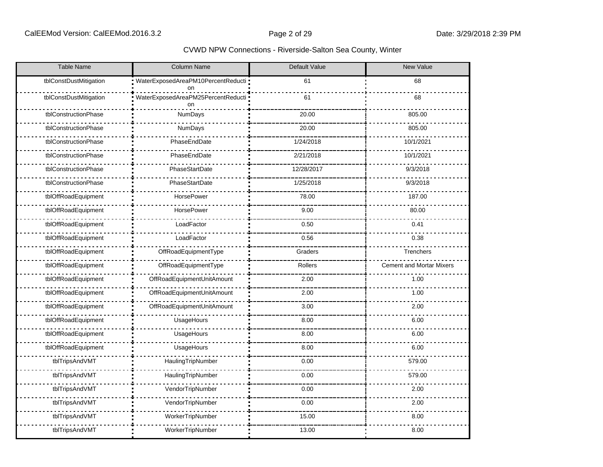| <b>Table Name</b>      | <b>Column Name</b>                         | Default Value | <b>New Value</b>                |
|------------------------|--------------------------------------------|---------------|---------------------------------|
| tblConstDustMitigation | WaterExposedAreaPM10PercentReducti :<br>on | 61            | 68                              |
| tblConstDustMitigation | WaterExposedAreaPM25PercentReducti ·<br>on | 61            | 68                              |
| tblConstructionPhase   | <b>NumDays</b>                             | 20.00         | 805.00                          |
| tblConstructionPhase   | <b>NumDays</b>                             | 20.00         | 805.00                          |
| tblConstructionPhase   | PhaseEndDate                               | 1/24/2018     | 10/1/2021                       |
| tblConstructionPhase   | PhaseEndDate                               | 2/21/2018     | 10/1/2021                       |
| tblConstructionPhase   | PhaseStartDate                             | 12/28/2017    | 9/3/2018                        |
| tblConstructionPhase   | PhaseStartDate                             | 1/25/2018     | 9/3/2018                        |
| tblOffRoadEquipment    | <b>HorsePower</b>                          | 78.00         | 187.00                          |
| tblOffRoadEquipment    | <b>HorsePower</b>                          | 9.00          | 80.00                           |
| tblOffRoadEquipment    | LoadFactor                                 | 0.50          | 0.41                            |
| tblOffRoadEquipment    | LoadFactor                                 | 0.56          | 0.38                            |
| tblOffRoadEquipment    | OffRoadEquipmentType                       | Graders       | Trenchers                       |
| tblOffRoadEquipment    | OffRoadEquipmentType                       | Rollers       | <b>Cement and Mortar Mixers</b> |
| tblOffRoadEquipment    | OffRoadEquipmentUnitAmount                 | 2.00          | 1.00                            |
| tblOffRoadEquipment    | OffRoadEquipmentUnitAmount                 | 2.00          | 1.00                            |
| tblOffRoadEquipment    | OffRoadEquipmentUnitAmount                 | 3.00          | 2.00                            |
| tblOffRoadEquipment    | UsageHours                                 | 8.00          | 6.00                            |
| tblOffRoadEquipment    | UsageHours                                 | 8.00          | 6.00                            |
| tblOffRoadEquipment    | UsageHours                                 | 8.00          | 6.00                            |
| tblTripsAndVMT         | HaulingTripNumber                          | 0.00          | 579.00                          |
| tblTripsAndVMT         | HaulingTripNumber                          | 0.00          | 579.00                          |
| tblTripsAndVMT         | VendorTripNumber                           | 0.00          | 2.00                            |
| tblTripsAndVMT         | VendorTripNumber                           | 0.00          | 2.00                            |
| tblTripsAndVMT         | WorkerTripNumber                           | 15.00         | 8.00                            |
| tblTripsAndVMT         | WorkerTripNumber                           | 13.00         | 8.00                            |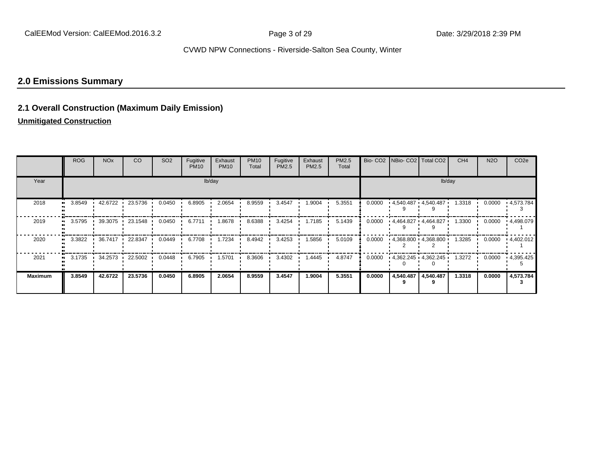## **2.0 Emissions Summary**

## **2.1 Overall Construction (Maximum Daily Emission)**

## **Unmitigated Construction**

|                | <b>ROG</b> | <b>NO<sub>x</sub></b> | CO.             | SO <sub>2</sub> | Fugitive<br><b>PM10</b> | Exhaust<br><b>PM10</b> | <b>PM10</b><br>Total | Fugitive<br><b>PM2.5</b> | Exhaust<br>PM2.5 | <b>PM2.5</b><br>Total |        |           | Bio- CO2   NBio- CO2   Total CO2 | CH <sub>4</sub> | <b>N2O</b> | CO <sub>2e</sub>     |
|----------------|------------|-----------------------|-----------------|-----------------|-------------------------|------------------------|----------------------|--------------------------|------------------|-----------------------|--------|-----------|----------------------------------|-----------------|------------|----------------------|
| Year           |            |                       |                 |                 |                         | lb/day                 |                      |                          |                  |                       |        |           |                                  | lb/day          |            |                      |
| 2018           | 3.8549     |                       | 42.6722 23.5736 | 0.0450          | 6.8905                  | 2.0654                 | 8.9559               | 3.4547                   | 1.9004           | 5.3551                | 0.0000 |           | $-4,540.487 - 4,540.487$         | 1.3318          | 0.0000     | • 4,573.784          |
| 2019           | 3.5795     |                       | 39.3075 23.1548 | 0.0450          | 6.7711                  | 1.8678 ·               | 8.6388               | 3.4254                   | 1.7185           | 5.1439                | 0.0000 |           | - 4,464.827 - 4,464.827          | $1.3300 -$      | 0.0000     | ▪ 4,498.079          |
| 2020           | 3.3822     | 36.7417               | 22.8347         | 0.0449          | 6.7708                  | $1.7234$ $\cdot$       | 8.4942               | 3.4253                   | 1.5856           | 5.0109                | 0.0000 |           | $-4,368.800 - 4,368.800$         | 1.3285          | 0.0000     | - 4,402.012          |
| 2021           |            | 3.1735 1 34.2573      | 22.5002 ·       | 0.0448          | 6.7905                  | 1.5701                 | 8.3606               | 3.4302                   | 1.4445           | 4.8747                | 0.0000 |           | $-4,362.245 - 4,362.245$         | 1.3272          |            | $0.0000 + 4.395.425$ |
| <b>Maximum</b> | 3.8549     | 42.6722               | 23.5736         | 0.0450          | 6.8905                  | 2.0654                 | 8.9559               | 3.4547                   | 1.9004           | 5.3551                | 0.0000 | 4,540.487 | 4,540.487                        | 1.3318          | 0.0000     | 4,573.784            |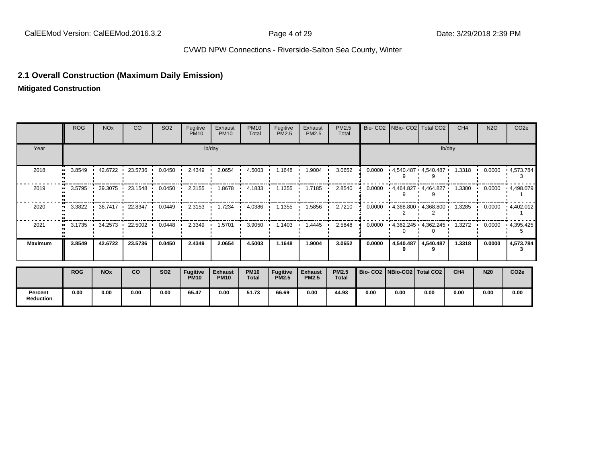## **2.1 Overall Construction (Maximum Daily Emission)**

**Mitigated Construction**

**Percent Reduction**

|                | <b>ROG</b> | <b>NO<sub>x</sub></b>   | CO                       | SO <sub>2</sub> | Fugitive<br><b>PM10</b>        | Exhaust<br><b>PM10</b>        | <b>PM10</b><br>Total        | Fugitive<br>PM2.5               | Exhaust<br>PM2.5               | PM2.5<br>Total        |                                 |           | Bio- CO2   NBio- CO2   Total CO2 | CH <sub>4</sub> | <b>N2O</b> | CO <sub>2e</sub>          |
|----------------|------------|-------------------------|--------------------------|-----------------|--------------------------------|-------------------------------|-----------------------------|---------------------------------|--------------------------------|-----------------------|---------------------------------|-----------|----------------------------------|-----------------|------------|---------------------------|
| Year           |            |                         |                          |                 |                                | lb/day                        |                             |                                 |                                |                       |                                 |           |                                  | lb/day          |            |                           |
| 2018           | 3.8549     | 42.6722                 | 23.5736                  | 0.0450          | 2.4349                         | 2.0654                        | 4.5003                      | 1.1648                          | 1.9004                         | 3.0652                | 0.0000                          |           | $4,540.487$ $4,540.487$          | 1.3318          | 0.0000     | 4,573.784                 |
| 2019           | 3.5795     | $\cdot$ 39.3075 $\cdot$ | 23.1548                  | 0.0450          | 2.3155                         | 1.8678                        | 4.1833                      | 1.1355                          | 1.7185                         | 2.8540                | 0.0000                          |           | - 4,464.827 - 4,464.827          | 1.3300          | 0.0000     | .4,498.079                |
| 2020           |            |                         | 3.3822 1 36.7417 22.8347 | 0.0449          | 2.3153                         | 1.7234                        | 4.0386                      | 1.1355                          | 1.5856                         | 2.7210                | 0.0000                          |           | $-4,368.800 - 4,368.800$         |                 |            | $1.3285$ 0.0000 4.402.012 |
| 2021           |            | $3.1735$ $34.2573$ $1$  | 22.5002 ·                | 0.0448          | 2.3349                         | 1.5701                        | 3.9050                      | 1.1403                          | 1.4445                         | 2.5848                | 0.0000                          |           | $-4,362.245$ $-4,362.245$        | 1.3272          | 0.0000     | .4,395.425                |
| <b>Maximum</b> | 3.8549     | 42.6722                 | 23.5736                  | 0.0450          | 2.4349                         | 2.0654                        | 4.5003                      | 1.1648                          | 1.9004                         | 3.0652                | 0.0000                          | 4,540.487 | 4,540.487                        | 1.3318          | 0.0000     | 4,573.784                 |
|                | <b>ROG</b> | <b>NOx</b>              | co                       | <b>SO2</b>      | <b>Fugitive</b><br><b>PM10</b> | <b>Exhaust</b><br><b>PM10</b> | <b>PM10</b><br><b>Total</b> | <b>Fugitive</b><br><b>PM2.5</b> | <b>Exhaust</b><br><b>PM2.5</b> | <b>PM2.5</b><br>Total | Bio- CO2   NBio-CO2   Total CO2 |           |                                  | CH4             | <b>N20</b> | CO <sub>2e</sub>          |

**0.00 0.00 0.00 0.00 65.47 0.00 51.73 66.69 0.00 44.93 0.00 0.00 0.00 0.00 0.00 0.00**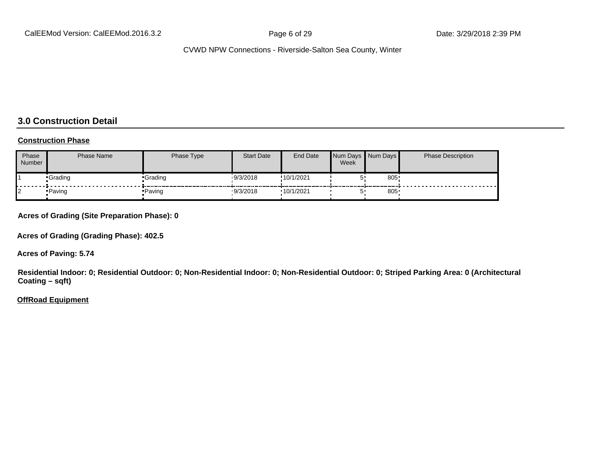## **3.0 Construction Detail**

#### **Construction Phase**

| Phase<br>Number | <b>Phase Name</b> | Phase Type | <b>Start Date</b> | End Date   | Week | Num Days Num Days | <b>Phase Description</b> |
|-----------------|-------------------|------------|-------------------|------------|------|-------------------|--------------------------|
|                 | •Grading          | •Grading   | 19/3/2018         | !10/1/2021 |      | 805               |                          |
|                 | • Paving          | • Paving   | 9/3/2018          | 10/1/2021  |      | 805               |                          |

#### **Acres of Grading (Site Preparation Phase): 0**

**Acres of Grading (Grading Phase): 402.5**

**Acres of Paving: 5.74**

**Residential Indoor: 0; Residential Outdoor: 0; Non-Residential Indoor: 0; Non-Residential Outdoor: 0; Striped Parking Area: 0 (Architectural Coating – sqft)**

#### **OffRoad Equipment**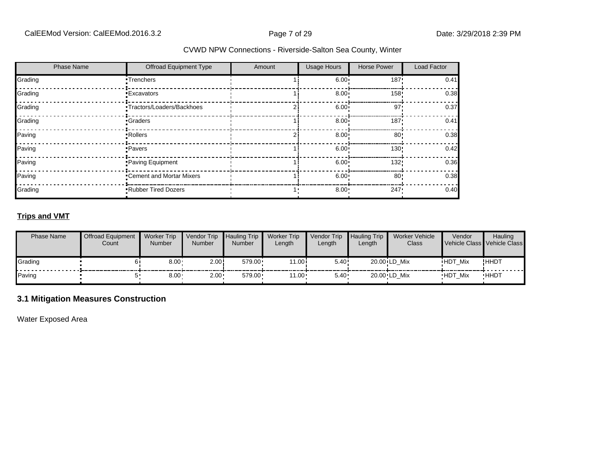| <b>Phase Name</b> | Offroad Equipment Type     | Amount | <b>Usage Hours</b> | <b>Horse Power</b> | Load Factor |
|-------------------|----------------------------|--------|--------------------|--------------------|-------------|
| Grading           | •Trenchers                 |        | 6.00               | 187'               | 0.41        |
| Grading           | <b>Excavators</b>          |        | 8.00 <sub>1</sub>  | 158!               | 0.38        |
| Grading           | •Tractors/Loaders/Backhoes |        | 6.00               | 97'                | 0.37        |
| Grading           | •Graders                   |        | 8.00 <sub>1</sub>  | 187'               | 0.41        |
| Paving            | • Rollers                  |        | 8.00               | 80'                | 0.38        |
| Paving            | •Pavers                    |        | 6.00 <sub>1</sub>  | 130'               | 0.42        |
| Paving            | Paving Equipment           |        | 6.00 <sup>1</sup>  | 132!               | 0.36        |
| Paving            | •Cement and Mortar Mixers  |        | 6.00 <sub>1</sub>  | 80 <sup>1</sup>    | 0.38        |
| Grading           | <b>Rubber Tired Dozers</b> |        | 8.00               | 247                | 0.40        |

## **Trips and VMT**

| <b>Phase Name</b> | <b>Offroad Equipment</b><br>Count | <b>Worker Trip</b><br><b>Number</b> | Vendor Trip<br><b>Number</b> | <b>Hauling Trip</b><br><b>Number</b> | <b>Worker Trip</b><br>Length | Vendor Trip<br>Length | <b>Hauling Trip</b><br>$L$ ength | <b>Worker Vehicle</b><br>Class | Vendor         | <b>Hauling</b><br>Vehicle Class Vehicle Class |
|-------------------|-----------------------------------|-------------------------------------|------------------------------|--------------------------------------|------------------------------|-----------------------|----------------------------------|--------------------------------|----------------|-----------------------------------------------|
| Grading           |                                   | $8.00 -$                            | 2.00!                        | 579.00                               | 11.00i                       | 5.40!                 |                                  | 20.00 LD Mix                   | <b>HDT Mix</b> | <b>!HHDT</b>                                  |
| Paving            |                                   | 8.00 <sub>1</sub>                   | $2.00 -$                     | 579.00                               | $11.00 -$                    | 5.40                  |                                  | 20.00 LD Mix                   | HDT Mix        | <b>HHDT</b>                                   |

## **3.1 Mitigation Measures Construction**

Water Exposed Area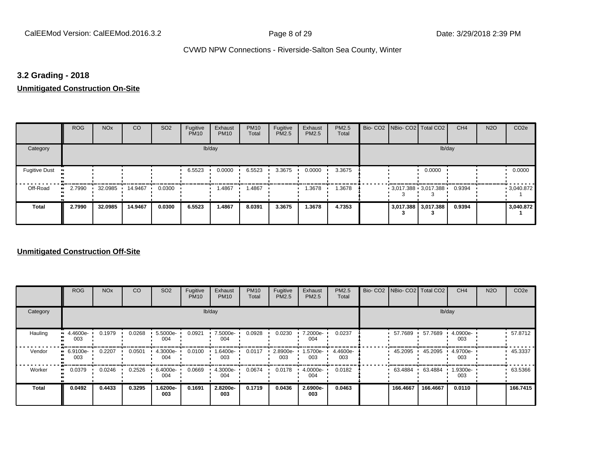## **3.2 Grading - 2018**

**Unmitigated Construction On-Site**

|                                        | <b>ROG</b>          | <b>NO<sub>x</sub></b> | CO      | SO <sub>2</sub> | Fugitive<br><b>PM10</b> | Exhaust<br><b>PM10</b> | <b>PM10</b><br>Total | Fugitive<br><b>PM2.5</b> | Exhaust<br>PM2.5 | PM2.5<br>Total | Bio- CO2   NBio- CO2   Total CO2 |                     | CH <sub>4</sub> | <b>N2O</b> | CO <sub>2e</sub> |
|----------------------------------------|---------------------|-----------------------|---------|-----------------|-------------------------|------------------------|----------------------|--------------------------|------------------|----------------|----------------------------------|---------------------|-----------------|------------|------------------|
| Category                               |                     |                       |         |                 |                         | lb/day                 |                      |                          |                  |                |                                  | lb/day              |                 |            |                  |
| <b>Fugitive Dust</b><br>$\blacksquare$ |                     |                       |         |                 | 6.5523                  | 0.0000                 | 6.5523               | 3.3675                   | 0.0000           | 3.3675         |                                  | 0.0000              |                 |            | 0.0000           |
| Off-Road                               | 2.7990<br>$\bullet$ | 32.0985               | 14.9467 | 0.0300          |                         | 1.4867                 | 1.4867               |                          | 1.3678           | 1.3678         | $3,017.388$ 3,017.388            |                     | 0.9394          |            | .3040.872        |
| <b>Total</b>                           | 2.7990              | 32.0985               | 14.9467 | 0.0300          | 6.5523                  | 1.4867                 | 8.0391               | 3.3675                   | 1.3678           | 4.7353         |                                  | 3,017.388 3,017.388 | 0.9394          |            | 3,040.872        |

|              | <b>ROG</b>                        | <b>NO<sub>x</sub></b> | CO     | SO <sub>2</sub> | Fugitive<br><b>PM10</b> | Exhaust<br><b>PM10</b> | <b>PM10</b><br>Total | Fugitive<br><b>PM2.5</b> | Exhaust<br>PM2.5 | PM2.5<br>Total  | Bio- CO2   NBio- CO2   Total CO2 |          | CH <sub>4</sub> | <b>N2O</b> | CO <sub>2e</sub> |
|--------------|-----------------------------------|-----------------------|--------|-----------------|-------------------------|------------------------|----------------------|--------------------------|------------------|-----------------|----------------------------------|----------|-----------------|------------|------------------|
| Category     |                                   |                       |        |                 |                         | lb/day                 |                      |                          |                  |                 |                                  | lb/day   |                 |            |                  |
| Hauling      | 4.4600e-<br>$\blacksquare$<br>003 | 0.1979                | 0.0268 | 5.5000e-<br>004 | 0.0921                  | 7.5000e-<br>004        | 0.0928               | 0.0230                   | 7.2000e-<br>004  | 0.0237          | 57.7689                          | 57.7689  | 4.0900e-<br>003 |            | 57.8712          |
| Vendor       | 6.9100e-<br>$\bullet$<br>003      | 0.2207                | 0.0501 | 4.3000e-<br>004 | 0.0100                  | 1.6400e-<br>003        | 0.0117               | 2.8900e-<br>003          | .5700e-<br>003   | 4.4600e-<br>003 | 45.2095                          | 45.2095  | 4.9700e-<br>003 |            | 45.3337          |
| Worker       | 0.0379<br>$\bullet$               | 0.0246                | 0.2526 | 6.4000e-<br>004 | 0.0669                  | 4.3000e-<br>004        | 0.0674               | 0.0178                   | 4.0000e-<br>004  | 0.0182          | 63.4884                          | 63.4884  | 1.9300e-<br>003 |            | 63.5366          |
| <b>Total</b> | 0.0492                            | 0.4433                | 0.3295 | 1.6200e-<br>003 | 0.1691                  | 2.8200e-<br>003        | 0.1719               | 0.0436                   | 2.6900e-<br>003  | 0.0463          | 166.4667                         | 166.4667 | 0.0110          |            | 166.7415         |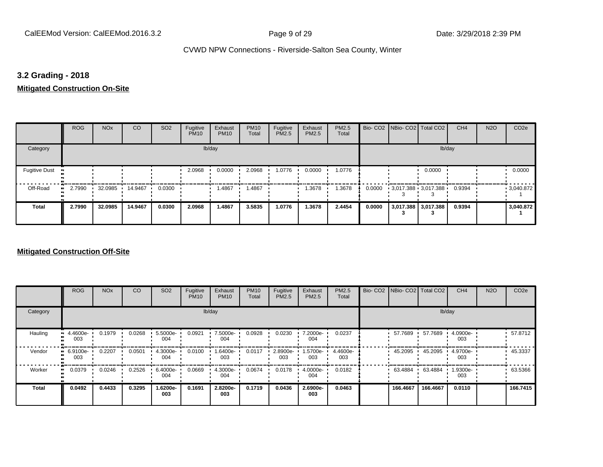## **3.2 Grading - 2018**

## **Mitigated Construction On-Site**

|                                   | <b>ROG</b> | <b>NO<sub>x</sub></b> | CO      | SO <sub>2</sub> | Fugitive<br><b>PM10</b> | Exhaust<br><b>PM10</b> | <b>PM10</b><br>Total | Fugitive<br>PM2.5 | Exhaust<br>PM2.5 | PM2.5<br>Total |        | Bio- CO2   NBio- CO2   Total CO2 |                     | CH <sub>4</sub> | <b>N2O</b> | CO <sub>2e</sub> |
|-----------------------------------|------------|-----------------------|---------|-----------------|-------------------------|------------------------|----------------------|-------------------|------------------|----------------|--------|----------------------------------|---------------------|-----------------|------------|------------------|
| Category                          |            |                       |         |                 |                         | lb/day                 |                      |                   |                  |                |        |                                  | lb/day              |                 |            |                  |
| <b>Fugitive Dust</b><br>$\bullet$ |            |                       |         |                 | 2.0968                  | 0.0000                 | 2.0968               | 1.0776            | 0.0000           | 1.0776         |        |                                  | 0.0000              |                 |            | 0.0000           |
| Off-Road<br>ш.                    | 2.7990     | 32.0985               | 14.9467 | 0.0300          |                         | .4867                  | .4867                |                   | .3678            | 1.3678         | 0.0000 | $3,017.388$ 3,017.388            |                     | 0.9394          |            | 9,040.872        |
| <b>Total</b>                      | 2.7990     | 32.0985               | 14.9467 | 0.0300          | 2.0968                  | 1.4867                 | 3.5835               | 1.0776            | 1.3678           | 2.4454         | 0.0000 | -5                               | 3,017.388 3,017.388 | 0.9394          |            | 3,040.872        |

|          | <b>ROG</b>      | <b>NO<sub>x</sub></b> | CO     | SO <sub>2</sub>    | Fugitive<br><b>PM10</b> | Exhaust<br><b>PM10</b> | <b>PM10</b><br>Total | Fugitive<br><b>PM2.5</b> | Exhaust<br>PM2.5 | PM2.5<br>Total  | Bio- CO2   NBio- CO2   Total CO2 |          | CH <sub>4</sub> | <b>N2O</b> | CO <sub>2e</sub> |
|----------|-----------------|-----------------------|--------|--------------------|-------------------------|------------------------|----------------------|--------------------------|------------------|-----------------|----------------------------------|----------|-----------------|------------|------------------|
| Category |                 |                       |        |                    |                         | lb/day                 |                      |                          |                  |                 |                                  |          | lb/day          |            |                  |
| Hauling  | 4.4600e-<br>003 | 0.1979                | 0.0268 | $5.5000e -$<br>004 | 0.0921                  | 7.5000e-<br>004        | 0.0928               | 0.0230                   | 7.2000e-<br>004  | 0.0237          | 57.7689                          | 57.7689  | 4.0900e-<br>003 |            | 57.8712          |
| Vendor   | 6.9100e-<br>003 | 0.2207                | 0.0501 | 4.3000e-<br>004    | 0.0100                  | 1.6400e-<br>003        | 0.0117               | 2.8900e-<br>003          | 1.5700e-<br>003  | 4.4600e-<br>003 | 45.2095                          | 45.2095  | 4.9700e-<br>003 |            | 45.3337          |
| Worker   | 0.0379          | 0.0246                | 0.2526 | 6.4000e-<br>004    | 0.0669                  | 4.3000e-<br>004        | 0.0674               | 0.0178                   | 4.0000e-<br>004  | 0.0182          | 63.4884                          | 63.4884  | 1.9300e-<br>003 |            | 63.5366          |
| Total    | 0.0492          | 0.4433                | 0.3295 | 1.6200e-<br>003    | 0.1691                  | 2.8200e-<br>003        | 0.1719               | 0.0436                   | 2.6900e-<br>003  | 0.0463          | 166,4667                         | 166.4667 | 0.0110          |            | 166.7415         |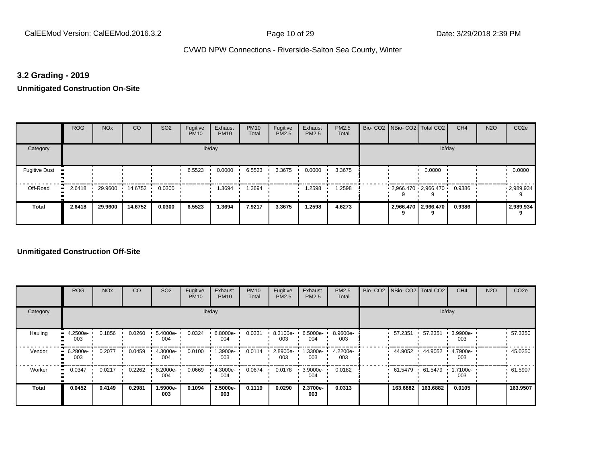## **3.2 Grading - 2019**

**Unmitigated Construction On-Site**

|                                        | <b>ROG</b>   | <b>NO<sub>x</sub></b> | CO      | SO <sub>2</sub> | Fugitive<br><b>PM10</b> | Exhaust<br><b>PM10</b> | <b>PM10</b><br>Total | Fugitive<br><b>PM2.5</b> | Exhaust<br>PM2.5 | PM2.5<br>Total | Bio- CO2   NBio- CO2   Total CO2 |                       | CH <sub>4</sub> | <b>N2O</b> | CO <sub>2e</sub> |
|----------------------------------------|--------------|-----------------------|---------|-----------------|-------------------------|------------------------|----------------------|--------------------------|------------------|----------------|----------------------------------|-----------------------|-----------------|------------|------------------|
| Category                               |              |                       |         |                 |                         | lb/day                 |                      |                          |                  |                |                                  | lb/day                |                 |            |                  |
| <b>Fugitive Dust</b><br>$\blacksquare$ |              |                       |         |                 | 6.5523                  | 0.0000                 | 6.5523               | 3.3675                   | 0.0000           | 3.3675         |                                  | 0.0000                |                 |            | 0.0000           |
| Off-Road                               | 2.6418<br>ш. | 29.9600               | 14.6752 | 0.0300          |                         | 1.3694                 | .3694                |                          | .2598            | 1.2598         | $2,966.470$ $2,966.470$          |                       | 0.9386          |            | .2,989.934       |
| <b>Total</b>                           | 2.6418       | 29.9600               | 14.6752 | 0.0300          | 6.5523                  | 1.3694                 | 7.9217               | 3.3675                   | 1.2598           | 4.6273         |                                  | 2,966.470   2,966.470 | 0.9386          |            | 2,989.934        |

|              | <b>ROG</b>                   | <b>NO<sub>x</sub></b> | CO     | SO <sub>2</sub> | Fugitive<br><b>PM10</b> | Exhaust<br><b>PM10</b> | <b>PM10</b><br>Total | Fugitive<br><b>PM2.5</b> | Exhaust<br>PM2.5 | PM2.5<br>Total  | Bio- CO2   NBio- CO2   Total CO2 |          | CH <sub>4</sub> | <b>N2O</b> | CO <sub>2e</sub> |
|--------------|------------------------------|-----------------------|--------|-----------------|-------------------------|------------------------|----------------------|--------------------------|------------------|-----------------|----------------------------------|----------|-----------------|------------|------------------|
| Category     |                              |                       |        |                 |                         | lb/day                 |                      |                          |                  |                 |                                  |          | lb/day          |            |                  |
| Hauling      | 4.2500e-<br>ш<br>003         | 0.1856                | 0.0260 | 5.4000e-<br>004 | 0.0324                  | 6.8000e-<br>004        | 0.0331               | 8.3100e-<br>003          | 6.5000e-<br>004  | 8.9600e-<br>003 | 57.2351                          | 57.2351  | 3.9900e-<br>003 |            | 57.3350          |
| Vendor       | 6.2800e-<br>$\bullet$<br>003 | 0.2077                | 0.0459 | 4.3000e-<br>004 | 0.0100                  | -.3900e<br>003         | 0.0114               | 2.8900e-<br>003          | 1.3300e-<br>003  | 4.2200e-<br>003 | 44.9052                          | 44.9052  | 4.7900e-<br>003 |            | 45.0250          |
| Worker       | 0.0347<br>$\bullet$          | 0.0217                | 0.2262 | 6.2000e-<br>004 | 0.0669                  | 4.3000e-<br>004        | 0.0674               | 0.0178                   | 3.9000e-<br>004  | 0.0182          | 61.5479                          | 61.5479  | 1.7100e-<br>003 |            | 61.5907          |
| <b>Total</b> | 0.0452                       | 0.4149                | 0.2981 | 1.5900e-<br>003 | 0.1094                  | 2.5000e-<br>003        | 0.1119               | 0.0290                   | 2.3700e-<br>003  | 0.0313          | 163.6882                         | 163.6882 | 0.0105          |            | 163.9507         |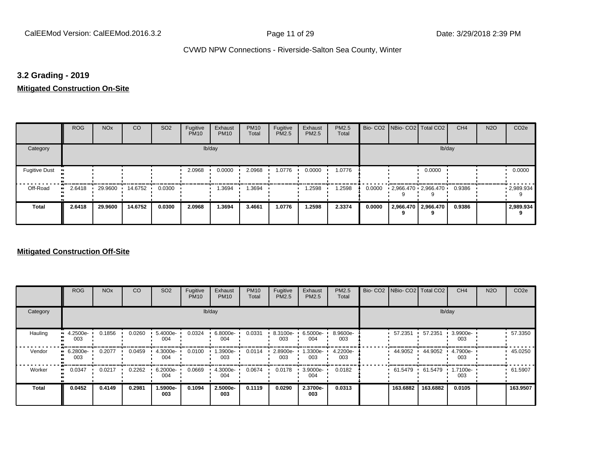## **3.2 Grading - 2019**

## **Mitigated Construction On-Site**

|                                   | <b>ROG</b> | <b>NO<sub>x</sub></b> | CO      | SO <sub>2</sub> | Fugitive<br><b>PM10</b> | Exhaust<br><b>PM10</b> | <b>PM10</b><br>Total | Fugitive<br>PM2.5 | Exhaust<br>PM2.5 | PM2.5<br>Total |        | Bio- CO2   NBio- CO2   Total CO2 |                     | CH <sub>4</sub> | <b>N2O</b> | CO <sub>2e</sub> |
|-----------------------------------|------------|-----------------------|---------|-----------------|-------------------------|------------------------|----------------------|-------------------|------------------|----------------|--------|----------------------------------|---------------------|-----------------|------------|------------------|
| Category                          |            |                       |         |                 |                         | lb/day                 |                      |                   |                  |                |        |                                  | lb/day              |                 |            |                  |
| <b>Fugitive Dust</b><br>$\bullet$ |            |                       |         |                 | 2.0968                  | 0.0000                 | 2.0968               | 1.0776            | 0.0000           | 1.0776         |        |                                  | 0.0000              |                 |            | 0.0000           |
| Off-Road<br>$\bullet$             | 2.6418     | 29.9600               | 14.6752 | 0.0300          |                         | .3694                  | .3694                |                   | .2598            | 1.2598         | 0.0000 | $2,966.470$ $2,966.470$          |                     | 0.9386          |            | 2,989.934        |
| <b>Total</b>                      | 2.6418     | 29.9600               | 14.6752 | 0.0300          | 2.0968                  | 1.3694                 | 3.4661               | 1.0776            | 1.2598           | 2.3374         | 0.0000 | 9                                | 2,966.470 2,966.470 | 0.9386          |            | 2,989.934        |

|          | <b>ROG</b>      | <b>NO<sub>x</sub></b> | CO     | SO <sub>2</sub> | Fugitive<br><b>PM10</b> | Exhaust<br><b>PM10</b> | <b>PM10</b><br>Total | Fugitive<br><b>PM2.5</b> | Exhaust<br>PM2.5   | PM2.5<br>Total  | Bio- CO2   NBio- CO2   Total CO2 |          | CH <sub>4</sub> | <b>N2O</b> | CO <sub>2e</sub> |
|----------|-----------------|-----------------------|--------|-----------------|-------------------------|------------------------|----------------------|--------------------------|--------------------|-----------------|----------------------------------|----------|-----------------|------------|------------------|
| Category |                 |                       |        |                 |                         | lb/day                 |                      |                          |                    |                 |                                  |          | lb/day          |            |                  |
| Hauling  | 4.2500e-<br>003 | 0.1856                | 0.0260 | 5.4000e-<br>004 | 0.0324                  | 6.8000e-<br>004        | 0.0331               | 8.3100e-<br>003          | $6.5000e -$<br>004 | 8.9600e-<br>003 | 57.2351                          | 57.2351  | 3.9900e-<br>003 |            | 57.3350          |
| Vendor   | 6.2800e-<br>003 | 0.2077                | 0.0459 | 4.3000e-<br>004 | 0.0100                  | 1.3900e-<br>003        | 0.0114               | 2.8900e-<br>003          | 1.3300e-<br>003    | 4.2200e-<br>003 | 44.9052                          | 44.9052  | 4.7900e-<br>003 |            | 45.0250          |
| Worker   | 0.0347          | 0.0217                | 0.2262 | 6.2000e-<br>004 | 0.0669                  | 4.3000e-<br>004        | 0.0674               | 0.0178                   | 3.9000e-<br>004    | 0.0182          | 61.5479                          | 61.5479  | 1.7100e-<br>003 |            | 61.5907          |
| Total    | 0.0452          | 0.4149                | 0.2981 | 1.5900e-<br>003 | 0.1094                  | 2.5000e-<br>003        | 0.1119               | 0.0290                   | 2.3700e-<br>003    | 0.0313          | 163.6882                         | 163.6882 | 0.0105          |            | 163.9507         |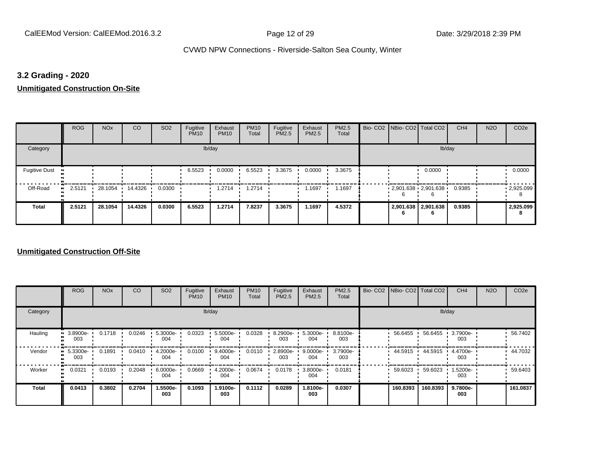## **3.2 Grading - 2020**

**Unmitigated Construction On-Site**

|                      | <b>ROG</b>   | <b>NO<sub>x</sub></b> | CO      | SO <sub>2</sub> | Fugitive<br><b>PM10</b> | Exhaust<br><b>PM10</b> | <b>PM10</b><br>Total | Fugitive<br>PM2.5 | Exhaust<br>PM2.5 | PM2.5<br>Total | Bio- CO2   NBio- CO2   Total CO2       |                     | CH <sub>4</sub> | <b>N2O</b> | CO <sub>2e</sub> |
|----------------------|--------------|-----------------------|---------|-----------------|-------------------------|------------------------|----------------------|-------------------|------------------|----------------|----------------------------------------|---------------------|-----------------|------------|------------------|
| Category             |              |                       |         |                 |                         | lb/day                 |                      |                   |                  |                |                                        | lb/day              |                 |            |                  |
| <b>Fugitive Dust</b> |              |                       |         |                 | 6.5523                  | 0.0000                 | 6.5523               | 3.3675            | 0.0000           | 3.3675         |                                        | 0.0000              |                 |            | 0.0000           |
| Off-Road             | 2.5121<br>ш. | 28.1054 ·             | 14.4326 | 0.0300          |                         | 1.2714                 | 1.2714               |                   | 1.1697           | 1.1697         | $2,901.638$ $2,901.638$ $\blacksquare$ |                     | 0.9385          |            | .2925.099        |
| <b>Total</b>         | 2.5121       | 28.1054               | 14.4326 | 0.0300          | 6.5523                  | 1.2714                 | 7.8237               | 3.3675            | 1.1697           | 4.5372         |                                        | 2,901.638 2,901.638 | 0.9385          |            | 2,925.099        |

|              | <b>ROG</b>                   | <b>NO<sub>x</sub></b> | CO     | SO <sub>2</sub> | Fugitive<br><b>PM10</b> | Exhaust<br><b>PM10</b> | <b>PM10</b><br>Total | Fugitive<br><b>PM2.5</b> | Exhaust<br>PM2.5   | PM2.5<br>Total  | Bio- CO2   NBio- CO2   Total CO2 |          | CH <sub>4</sub> | <b>N2O</b> | CO <sub>2e</sub> |
|--------------|------------------------------|-----------------------|--------|-----------------|-------------------------|------------------------|----------------------|--------------------------|--------------------|-----------------|----------------------------------|----------|-----------------|------------|------------------|
| Category     |                              |                       |        |                 |                         | lb/day                 |                      |                          |                    |                 |                                  |          | lb/day          |            |                  |
| Hauling      | 3.8900e-<br>ш<br>003         | 0.1718                | 0.0246 | 5.3000e-<br>004 | 0.0323                  | 5.5000e-<br>004        | 0.0328               | 8.2900e-<br>003          | 5.3000e-<br>004    | 8.8100e-<br>003 | 56.6455                          | 56.6455  | 3.7900e-<br>003 |            | 56.7402          |
| Vendor       | 5.3300e-<br>$\bullet$<br>003 | 0.1891                | 0.0410 | 4.2000e-<br>004 | 0.0100                  | 9.4000e-<br>004        | 0.0110               | 2.8900e-<br>003          | $9.0000e -$<br>004 | 3.7900e-<br>003 | 44.5915                          | 44.5915  | 4.4700e-<br>003 |            | 44.7032          |
| Worker       | 0.0321<br>$\bullet$          | 0.0193                | 0.2048 | 6.0000e-<br>004 | 0.0669                  | 4.2000e-<br>004        | 0.0674               | 0.0178                   | 3.8000e-<br>004    | 0.0181          | 59.6023                          | 59.6023  | 1.5200e-<br>003 |            | 59.6403          |
| <b>Total</b> | 0.0413                       | 0.3802                | 0.2704 | 1.5500e-<br>003 | 0.1093                  | 1.9100e-<br>003        | 0.1112               | 0.0289                   | -.8100e<br>003     | 0.0307          | 160.8393                         | 160.8393 | 9.7800e-<br>003 |            | 161.0837         |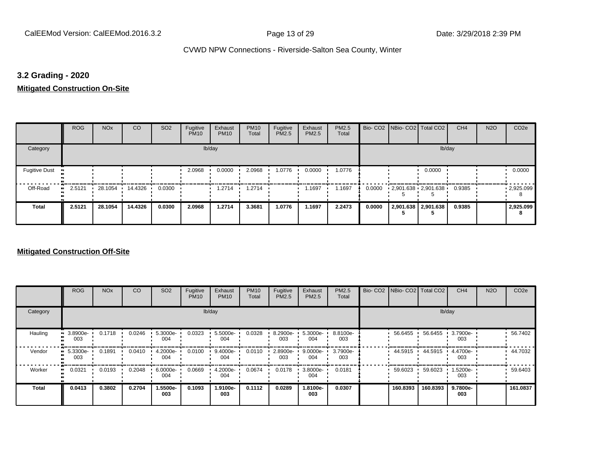## **3.2 Grading - 2020**

**Mitigated Construction On-Site**

|                       | <b>ROG</b> | <b>NO<sub>x</sub></b> | CO      | SO <sub>2</sub> | Fugitive<br><b>PM10</b> | Exhaust<br><b>PM10</b> | <b>PM10</b><br>Total | Fugitive<br>PM2.5 | Exhaust<br>PM2.5 | PM2.5<br>Total |        | Bio- CO2   NBio- CO2   Total CO2 |                     | CH <sub>4</sub> | <b>N2O</b> | CO <sub>2e</sub>  |
|-----------------------|------------|-----------------------|---------|-----------------|-------------------------|------------------------|----------------------|-------------------|------------------|----------------|--------|----------------------------------|---------------------|-----------------|------------|-------------------|
| Category              |            |                       |         |                 |                         | lb/day                 |                      |                   |                  |                |        |                                  | lb/day              |                 |            |                   |
| <b>Fugitive Dust</b>  |            |                       |         |                 | 2.0968                  | 0.0000                 | 2.0968               | 1.0776            | 0.0000           | 1.0776         |        |                                  | 0.0000              |                 |            | 0.0000            |
| Off-Road<br>$\bullet$ | 2.5121     | 28.1054 ·             | 14.4326 | 0.0300          |                         | 1.2714                 | 1.2714               |                   | 1.1697           | 1.1697         | 0.0000 | 2,901.638 2,901.638              |                     | 0.9385          |            | $\cdot$ 2,925.099 |
| <b>Total</b>          | 2.5121     | 28.1054               | 14.4326 | 0.0300          | 2.0968                  | 1.2714                 | 3.3681               | 1.0776            | 1.1697           | 2.2473         | 0.0000 |                                  | 2,901.638 2,901.638 | 0.9385          |            | 2,925.099         |

|              | <b>ROG</b>                   | <b>NO<sub>x</sub></b> | CO     | SO <sub>2</sub> | Fugitive<br><b>PM10</b> | Exhaust<br><b>PM10</b> | <b>PM10</b><br>Total | Fugitive<br><b>PM2.5</b> | Exhaust<br>PM2.5   | PM2.5<br>Total  |          | Bio- CO2   NBio- CO2   Total CO2 | CH <sub>4</sub> | <b>N2O</b> | CO <sub>2e</sub> |
|--------------|------------------------------|-----------------------|--------|-----------------|-------------------------|------------------------|----------------------|--------------------------|--------------------|-----------------|----------|----------------------------------|-----------------|------------|------------------|
| Category     |                              |                       |        |                 |                         | lb/day                 |                      |                          |                    |                 |          |                                  | lb/day          |            |                  |
| Hauling      | 3.8900e-<br>ш<br>003         | 0.1718                | 0.0246 | 5.3000e-<br>004 | 0.0323                  | 5.5000e-<br>004        | 0.0328               | 8.2900e-<br>003          | 5.3000e-<br>004    | 8.8100e-<br>003 | 56.6455  | 56.6455                          | 3.7900e-<br>003 |            | 56.7402          |
| Vendor       | 5.3300e-<br>$\bullet$<br>003 | 0.1891                | 0.0410 | 4.2000e-<br>004 | 0.0100                  | 9.4000e-<br>004        | 0.0110               | 2.8900e-<br>003          | $9.0000e -$<br>004 | 3.7900e-<br>003 | 44.5915  | 44.5915                          | 4.4700e-<br>003 |            | 44.7032          |
| Worker       | 0.0321<br>$\bullet$          | 0.0193                | 0.2048 | 6.0000e-<br>004 | 0.0669                  | 4.2000e-<br>004        | 0.0674               | 0.0178                   | 3.8000e-<br>004    | 0.0181          | 59.6023  | 59.6023                          | 1.5200e-<br>003 |            | 59.6403          |
| <b>Total</b> | 0.0413                       | 0.3802                | 0.2704 | 1.5500e-<br>003 | 0.1093                  | 1.9100e-<br>003        | 0.1112               | 0.0289                   | -.8100e<br>003     | 0.0307          | 160.8393 | 160.8393                         | 9.7800e-<br>003 |            | 161.0837         |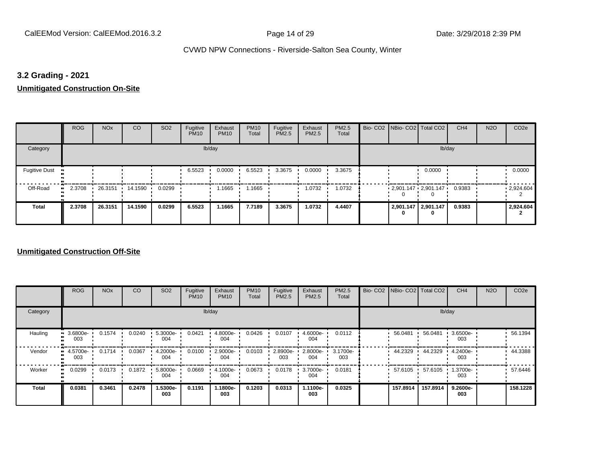## **3.2 Grading - 2021**

**Unmitigated Construction On-Site**

|                                  | <b>ROG</b>          | <b>NO<sub>x</sub></b> | CO      | SO <sub>2</sub> | Fugitive<br><b>PM10</b> | Exhaust<br><b>PM10</b> | <b>PM10</b><br>Total | Fugitive<br><b>PM2.5</b> | Exhaust<br>PM2.5 | PM2.5<br>Total | Bio- CO2   NBio- CO2   Total CO2         |                     | CH <sub>4</sub> | <b>N2O</b> | CO <sub>2e</sub> |
|----------------------------------|---------------------|-----------------------|---------|-----------------|-------------------------|------------------------|----------------------|--------------------------|------------------|----------------|------------------------------------------|---------------------|-----------------|------------|------------------|
| Category                         |                     |                       |         |                 |                         | lb/day                 |                      |                          |                  |                |                                          | lb/day              |                 |            |                  |
| <b>Fugitive Dust</b><br><b>D</b> |                     |                       |         |                 | 6.5523                  | 0.0000                 | 6.5523               | 3.3675                   | 0.0000           | 3.3675         |                                          | 0.0000              |                 |            | 0.0000           |
| Off-Road                         | 2.3708<br>$\bullet$ | 26.3151 14.1590       |         | 0.0299          |                         | 1.1665                 | 1.1665               |                          | 1.0732           | 1.0732         | $2,901.147 \cdot 2,901.147 \cdot 0.9383$ |                     |                 |            | .2,924.604       |
| <b>Total</b>                     | 2.3708              | 26.3151               | 14.1590 | 0.0299          | 6.5523                  | 1.1665                 | 7.7189               | 3.3675                   | 1.0732           | 4.4407         |                                          | 2,901.147 2,901.147 | 0.9383          |            | 2,924.604        |

|                           | <b>ROG</b>                     | <b>NO<sub>x</sub></b> | CO     | SO <sub>2</sub> | Fugitive<br><b>PM10</b> | Exhaust<br><b>PM10</b> | <b>PM10</b><br>Total | Fugitive<br><b>PM2.5</b> | Exhaust<br>PM2.5 | PM2.5<br>Total  | Bio- CO2   NBio- CO2   Total CO2 |          | CH <sub>4</sub> | <b>N2O</b> | CO <sub>2e</sub> |
|---------------------------|--------------------------------|-----------------------|--------|-----------------|-------------------------|------------------------|----------------------|--------------------------|------------------|-----------------|----------------------------------|----------|-----------------|------------|------------------|
| Category                  |                                |                       |        |                 |                         | lb/day                 |                      |                          |                  |                 |                                  | lb/day   |                 |            |                  |
| Hauling<br>$\blacksquare$ | 3.6800e-<br>003                | 0.1574                | 0.0240 | 5.3000e-<br>004 | 0.0421                  | 4.8000e-<br>004        | 0.0426               | 0.0107                   | 4.6000e-<br>004  | 0.0112          | 56.0481                          | 56.0481  | 3.6500e-<br>003 |            | 56.1394          |
| Vendor                    | $\blacksquare$ 4.5700e-<br>003 | 0.1714                | 0.0367 | 4.2000e-<br>004 | 0.0100                  | 2.9000e-<br>004        | 0.0103               | 2.8900e-<br>003          | 2.8000e-<br>004  | 3.1700e-<br>003 | 44.2329                          | 44.2329  | 4.2400e-<br>003 |            | 44.3388          |
| Worker                    | 0.0299<br>$\bullet$            | 0.0173                | 0.1872 | 5.8000e-<br>004 | 0.0669                  | 4.1000e-<br>004        | 0.0673               | 0.0178                   | 3.7000e-<br>004  | 0.0181          | 57.6105                          | 57.6105  | 1.3700e-<br>003 |            | 57.6446          |
| <b>Total</b>              | 0.0381                         | 0.3461                | 0.2478 | 1.5300e-<br>003 | 0.1191                  | 1.1800e-<br>003        | 0.1203               | 0.0313                   | 1.1100e-<br>003  | 0.0325          | 157.8914                         | 157.8914 | 9.2600e-<br>003 |            | 158.1228         |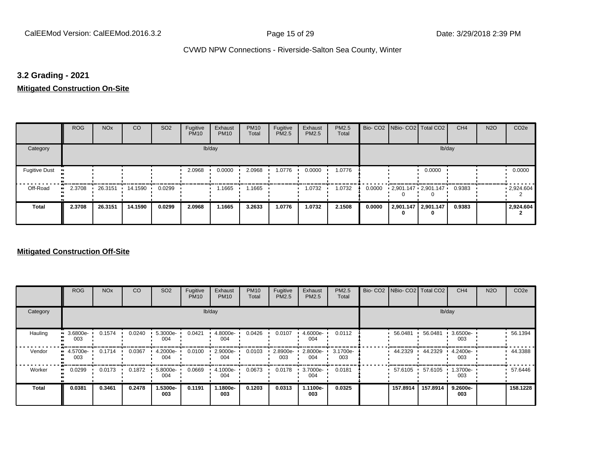## **3.2 Grading - 2021**

**Mitigated Construction On-Site**

|                       | <b>ROG</b> | <b>NO<sub>x</sub></b> | CO      | SO <sub>2</sub> | Fugitive<br><b>PM10</b> | Exhaust<br><b>PM10</b> | <b>PM10</b><br>Total | Fugitive<br>PM2.5 | Exhaust<br>PM2.5 | PM2.5<br>Total |        | Bio- CO2   NBio- CO2   Total CO2 |                          | CH <sub>4</sub> | <b>N2O</b> | CO <sub>2e</sub> |
|-----------------------|------------|-----------------------|---------|-----------------|-------------------------|------------------------|----------------------|-------------------|------------------|----------------|--------|----------------------------------|--------------------------|-----------------|------------|------------------|
| Category              |            |                       |         |                 |                         | lb/day                 |                      |                   |                  |                |        |                                  | lb/day                   |                 |            |                  |
| <b>Fugitive Dust</b>  |            |                       |         |                 | 2.0968                  | 0.0000                 | 2.0968               | 1.0776            | 0.0000           | 1.0776         |        |                                  | 0.0000                   |                 |            | 0.0000           |
| Off-Road<br>$\bullet$ | 2.3708     | 26.3151               | 14.1590 | 0.0299          |                         | 1.1665                 | 1.1665               |                   | 1.0732           | 1.0732         | 0.0000 | $2,901.147$ $2,901.147$          |                          | 0.9383          |            | .2,924.604       |
| <b>Total</b>          | 2.3708     | 26.3151               | 14.1590 | 0.0299          | 2.0968                  | 1.1665                 | 3.2633               | 1.0776            | 1.0732           | 2.1508         | 0.0000 |                                  | 2,901.147 2,901.147<br>0 | 0.9383          |            | 2,924.604        |

|                           | <b>ROG</b>                     | <b>NO<sub>x</sub></b> | CO     | SO <sub>2</sub> | Fugitive<br><b>PM10</b> | Exhaust<br><b>PM10</b> | <b>PM10</b><br>Total | Fugitive<br><b>PM2.5</b> | Exhaust<br>PM2.5 | PM2.5<br>Total  | Bio- CO2   NBio- CO2   Total CO2 |          | CH <sub>4</sub> | <b>N2O</b> | CO <sub>2e</sub> |
|---------------------------|--------------------------------|-----------------------|--------|-----------------|-------------------------|------------------------|----------------------|--------------------------|------------------|-----------------|----------------------------------|----------|-----------------|------------|------------------|
| Category                  |                                |                       |        |                 |                         | lb/day                 |                      |                          |                  |                 |                                  | lb/day   |                 |            |                  |
| Hauling<br>$\blacksquare$ | 3.6800e-<br>003                | 0.1574                | 0.0240 | 5.3000e-<br>004 | 0.0421                  | 4.8000e-<br>004        | 0.0426               | 0.0107                   | 4.6000e-<br>004  | 0.0112          | 56.0481                          | 56.0481  | 3.6500e-<br>003 |            | 56.1394          |
| Vendor                    | $\blacksquare$ 4.5700e-<br>003 | 0.1714                | 0.0367 | 4.2000e-<br>004 | 0.0100                  | 2.9000e-<br>004        | 0.0103               | 2.8900e-<br>003          | 2.8000e-<br>004  | 3.1700e-<br>003 | 44.2329                          | 44.2329  | 4.2400e-<br>003 |            | 44.3388          |
| Worker                    | 0.0299<br>$\bullet$            | 0.0173                | 0.1872 | 5.8000e-<br>004 | 0.0669                  | 4.1000e-<br>004        | 0.0673               | 0.0178                   | 3.7000e-<br>004  | 0.0181          | 57.6105                          | 57.6105  | 1.3700e-<br>003 |            | 57.6446          |
| <b>Total</b>              | 0.0381                         | 0.3461                | 0.2478 | 1.5300e-<br>003 | 0.1191                  | 1.1800e-<br>003        | 0.1203               | 0.0313                   | 1.1100e-<br>003  | 0.0325          | 157.8914                         | 157.8914 | 9.2600e-<br>003 |            | 158.1228         |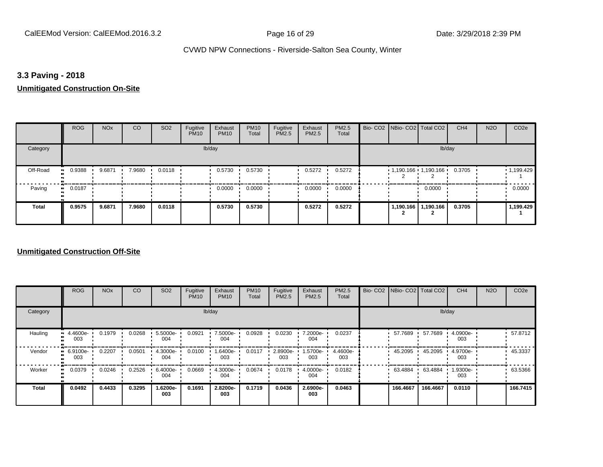## **3.3 Paving - 2018**

#### **Unmitigated Construction On-Site**

|          | <b>ROG</b>          | <b>NO<sub>x</sub></b> | CO     | SO <sub>2</sub> | Fugitive<br><b>PM10</b> | Exhaust<br><b>PM10</b> | <b>PM10</b><br>Total | Fugitive<br>PM2.5 | Exhaust<br>PM2.5 | PM2.5<br>Total | Bio- CO2   NBio- CO2   Total CO2 |           | CH <sub>4</sub> | <b>N2O</b> | CO <sub>2e</sub>  |
|----------|---------------------|-----------------------|--------|-----------------|-------------------------|------------------------|----------------------|-------------------|------------------|----------------|----------------------------------|-----------|-----------------|------------|-------------------|
| Category |                     |                       |        |                 |                         | lb/day                 |                      |                   |                  |                |                                  | lb/day    |                 |            |                   |
| Off-Road | 0.9388<br>$\bullet$ | 9.6871                | 7.9680 | 0.0118          |                         | 0.5730                 | 0.5730               |                   | 0.5272           | 0.5272         | $1,190.166$ 1,190.166            |           | 0.3705          |            | $\cdot$ 1,199.429 |
| Paving   | 0.0187<br>$\bullet$ |                       |        |                 |                         | 0.0000                 | 0.0000               |                   | 0.0000           | 0.0000         |                                  | 0.0000    |                 |            | 0.0000            |
| Total    | 0.9575              | 9.6871                | 7.9680 | 0.0118          |                         | 0.5730                 | 0.5730               |                   | 0.5272           | 0.5272         | 1,190.166                        | 1,190.166 | 0.3705          |            | 1,199.429         |

|              | <b>ROG</b>           | <b>NO<sub>x</sub></b> | CO     | SO <sub>2</sub>    | Fugitive<br><b>PM10</b> | Exhaust<br><b>PM10</b> | <b>PM10</b><br>Total | Fugitive<br><b>PM2.5</b> | Exhaust<br>PM2.5 | PM2.5<br>Total  | Bio- CO2   NBio- CO2   Total CO2 |          | CH <sub>4</sub> | <b>N2O</b> | CO <sub>2e</sub> |
|--------------|----------------------|-----------------------|--------|--------------------|-------------------------|------------------------|----------------------|--------------------------|------------------|-----------------|----------------------------------|----------|-----------------|------------|------------------|
| Category     |                      |                       |        |                    |                         | lb/day                 |                      |                          |                  |                 |                                  |          | lb/day          |            |                  |
| Hauling      | 4.4600e-<br>œ<br>003 | 0.1979                | 0.0268 | $5.5000e -$<br>004 | 0.0921                  | 7.5000e-<br>004        | 0.0928               | 0.0230                   | 7.2000e-<br>004  | 0.0237          | 57.7689                          | 57.7689  | 4.0900e-<br>003 |            | 57.8712          |
| Vendor       | 6.9100e-<br>003      | 0.2207                | 0.0501 | 4.3000e-<br>004    | 0.0100                  | 1.6400e-<br>003        | 0.0117               | 2.8900e-<br>003          | 1.5700e-<br>003  | 4.4600e-<br>003 | 45.2095                          | 45.2095  | 4.9700e-<br>003 |            | 45.3337          |
| Worker       | 0.0379<br>$\bullet$  | 0.0246                | 0.2526 | 6.4000e-<br>004    | 0.0669                  | 4.3000e-<br>004        | 0.0674               | 0.0178                   | 4.0000e-<br>004  | 0.0182          | 63.4884                          | 63.4884  | 1.9300e-<br>003 |            | 63.5366          |
| <b>Total</b> | 0.0492               | 0.4433                | 0.3295 | 1.6200e-<br>003    | 0.1691                  | 2.8200e-<br>003        | 0.1719               | 0.0436                   | 2.6900e-<br>003  | 0.0463          | 166,4667                         | 166.4667 | 0.0110          |            | 166.7415         |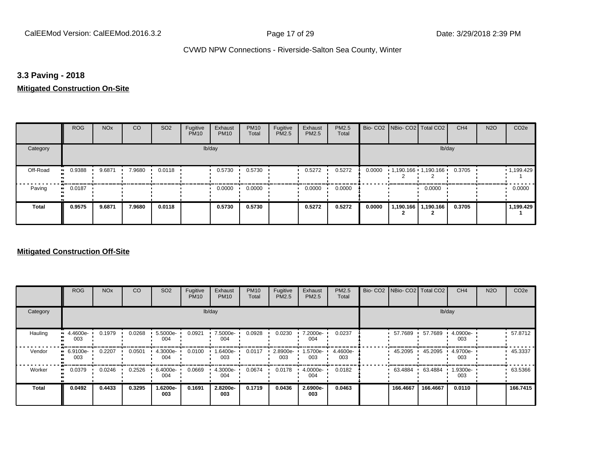## **3.3 Paving - 2018**

## **Mitigated Construction On-Site**

|          | <b>ROG</b>   | <b>NO<sub>x</sub></b> | CO     | SO <sub>2</sub> | Fugitive<br><b>PM10</b> | Exhaust<br><b>PM10</b> | <b>PM10</b><br>Total | Fugitive<br>PM2.5 | Exhaust<br>PM2.5 | PM2.5<br>Total |        | Bio- CO2 NBio- CO2 Total CO2 |                       | CH <sub>4</sub> | <b>N2O</b> | CO <sub>2e</sub> |
|----------|--------------|-----------------------|--------|-----------------|-------------------------|------------------------|----------------------|-------------------|------------------|----------------|--------|------------------------------|-----------------------|-----------------|------------|------------------|
| Category |              |                       |        |                 |                         | lb/day                 |                      |                   |                  |                |        |                              | lb/day                |                 |            |                  |
| Off-Road | 0.9388       | 9.6871                | 7.9680 | 0.0118          |                         | 0.5730                 | 0.5730               |                   | 0.5272           | 0.5272         | 0.0000 | 1,190.166 1,190.166          |                       | 0.3705          |            | 1,199.429        |
| Paving   | 0.0187<br>ш. |                       |        |                 |                         | 0.0000                 | 0.0000               |                   | 0.0000           | 0.0000         |        |                              | 0.0000                |                 |            | 0.0000           |
| Total    | 0.9575       | 9.6871                | 7.9680 | 0.0118          |                         | 0.5730                 | 0.5730               |                   | 0.5272           | 0.5272         | 0.0000 |                              | 1,190.166   1,190.166 | 0.3705          |            | 1,199.429        |

|              | <b>ROG</b>           | <b>NO<sub>x</sub></b> | CO     | SO <sub>2</sub> | Fugitive<br><b>PM10</b> | Exhaust<br><b>PM10</b> | <b>PM10</b><br>Total | Fugitive<br><b>PM2.5</b> | Exhaust<br>PM2.5 | PM2.5<br>Total  | Bio- CO2   NBio- CO2   Total CO2 |          | CH <sub>4</sub> | <b>N2O</b> | CO <sub>2e</sub> |
|--------------|----------------------|-----------------------|--------|-----------------|-------------------------|------------------------|----------------------|--------------------------|------------------|-----------------|----------------------------------|----------|-----------------|------------|------------------|
| Category     |                      |                       |        |                 |                         | lb/day                 |                      |                          |                  |                 |                                  |          | lb/day          |            |                  |
| Hauling      | 4.4600e-<br>003      | 0.1979                | 0.0268 | 5.5000e-<br>004 | 0.0921                  | 7.5000e-<br>004        | 0.0928               | 0.0230                   | 7.2000e-<br>004  | 0.0237          | 57.7689                          | 57.7689  | 4.0900e-<br>003 |            | 57.8712          |
| Vendor       | 6.9100e-<br>œ<br>003 | 0.2207                | 0.0501 | 4.3000e-<br>004 | 0.0100                  | 1.6400e-<br>003        | 0.0117               | 2.8900e-<br>003          | 1.5700e-<br>003  | 4.4600e-<br>003 | 45.2095                          | 45.2095  | 4.9700e-<br>003 |            | 45.3337          |
| Worker       | 0.0379<br>$\bullet$  | 0.0246                | 0.2526 | 6.4000e-<br>004 | 0.0669                  | 4.3000e-<br>004        | 0.0674               | 0.0178                   | 4.0000e-<br>004  | 0.0182          | 63.4884                          | 63.4884  | 1.9300e-<br>003 |            | 63.5366          |
| <b>Total</b> | 0.0492               | 0.4433                | 0.3295 | -.6200e<br>003  | 0.1691                  | 2.8200e-<br>003        | 0.1719               | 0.0436                   | 2.6900e-<br>003  | 0.0463          | 166,4667                         | 166.4667 | 0.0110          |            | 166.7415         |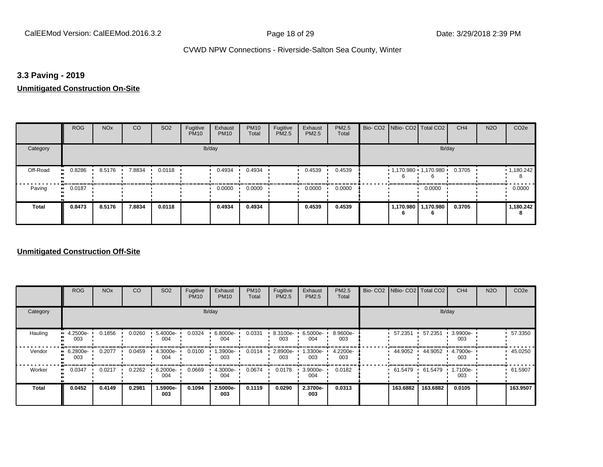## **3.3 Paving - 2019**

**Unmitigated Construction On-Site**

|              | <b>ROG</b>                 | <b>NO<sub>x</sub></b> | CO     | SO <sub>2</sub> | Fugitive<br><b>PM10</b> | Exhaust<br><b>PM10</b> | <b>PM10</b><br>Total | Fugitive<br><b>PM2.5</b> | Exhaust<br>PM2.5 | PM2.5<br>Total | Bio- CO2   NBio- CO2   Total CO2       |                       | CH <sub>4</sub> | <b>N2O</b> | CO <sub>2e</sub> |
|--------------|----------------------------|-----------------------|--------|-----------------|-------------------------|------------------------|----------------------|--------------------------|------------------|----------------|----------------------------------------|-----------------------|-----------------|------------|------------------|
| Category     |                            |                       |        |                 |                         | lb/day                 |                      |                          |                  |                |                                        | lb/day                |                 |            |                  |
| Off-Road     | 0.8286<br>$\bullet\bullet$ | 8.5176                | 7.8834 | 0.0118          |                         | 0.4934                 | 0.4934               |                          | 0.4539           | 0.4539         | $1,170.980$ $1,170.980$ $\blacksquare$ |                       | 0.3705          |            | 1,180.242        |
| Paving       | 0.0187<br>$\bullet\bullet$ |                       |        |                 |                         | 0.0000                 | 0.0000               |                          | 0.0000           | 0.0000         |                                        | 0.0000                |                 |            | 0.0000           |
| <b>Total</b> | 0.8473                     | 8.5176                | 7.8834 | 0.0118          |                         | 0.4934                 | 0.4934               |                          | 0.4539           | 0.4539         |                                        | 1,170.980   1,170.980 | 0.3705          |            | 1,180.242        |

|          | <b>ROG</b>      | <b>NO<sub>x</sub></b> | CO     | SO <sub>2</sub> | Fugitive<br><b>PM10</b> | Exhaust<br><b>PM10</b> | <b>PM10</b><br>Total | Fugitive<br><b>PM2.5</b> | Exhaust<br>PM2.5 | <b>PM2.5</b><br>Total | Bio- CO2   NBio- CO2   Total CO2 |          | CH <sub>4</sub> | <b>N2O</b> | CO <sub>2e</sub> |
|----------|-----------------|-----------------------|--------|-----------------|-------------------------|------------------------|----------------------|--------------------------|------------------|-----------------------|----------------------------------|----------|-----------------|------------|------------------|
| Category |                 |                       |        |                 |                         | lb/day                 |                      |                          |                  |                       |                                  |          | lb/day          |            |                  |
| Hauling  | 4.2500e-<br>003 | 0.1856                | 0.0260 | 5.4000e-<br>004 | 0.0324                  | 6.8000e-<br>004        | 0.0331               | 8.3100e-<br>003          | 6.5000e-<br>004  | 8.9600e-<br>003       | 57.2351                          | 57.2351  | 3.9900e-<br>003 |            | 57.3350          |
| Vendor   | 6.2800e-<br>003 | 0.2077                | 0.0459 | 4.3000e-<br>004 | 0.0100                  | 1.3900e-<br>003        | 0.0114               | 2.8900e-<br>003          | 1.3300e-<br>003  | 4.2200e-<br>003       | 44.9052                          | 44.9052  | 4.7900e-<br>003 |            | 45.0250          |
| Worker   | 0.0347          | 0.0217                | 0.2262 | 6.2000e-<br>004 | 0.0669                  | 4.3000e-<br>004        | 0.0674               | 0.0178                   | 3.9000e-<br>004  | 0.0182                | 61.5479                          | 61.5479  | 1.7100e-<br>003 |            | 61.5907          |
| Total    | 0.0452          | 0.4149                | 0.2981 | 1.5900e-<br>003 | 0.1094                  | 2.5000e-<br>003        | 0.1119               | 0.0290                   | 2.3700e-<br>003  | 0.0313                | 163.6882                         | 163.6882 | 0.0105          |            | 163.9507         |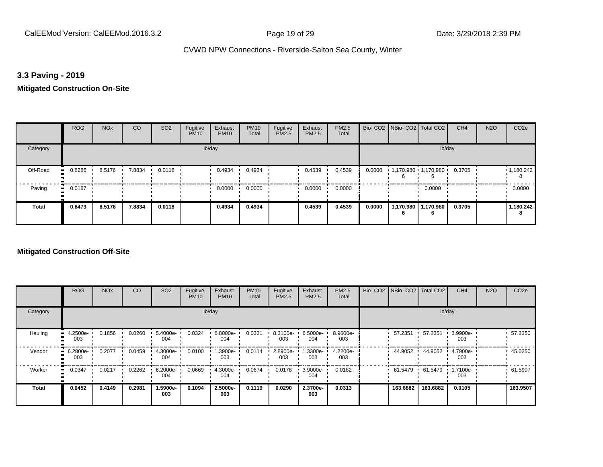## **3.3 Paving - 2019**

## **Mitigated Construction On-Site**

|                       | <b>ROG</b>   | <b>NO<sub>x</sub></b> | CO     | SO <sub>2</sub> | Fugitive<br><b>PM10</b> | Exhaust<br><b>PM10</b> | <b>PM10</b><br>Total | Fugitive<br>PM2.5 | Exhaust<br>PM2.5 | <b>PM2.5</b><br>Total |        | Bio- CO2 NBio- CO2 Total CO2        |                           | CH <sub>4</sub> | <b>N2O</b> | CO <sub>2e</sub> |
|-----------------------|--------------|-----------------------|--------|-----------------|-------------------------|------------------------|----------------------|-------------------|------------------|-----------------------|--------|-------------------------------------|---------------------------|-----------------|------------|------------------|
| Category              |              |                       |        |                 |                         | lb/day                 |                      |                   |                  |                       |        |                                     | lb/day                    |                 |            |                  |
| Off-Road<br>$\bullet$ | 0.8286       | 8.5176                | 7.8834 | 0.0118          |                         | 0.4934                 | 0.4934               |                   | 0.4539           | 0.4539                |        | $0.0000$ 1,170.980 1,170.980 1<br>b |                           | 0.3705          |            | 1,180.242<br>8   |
| Paving                | 0.0187<br>ш. |                       |        |                 |                         | 0.0000                 | 0.0000               |                   | 0.0000           | 0.0000                |        |                                     | 0.0000                    |                 |            | 0.0000           |
| Total                 | 0.8473       | 8.5176                | 7.8834 | 0.0118          |                         | 0.4934                 | 0.4934               |                   | 0.4539           | 0.4539                | 0.0000 | 6                                   | 1,170.980 1,170.980<br>6. | 0.3705          |            | 1,180.242<br>8   |

|          | <b>ROG</b>      | <b>NO<sub>x</sub></b> | CO     | SO <sub>2</sub> | Fugitive<br><b>PM10</b> | Exhaust<br><b>PM10</b> | <b>PM10</b><br>Total | Fugitive<br><b>PM2.5</b> | Exhaust<br>PM2.5   | <b>PM2.5</b><br>Total | Bio- CO2   NBio- CO2   Total CO2 |          | CH <sub>4</sub> | <b>N2O</b> | CO <sub>2e</sub> |
|----------|-----------------|-----------------------|--------|-----------------|-------------------------|------------------------|----------------------|--------------------------|--------------------|-----------------------|----------------------------------|----------|-----------------|------------|------------------|
| Category |                 |                       |        |                 |                         | lb/day                 |                      |                          |                    |                       |                                  |          | lb/day          |            |                  |
| Hauling  | 4.2500e-<br>003 | 0.1856                | 0.0260 | 5.4000e-<br>004 | 0.0324                  | 6.8000e-<br>004        | 0.0331               | 8.3100e-<br>003          | $6.5000e -$<br>004 | 8.9600e-<br>003       | 57.2351                          | 57.2351  | 3.9900e-<br>003 |            | 57.3350          |
| Vendor   | 6.2800e-<br>003 | 0.2077                | 0.0459 | 4.3000e-<br>004 | 0.0100                  | 1.3900e-<br>003        | 0.0114               | 2.8900e-<br>003          | 1.3300e-<br>003    | 4.2200e-<br>003       | 44.9052                          | 44.9052  | 4.7900e-<br>003 |            | 45.0250          |
| Worker   | 0.0347          | 0.0217                | 0.2262 | 6.2000e-<br>004 | 0.0669                  | 4.3000e-<br>004        | 0.0674               | 0.0178                   | 3.9000e-<br>004    | 0.0182                | 61.5479                          | 61.5479  | 1.7100e-<br>003 |            | 61.5907          |
| Total    | 0.0452          | 0.4149                | 0.2981 | 1.5900e-<br>003 | 0.1094                  | 2.5000e-<br>003        | 0.1119               | 0.0290                   | 2.3700e-<br>003    | 0.0313                | 163.6882                         | 163.6882 | 0.0105          |            | 163.9507         |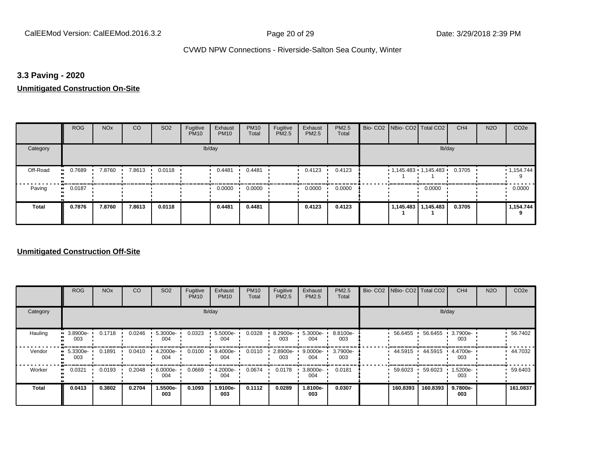## **3.3 Paving - 2020**

**Unmitigated Construction On-Site**

|              | <b>ROG</b>                 | <b>NO<sub>x</sub></b> | CO     | SO <sub>2</sub> | Fugitive<br><b>PM10</b> | Exhaust<br><b>PM10</b> | <b>PM10</b><br>Total | Fugitive<br><b>PM2.5</b> | Exhaust<br>PM2.5 | PM2.5<br>Total | Bio- CO2   NBio- CO2   Total CO2 |                       | CH <sub>4</sub> | <b>N2O</b> | CO <sub>2e</sub> |
|--------------|----------------------------|-----------------------|--------|-----------------|-------------------------|------------------------|----------------------|--------------------------|------------------|----------------|----------------------------------|-----------------------|-----------------|------------|------------------|
| Category     |                            |                       |        |                 |                         | lb/day                 |                      |                          |                  |                |                                  | lb/day                |                 |            |                  |
| Off-Road     | 0.7689<br>$\bullet$        | 7.8760                | 7.8613 | 0.0118          |                         | 0.4481                 | 0.4481               |                          | 0.4123           | 0.4123         | $1,145.483$ $1,145.483$ 0.3705   |                       |                 |            | 1,154.744        |
| Paving       | 0.0187<br>$\bullet\bullet$ |                       |        |                 |                         | 0.0000                 | 0.0000               |                          | 0.0000           | 0.0000         |                                  | 0.0000                |                 |            | 0.0000           |
| <b>Total</b> | 0.7876                     | 7.8760                | 7.8613 | 0.0118          |                         | 0.4481                 | 0.4481               |                          | 0.4123           | 0.4123         |                                  | 1,145.483   1,145.483 | 0.3705          |            | 1,154.744        |

|              | <b>ROG</b>                   | <b>NO<sub>x</sub></b> | CO     | SO <sub>2</sub> | Fugitive<br><b>PM10</b> | Exhaust<br><b>PM10</b> | <b>PM10</b><br>Total | Fugitive<br><b>PM2.5</b> | Exhaust<br>PM2.5 | PM2.5<br>Total  |          | Bio- CO2   NBio- CO2   Total CO2 | CH <sub>4</sub> | <b>N2O</b> | CO <sub>2e</sub> |
|--------------|------------------------------|-----------------------|--------|-----------------|-------------------------|------------------------|----------------------|--------------------------|------------------|-----------------|----------|----------------------------------|-----------------|------------|------------------|
| Category     |                              |                       |        |                 |                         | lb/day                 |                      |                          |                  |                 |          |                                  | lb/day          |            |                  |
| Hauling      | 3.8900e-<br>ш<br>003         | 0.1718                | 0.0246 | 5.3000e-<br>004 | 0.0323                  | 5.5000e-<br>004        | 0.0328               | 8.2900e-<br>003          | 5.3000e-<br>004  | 8.8100e-<br>003 | 56.6455  | 56.6455                          | 3.7900e-<br>003 |            | 56.7402          |
| Vendor       | 5.3300e-<br>$\bullet$<br>003 | 0.1891                | 0.0410 | 4.2000e-<br>004 | 0.0100                  | 9.4000e-<br>004        | 0.0110               | 2.8900e-<br>003          | 9.0000e-<br>004  | 3.7900e-<br>003 | 44.5915  | 44.5915                          | 4.4700e-<br>003 |            | 44.7032          |
| Worker       | 0.0321<br>$\bullet$          | 0.0193                | 0.2048 | 6.0000e-<br>004 | 0.0669                  | 4.2000e-<br>004        | 0.0674               | 0.0178                   | 3.8000e-<br>004  | 0.0181          | 59.6023  | 59.6023                          | 1.5200e-<br>003 |            | 59.6403          |
| <b>Total</b> | 0.0413                       | 0.3802                | 0.2704 | 1.5500e-<br>003 | 0.1093                  | 1.9100e-<br>003        | 0.1112               | 0.0289                   | -.8100e<br>003   | 0.0307          | 160.8393 | 160.8393                         | 9.7800e-<br>003 |            | 161.0837         |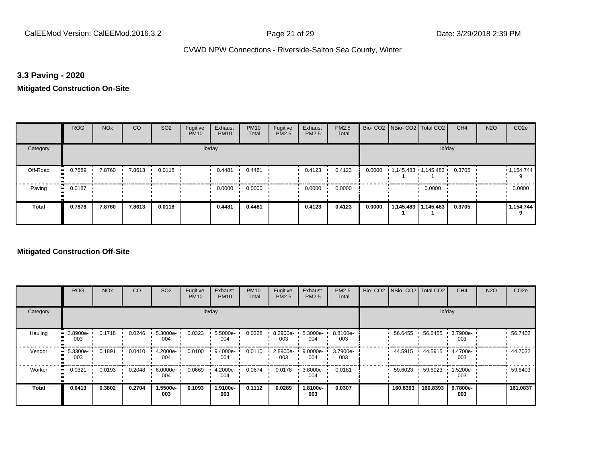## **3.3 Paving - 2020**

## **Mitigated Construction On-Site**

|          | <b>ROG</b>   | <b>NO<sub>x</sub></b> | CO     | SO <sub>2</sub> | Fugitive<br><b>PM10</b> | Exhaust<br><b>PM10</b> | <b>PM10</b><br>Total | Fugitive<br>PM2.5 | Exhaust<br>PM2.5 | <b>PM2.5</b><br>Total |        | Bio- CO2   NBio- CO2   Total CO2 |        | CH <sub>4</sub> | <b>N2O</b> | CO <sub>2e</sub> |
|----------|--------------|-----------------------|--------|-----------------|-------------------------|------------------------|----------------------|-------------------|------------------|-----------------------|--------|----------------------------------|--------|-----------------|------------|------------------|
| Category |              |                       |        |                 | lb/day                  |                        |                      |                   |                  |                       |        |                                  | lb/day |                 |            |                  |
| Off-Road | 0.7689       | 7.8760                | 7.8613 | 0.0118          |                         | 0.4481                 | 0.4481               |                   | 0.4123           | 0.4123                | 0.0000 | 1,145.483 1,145.483 0.3705       |        |                 |            | 1,154.744        |
| Paving   | 0.0187<br>ш. |                       |        |                 |                         | 0.0000                 | 0.0000               |                   | 0.0000           | 0.0000                |        |                                  | 0.0000 |                 |            | 0.0000           |
| Total    | 0.7876       | 7.8760                | 7.8613 | 0.0118          |                         | 0.4481                 | 0.4481               |                   | 0.4123           | 0.4123                | 0.0000 | 1,145.483   1,145.483            |        | 0.3705          |            | 1,154.744        |

|          | <b>ROG</b>      | <b>NO<sub>x</sub></b> | CO     | SO <sub>2</sub> | Fugitive<br><b>PM10</b> | Exhaust<br><b>PM10</b> | <b>PM10</b><br>Total | Fugitive<br><b>PM2.5</b> | Exhaust<br>PM2.5 | <b>PM2.5</b><br>Total | Bio- CO2   NBio- CO2   Total CO2 |          | CH <sub>4</sub> | <b>N2O</b> | CO <sub>2e</sub> |
|----------|-----------------|-----------------------|--------|-----------------|-------------------------|------------------------|----------------------|--------------------------|------------------|-----------------------|----------------------------------|----------|-----------------|------------|------------------|
| Category |                 |                       |        |                 |                         | lb/day                 |                      |                          |                  |                       |                                  |          | lb/day          |            |                  |
| Hauling  | 3.8900e-<br>003 | 0.1718                | 0.0246 | 5.3000e-<br>004 | 0.0323                  | 5.5000e-<br>004        | 0.0328               | 8.2900e-<br>003          | 5.3000e-<br>004  | 8.8100e-<br>003       | 56.6455                          | 56.6455  | 3.7900e-<br>003 |            | 56.7402          |
| Vendor   | 5.3300e-<br>003 | 0.1891                | 0.0410 | 4.2000e-<br>004 | 0.0100                  | 9.4000e-<br>004        | 0.0110               | 2.8900e-<br>003          | 9.0000e-<br>004  | 3.7900e-<br>003       | 44.5915                          | 44.5915  | 4.4700e-<br>003 |            | 44.7032          |
| Worker   | 0.0321          | 0.0193                | 0.2048 | 6.0000e-<br>004 | 0.0669                  | 4.2000e-<br>004        | 0.0674               | 0.0178                   | 3.8000e-<br>004  | 0.0181                | 59.6023                          | 59.6023  | 1.5200e-<br>003 |            | 59.6403          |
| Total    | 0.0413          | 0.3802                | 0.2704 | 1.5500e-<br>003 | 0.1093                  | 1.9100e-<br>003        | 0.1112               | 0.0289                   | 1.8100e-<br>003  | 0.0307                | 160.8393                         | 160.8393 | 9.7800e-<br>003 |            | 161.0837         |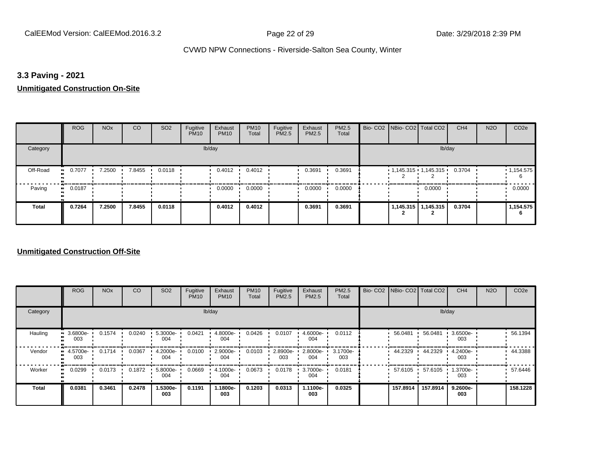## **3.3 Paving - 2021**

#### **Unmitigated Construction On-Site**

|              | <b>ROG</b>                 | <b>NO<sub>x</sub></b> | CO     | SO <sub>2</sub> | Fugitive<br><b>PM10</b> | Exhaust<br><b>PM10</b> | <b>PM10</b><br>Total | Fugitive<br>PM2.5 | Exhaust<br>PM2.5 | PM2.5<br>Total |  | Bio- CO2   NBio- CO2   Total CO2 | CH <sub>4</sub> | <b>N2O</b> | CO <sub>2e</sub> |
|--------------|----------------------------|-----------------------|--------|-----------------|-------------------------|------------------------|----------------------|-------------------|------------------|----------------|--|----------------------------------|-----------------|------------|------------------|
| Category     |                            |                       |        |                 |                         | lb/day                 |                      |                   |                  |                |  | lb/day                           |                 |            |                  |
| Off-Road     | 0.7077<br>$\bullet$        | 7.2500                | 7.8455 | 0.0118          |                         | 0.4012                 | 0.4012               |                   | 0.3691           | 0.3691         |  | $1,145.315$ $1,145.315$ $1$      | 0.3704          |            | 1,154.575<br>6   |
| Paving       | 0.0187<br>$\bullet\bullet$ |                       |        |                 |                         | 0.0000                 | 0.0000               |                   | 0.0000           | 0.0000         |  | 0.0000                           |                 |            | 0.0000           |
| <b>Total</b> | 0.7264                     | 7.2500                | 7.8455 | 0.0118          |                         | 0.4012                 | 0.4012               |                   | 0.3691           | 0.3691         |  | 1,145.315   1,145.315            | 0.3704          |            | 1,154.575<br>6   |

|                     | <b>ROG</b>      | <b>NO<sub>x</sub></b> | CO     | SO <sub>2</sub> | Fugitive<br><b>PM10</b> | Exhaust<br><b>PM10</b> | <b>PM10</b><br>Total | Fugitive<br><b>PM2.5</b> | Exhaust<br>PM2.5 | PM2.5<br>Total  | Bio- CO2   NBio- CO2   Total CO2 |          | CH <sub>4</sub> | <b>N2O</b> | CO <sub>2e</sub> |
|---------------------|-----------------|-----------------------|--------|-----------------|-------------------------|------------------------|----------------------|--------------------------|------------------|-----------------|----------------------------------|----------|-----------------|------------|------------------|
| Category            |                 |                       |        |                 |                         | lb/day                 |                      |                          |                  |                 |                                  |          | lb/day          |            |                  |
| Hauling<br>œ        | 3.6800e-<br>003 | 0.1574                | 0.0240 | 5.3000e-<br>004 | 0.0421                  | 4.8000e-<br>004        | 0.0426               | 0.0107                   | 4.6000e-<br>004  | 0.0112          | 56.0481                          | 56.0481  | 3.6500e-<br>003 |            | 56.1394          |
| Vendor              | 4.5700e-<br>003 | 0.1714                | 0.0367 | 4.2000e-<br>004 | 0.0100                  | 2.9000e-<br>004        | 0.0103               | 2.8900e-<br>003          | 2.8000e-<br>004  | 3.1700e-<br>003 | 44.2329                          | 44.2329  | 4.2400e-<br>003 |            | 44.3388          |
| Worker<br>$\bullet$ | 0.0299          | 0.0173                | 0.1872 | 5.8000e-<br>004 | 0.0669                  | 4.1000e-<br>004        | 0.0673               | 0.0178                   | 3.7000e-<br>004  | 0.0181          | 57.6105                          | 57.6105  | 1.3700e-<br>003 |            | 57.6446          |
| <b>Total</b>        | 0.0381          | 0.3461                | 0.2478 | 1.5300e-<br>003 | 0.1191                  | 1.1800e-<br>003        | 0.1203               | 0.0313                   | 1.1100e-<br>003  | 0.0325          | 157.8914                         | 157.8914 | 9.2600e-<br>003 |            | 158.1228         |